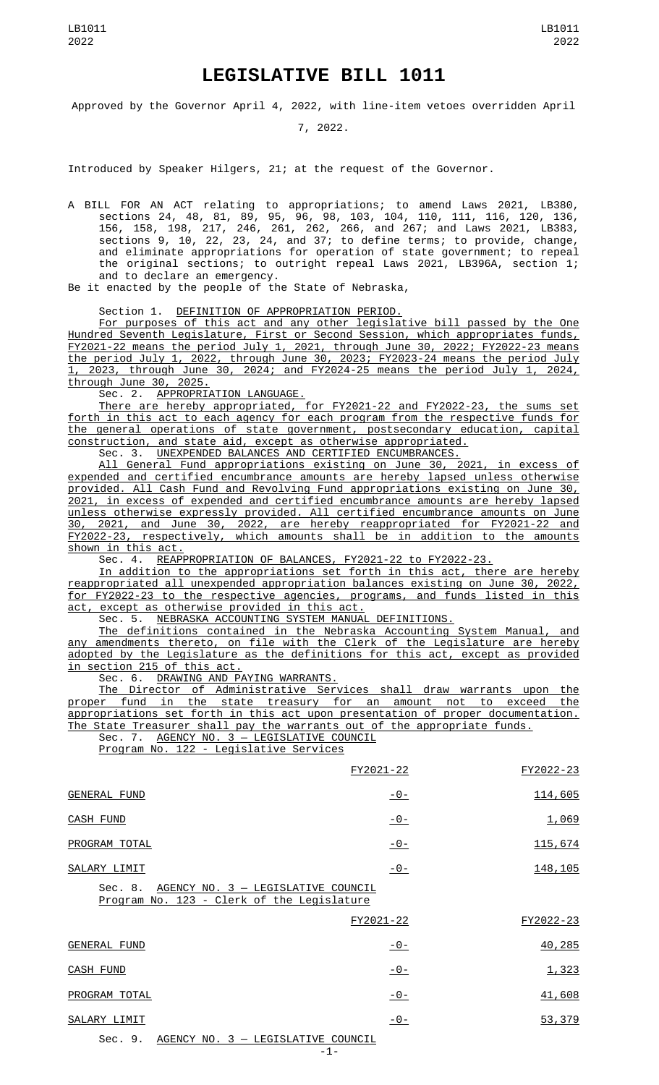# **LEGISLATIVE BILL 1011**

Approved by the Governor April 4, 2022, with line-item vetoes overridden April

7, 2022.

Introduced by Speaker Hilgers, 21; at the request of the Governor.

A BILL FOR AN ACT relating to appropriations; to amend Laws 2021, LB380, sections 24, 48, 81, 89, 95, 96, 98, 103, 104, 110, 111, 116, 120, 136, 156, 158, 198, 217, 246, 261, 262, 266, and 267; and Laws 2021, LB383, sections 9, 10, 22, 23, 24, and 37; to define terms; to provide, change, and eliminate appropriations for operation of state government; to repeal the original sections; to outright repeal Laws 2021, LB396A, section 1; and to declare an emergency.

Be it enacted by the people of the State of Nebraska,

# Section 1. DEFINITION OF APPROPRIATION PERIOD.

For purposes of this act and any other legislative bill passed by the One Hundred Seventh Legislature, First or Second Session, which appropriates funds, FY2021-22 means the period July 1, 2021, through June 30, 2022; FY2022-23 means the period July 1, 2022, through June 30, 2023; FY2023-24 means the period July 1, 2023, through June 30, 2024; and FY2024-25 means the period July 1, 2024, through June 30, 2025.

Sec. 2. <u>APPROPRIATION LANGUAGE.</u>

There are hereby appropriated, for FY2021-22 and FY2022-23, the sums set forth in this act to each agency for each program from the respective funds for the general operations of state government, postsecondary education, capital construction, and state aid, except as otherwise appropriated.

Sec. 3. UNEXPENDED BALANCES AND CERTIFIED ENCUMBRANCES.

All General Fund appropriations existing on June 30, 2021, in excess of expended and certified encumbrance amounts are hereby lapsed unless otherwise provided. All Cash Fund and Revolving Fund appropriations existing on June 30, 2021, in excess of expended and certified encumbrance amounts are hereby lapsed unless otherwise expressly provided. All certified encumbrance amounts on June 30, 2021, and June 30, 2022, are hereby reappropriated for FY2021-22 and<br>FY2022-23, respectively, which amounts shall be in addition to the amounts  $r$ espectively, which amounts shall be in addition to the amounts shown in this act.

Sec. 4. REAPPROPRIATION OF BALANCES, FY2021-22 to FY2022-23.

In addition to the appropriations set forth in this act, there are hereby reappropriated all unexpended appropriation balances existing on June 30, 2022, for FY2022-23 to the respective agencies, programs, and funds listed in this act, except as otherwise provided in this act.

Sec. 5. <u>NEBRASKA ACCOUNTING SYSTEM MANUAL DEFINITIONS.</u>

The definitions contained in the Nebraska Accounting System Manual, and any amendments thereto, on file with the Clerk of the Legislature are hereby adopted by the Legislature as the definitions for this act, except as provided in section 215 of this act.

Sec. 6. DRAWING AND PAYING WARRANTS.

The Director of Administrative Services shall draw warrants upon the proper fund in the state treasury for an amount not to exceed the appropriations set forth in this act upon presentation of proper documentation. The State Treasurer shall pay the warrants out of the appropriate funds.

Sec. 7. AGENCY NO. 3 - LEGISLATIVE COUNCIL Program No. 122 - Legislative Services

|                                                                                             | FY2021-22   | FY2022-23      |
|---------------------------------------------------------------------------------------------|-------------|----------------|
| <b>GENERAL FUND</b>                                                                         | $-0-$       | 114,605        |
| CASH FUND                                                                                   | $-0-$       | 1,069          |
| PROGRAM TOTAL                                                                               | $-0-$       | <u>115,674</u> |
| SALARY LIMIT                                                                                | $-0-$       | 148, 105       |
| AGENCY NO. 3 - LEGISLATIVE COUNCIL<br>Sec. 8.<br>Program No. 123 - Clerk of the Legislature |             |                |
|                                                                                             | FY2021-22   | FY2022-23      |
| <b>GENERAL FUND</b>                                                                         | $-0-$       | 40,285         |
| <b>CASH FUND</b>                                                                            | $-0-$       | 1,323          |
| PROGRAM TOTAL                                                                               | $-0-$       | 41,608         |
| SALARY LIMIT                                                                                | $ \Theta$ – | 53,379         |
| Sec. 9. AGENCY NO. 3 - LEGISLATIVE COUNCIL                                                  |             |                |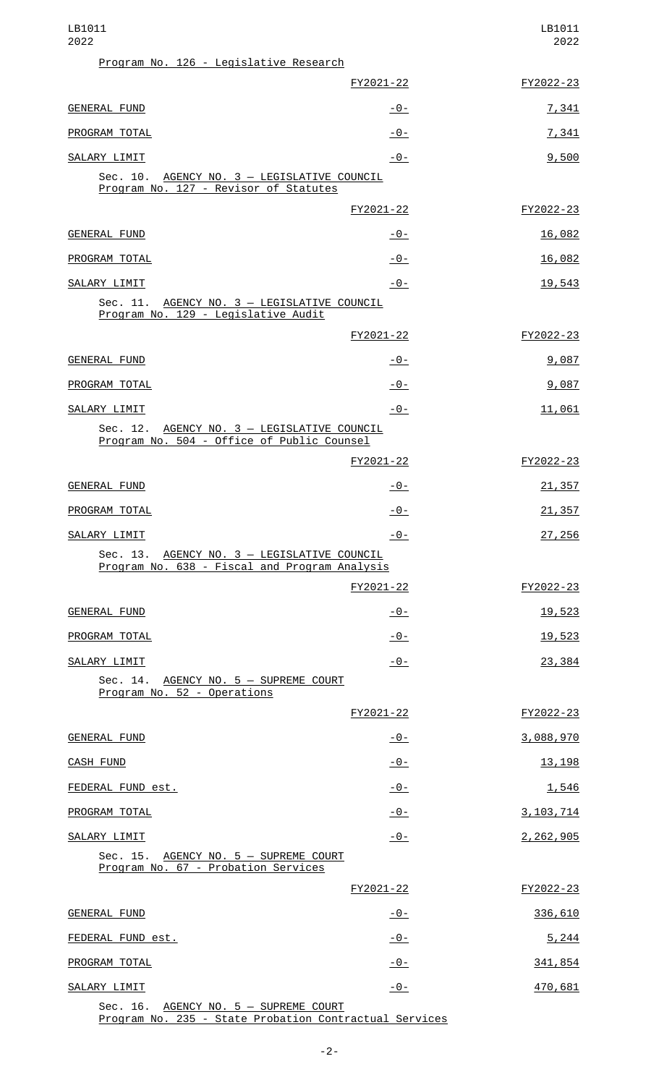| LB1011<br>2022                                                                               |                | LB1011<br>2022 |
|----------------------------------------------------------------------------------------------|----------------|----------------|
| Program No. 126 - Legislative Research                                                       |                |                |
|                                                                                              | FY2021-22      | FY2022-23      |
| GENERAL FUND                                                                                 | <u> - 0 - </u> | 7,341          |
| PROGRAM TOTAL                                                                                | $-0-$          | 7,341          |
| SALARY LIMIT                                                                                 | $-0-$          | 9,500          |
| Sec. 10. AGENCY NO. 3 - LEGISLATIVE COUNCIL<br>Program No. 127 - Revisor of Statutes         |                |                |
|                                                                                              | FY2021-22      | FY2022-23      |
| GENERAL FUND                                                                                 | -0-            | 16,082         |
| PROGRAM TOTAL                                                                                | $-0-$          | 16,082         |
| SALARY LIMIT                                                                                 | $-0-$          | 19,543         |
| Sec. 11. AGENCY NO. 3 - LEGISLATIVE COUNCIL<br>Program No. 129 - Legislative Audit           |                |                |
|                                                                                              | FY2021-22      | FY2022-23      |
| GENERAL FUND                                                                                 | -0-            | 9,087          |
| PROGRAM TOTAL                                                                                | $-0-$          | 9,087          |
| SALARY LIMIT                                                                                 | -0-            | 11,061         |
| Sec. 12. AGENCY NO. 3 - LEGISLATIVE COUNCIL<br>Program No. 504 - Office of Public Counsel    |                |                |
|                                                                                              | FY2021-22      | FY2022-23      |
| <b>GENERAL FUND</b>                                                                          | $-0-$          | 21,357         |
| PROGRAM TOTAL                                                                                | $-0-$          | 21,357         |
| SALARY LIMIT                                                                                 | $-0-$          | 27,256         |
| Sec. 13. AGENCY NO. 3 - LEGISLATIVE COUNCIL<br>Program No. 638 - Fiscal and Program Analysis |                |                |
|                                                                                              | FY2021-22      | FY2022-23      |
| GENERAL FUND                                                                                 | $-0-$          | 19,523         |
| PROGRAM TOTAL                                                                                | $-0-$          | 19,523         |
| SALARY LIMIT                                                                                 | $-0-$          | 23,384         |
| Sec. 14. AGENCY NO. 5 - SUPREME COURT<br>Program No. 52 - Operations                         |                |                |
|                                                                                              | FY2021-22      | FY2022-23      |
| GENERAL FUND                                                                                 | $-0-$          | 3,088,970      |
| <b>CASH FUND</b>                                                                             | $-0-$          | 13, 198        |
| FEDERAL FUND est.                                                                            | $-0-$          | 1,546          |
| PROGRAM TOTAL                                                                                | $-0-$          | 3, 103, 714    |
| SALARY LIMIT                                                                                 | $-0-$          | 2,262,905      |
| Sec. 15. AGENCY NO. 5 - SUPREME COURT<br>Program No. 67 - Probation Services                 |                |                |
|                                                                                              | FY2021-22      | FY2022-23      |
| <b>GENERAL FUND</b>                                                                          | <u>- 0 - </u>  | 336,610        |
| FEDERAL FUND est.                                                                            | $-0-$          | 5,244          |
| PROGRAM TOTAL                                                                                | $-0-$          | 341,854        |
| SALARY LIMIT                                                                                 | $-0-$          | 470,681        |
| Sec. 16.<br>AGENCY NO. 5 - SUPREME COURT                                                     |                |                |

Program No. 235 - State Probation Contractual Services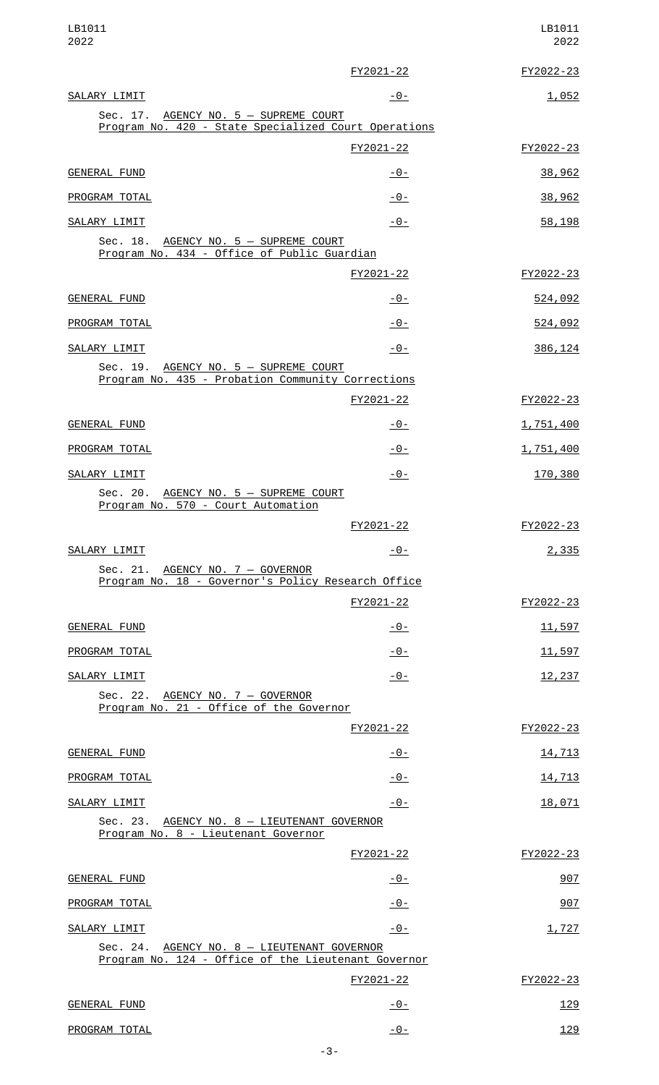| LB1011<br>2022                                                                                     |                | LB1011<br>2022 |
|----------------------------------------------------------------------------------------------------|----------------|----------------|
|                                                                                                    | FY2021-22      | FY2022-23      |
| SALARY LIMIT                                                                                       | $-0-$          | 1,052          |
| Sec. 17. AGENCY NO. 5 - SUPREME COURT<br>Program No. 420 - State Specialized Court Operations      |                |                |
|                                                                                                    | FY2021-22      | FY2022-23      |
| <b>GENERAL FUND</b>                                                                                | $-0-$          | 38,962         |
| PROGRAM TOTAL                                                                                      | $-0-$          | 38,962         |
| SALARY LIMIT                                                                                       | $-0-$          | 58,198         |
| Sec. 18. AGENCY NO. 5 - SUPREME COURT<br>Program No. 434 - Office of Public Guardian               |                |                |
|                                                                                                    | FY2021-22      | FY2022-23      |
| <b>GENERAL FUND</b>                                                                                | $-0-$          | 524,092        |
| PROGRAM TOTAL                                                                                      | $-0-$          | 524,092        |
| SALARY LIMIT                                                                                       | $-0-$          | 386, 124       |
| Sec. 19. AGENCY NO. 5 - SUPREME COURT<br>Program No. 435 - Probation Community Corrections         |                |                |
|                                                                                                    | FY2021-22      | FY2022-23      |
| GENERAL FUND                                                                                       | $-0-$          | 1,751,400      |
| PROGRAM TOTAL                                                                                      | $-0-$          | 1,751,400      |
| SALARY LIMIT                                                                                       | $-0-$          | 170,380        |
| Sec. 20. AGENCY NO. 5 - SUPREME COURT<br>Program No. 570 - Court Automation                        |                |                |
|                                                                                                    | FY2021-22      | FY2022-23      |
| SALARY LIMIT                                                                                       | <u> - 0 - </u> | 2,335          |
| Sec. 21. AGENCY NO. 7 - GOVERNOR<br>Program No. 18 - Governor's Policy Research Office             |                |                |
|                                                                                                    | FY2021-22      | FY2022-23      |
| <b>GENERAL FUND</b>                                                                                | $-0-$          | 11,597         |
| PROGRAM TOTAL                                                                                      | $-0-$          | 11,597         |
| SALARY LIMIT                                                                                       | $-0-$          | 12,237         |
| Sec. 22. AGENCY NO. 7 - GOVERNOR<br>Program No. 21 - Office of the Governor                        |                |                |
|                                                                                                    | FY2021-22      | FY2022-23      |
| <b>GENERAL FUND</b>                                                                                | $-0-$          | 14,713         |
| PROGRAM TOTAL                                                                                      | $-0-$          | 14,713         |
| SALARY LIMIT                                                                                       | $-0-$          | 18,071         |
| Sec. 23. AGENCY NO. 8 - LIEUTENANT GOVERNOR<br>Program No. 8 - Lieutenant Governor                 |                |                |
|                                                                                                    | FY2021-22      | FY2022-23      |
| <b>GENERAL FUND</b>                                                                                | $-0-$          | 907            |
| PROGRAM TOTAL                                                                                      | $-0-$          | 907            |
| SALARY LIMIT                                                                                       | $-0-$          | 1,727          |
| Sec. 24. AGENCY NO. 8 - LIEUTENANT GOVERNOR<br>Program No. 124 - Office of the Lieutenant Governor |                |                |
|                                                                                                    | FY2021-22      | FY2022-23      |
| <b>GENERAL FUND</b>                                                                                | $-0-$          | 129            |
| PROGRAM TOTAL                                                                                      | $-0-$          | 129            |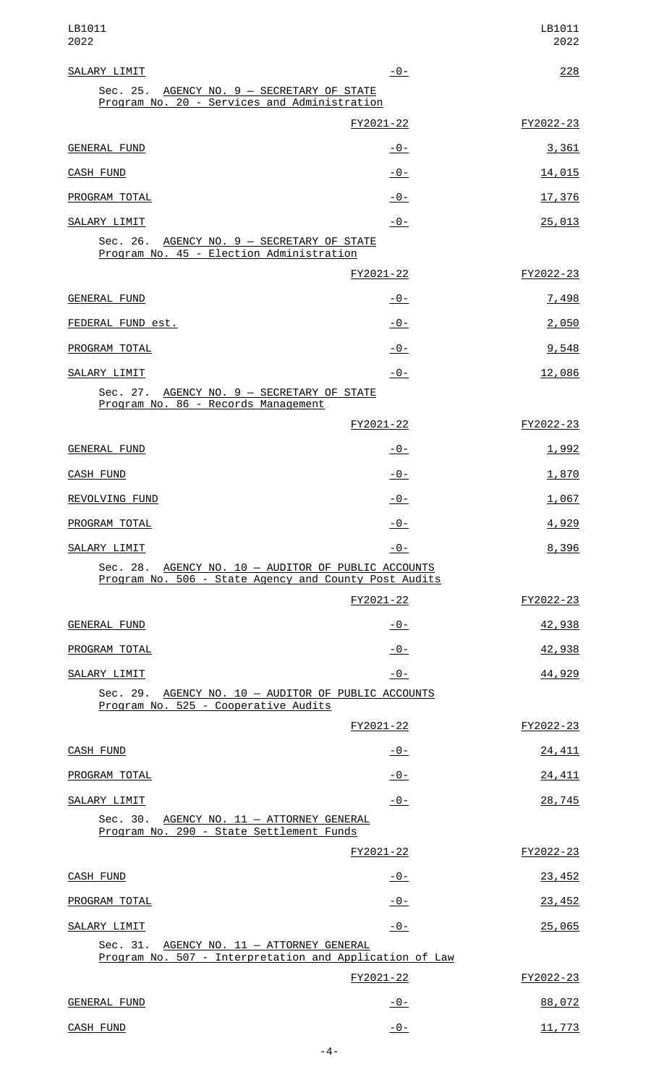| LB1011<br>2022                                                                                               |                | LB1011<br>2022 |
|--------------------------------------------------------------------------------------------------------------|----------------|----------------|
| SALARY LIMIT                                                                                                 | -0-            | 228            |
| Sec. 25. AGENCY NO. 9 - SECRETARY OF STATE<br>Program No. 20 - Services and Administration                   |                |                |
|                                                                                                              | FY2021-22      | FY2022-23      |
| <b>GENERAL FUND</b>                                                                                          | -0-            | 3,361          |
| <b>CASH FUND</b>                                                                                             | -0-            | 14,015         |
| PROGRAM TOTAL                                                                                                | $-0-$          | 17,376         |
| SALARY LIMIT                                                                                                 | -0-            | 25,013         |
| Sec. 26. AGENCY NO. 9 - SECRETARY OF STATE<br>Program No. 45 - Election Administration                       |                |                |
|                                                                                                              | FY2021-22      | FY2022-23      |
| GENERAL FUND                                                                                                 | <u> - 0 - </u> | 7,498          |
| FEDERAL FUND est.                                                                                            | $-0-$          | 2,050          |
| PROGRAM TOTAL                                                                                                | <u>- 0 - </u>  | 9,548          |
| SALARY LIMIT                                                                                                 | -0-            | 12,086         |
| Sec. 27. AGENCY NO. 9 - SECRETARY OF STATE<br>Program No. 86 - Records Management                            |                |                |
|                                                                                                              | FY2021-22      | FY2022-23      |
| <b>GENERAL FUND</b>                                                                                          | <u> - 0 - </u> | 1,992          |
| <b>CASH FUND</b>                                                                                             | <u> - 0 - </u> | 1,870          |
| REVOLVING FUND                                                                                               | $-0-$          | 1,067          |
| PROGRAM TOTAL                                                                                                | $-0-$          | 4,929          |
| SALARY LIMIT                                                                                                 | $-0-$          | 8,396          |
| Sec. 28. AGENCY NO. 10 - AUDITOR OF PUBLIC ACCOUNTS<br>Program No. 506 - State Agency and County Post Audits |                |                |
|                                                                                                              | FY2021-22      | FY2022-23      |
| GENERAL FUND                                                                                                 | $-0-$          | 42,938         |
| PROGRAM TOTAL                                                                                                | $-0-$          | 42,938         |
| SALARY LIMIT                                                                                                 | $-0-$          | 44,929         |
| Sec. 29. AGENCY NO. 10 - AUDITOR OF PUBLIC ACCOUNTS<br>Program No. 525 - Cooperative Audits                  |                |                |
|                                                                                                              | FY2021-22      | FY2022-23      |
| CASH FUND                                                                                                    | $-0-$          | 24,411         |
| PROGRAM TOTAL                                                                                                | $-0-$          | 24, 411        |
| SALARY LIMIT                                                                                                 | -0-            | 28,745         |
| Sec. 30. AGENCY NO. 11 - ATTORNEY GENERAL<br>Program No. 290 - State Settlement Funds                        |                |                |
|                                                                                                              | FY2021-22      | FY2022-23      |
| CASH FUND                                                                                                    | -0-            | 23,452         |
| PROGRAM TOTAL                                                                                                | $-0-$          | 23,452         |
| SALARY LIMIT                                                                                                 | $-0-$          | 25,065         |
| Sec. 31. AGENCY NO. 11 - ATTORNEY GENERAL<br>Program No. 507 - Interpretation and Application of Law         |                |                |
|                                                                                                              | FY2021-22      | FY2022-23      |
| GENERAL FUND                                                                                                 | $-0-$          | 88,072         |
| <b>CASH FUND</b>                                                                                             | $-0-$          | 11,773         |

-4-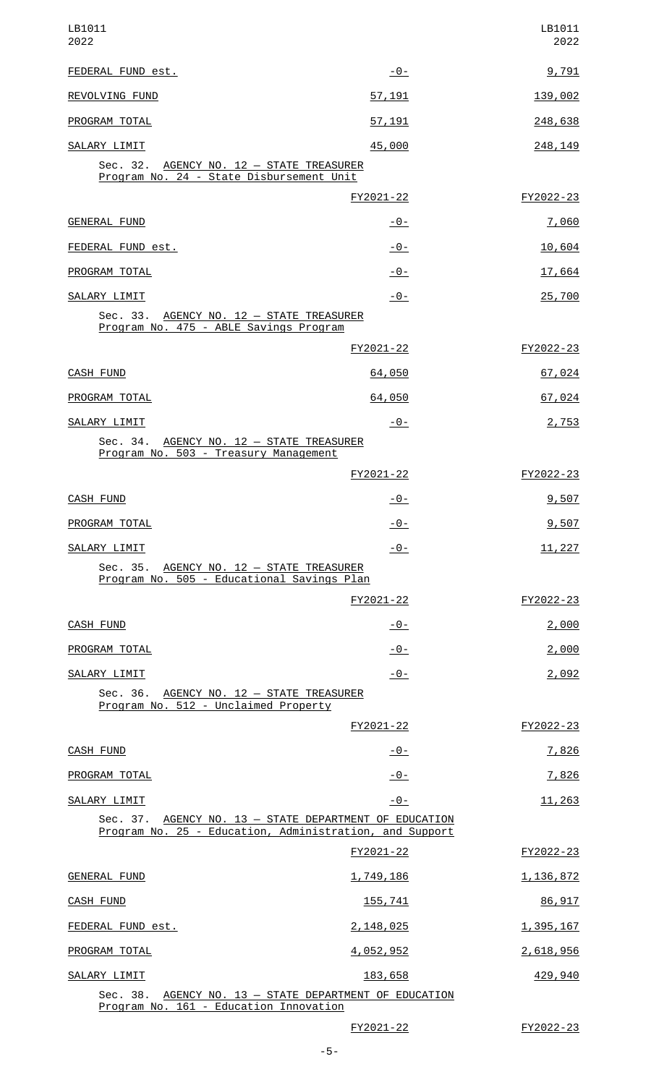| LB1011<br>2022                                                                                                    |                                               | LB1011<br>2022   |
|-------------------------------------------------------------------------------------------------------------------|-----------------------------------------------|------------------|
| FEDERAL FUND est.                                                                                                 | $-0-$                                         | 9,791            |
| REVOLVING FUND                                                                                                    | 57,191                                        | 139,002          |
| PROGRAM TOTAL                                                                                                     | 57,191                                        | 248,638          |
| SALARY LIMIT                                                                                                      | 45,000                                        | 248,149          |
| Sec. 32. AGENCY NO. 12 - STATE TREASURER<br>Program No. 24 - State Disbursement Unit                              |                                               |                  |
|                                                                                                                   | FY2021-22                                     | FY2022-23        |
| <b>GENERAL FUND</b>                                                                                               | $-0-$                                         | 7,060            |
| FEDERAL FUND est.                                                                                                 | $-0-$                                         | 10,604           |
| PROGRAM TOTAL                                                                                                     | $-0-$                                         | 17,664           |
| SALARY LIMIT                                                                                                      | $-0-$                                         | 25,700           |
| Sec. 33. AGENCY NO. 12 - STATE TREASURER<br>Program No. 475 - ABLE Savings Program                                |                                               |                  |
|                                                                                                                   | FY2021-22                                     | FY2022-23        |
| CASH FUND                                                                                                         | 64,050                                        | 67,024           |
| PROGRAM TOTAL                                                                                                     | 64,050                                        | 67,024           |
| SALARY LIMIT                                                                                                      | -0-                                           | 2,753            |
| Sec. 34. AGENCY NO. 12 - STATE TREASURER<br>Program No. 503 - Treasury Management                                 |                                               |                  |
|                                                                                                                   | FY2021-22                                     | FY2022-23        |
| <b>CASH FUND</b>                                                                                                  | $-0-$                                         | 9,507            |
| PROGRAM TOTAL                                                                                                     | $-0-$                                         | 9,507            |
| SALARY LIMIT                                                                                                      | $-0-$                                         | 11,227           |
| Sec. 35. AGENCY NO. 12 - STATE TREASURER<br>Program No. 505 - Educational Savings Plan                            |                                               |                  |
|                                                                                                                   | FY2021-22                                     | FY2022-23        |
| CASH FUND                                                                                                         | <u> - 0 - </u>                                | 2,000            |
| PROGRAM TOTAL                                                                                                     | $-0-$                                         | <u>2,000</u>     |
| SALARY LIMIT                                                                                                      | $-0-$                                         | 2,092            |
| Sec. 36. AGENCY NO. 12 - STATE TREASURER<br>Program No. 512 - Unclaimed Property                                  |                                               |                  |
|                                                                                                                   | FY2021-22                                     | FY2022-23        |
| <b>CASH FUND</b>                                                                                                  | <u> - 0 - </u>                                | <u>7,826</u>     |
| PROGRAM TOTAL                                                                                                     | $-0-$                                         | 7,826            |
| SALARY LIMIT                                                                                                      | $-0-$                                         | 11,263           |
| Sec. 37. AGENCY NO. 13 - STATE DEPARTMENT OF EDUCATION<br>Program No. 25 - Education, Administration, and Support |                                               |                  |
|                                                                                                                   | FY2021-22                                     | FY2022-23        |
| GENERAL FUND                                                                                                      | 1,749,186                                     | 1,136,872        |
| CASH FUND                                                                                                         | 155,741                                       | 86,917           |
| FEDERAL FUND est.                                                                                                 | 2,148,025                                     | <u>1,395,167</u> |
| PROGRAM TOTAL                                                                                                     | 4,052,952                                     | 2,618,956        |
| SALARY LIMIT                                                                                                      | 183,658                                       | <u>429,940</u>   |
| Sec. 38.<br>Program No. 161 - Education Innovation                                                                | AGENCY NO. 13 - STATE DEPARTMENT OF EDUCATION |                  |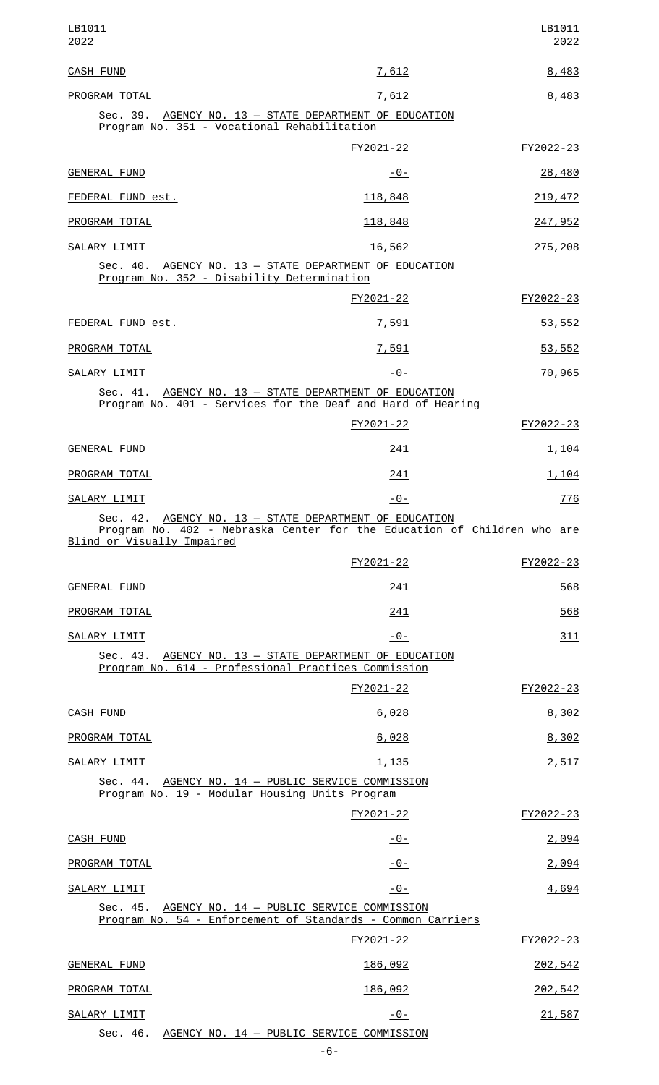| LB1011<br>2022                                                                                                                                                  |                | LB1011<br>2022 |  |
|-----------------------------------------------------------------------------------------------------------------------------------------------------------------|----------------|----------------|--|
| <b>CASH FUND</b>                                                                                                                                                | 7,612          | 8,483          |  |
| PROGRAM TOTAL                                                                                                                                                   | <u>7,612</u>   | 8,483          |  |
| Sec. 39. AGENCY NO. 13 - STATE DEPARTMENT OF EDUCATION<br>Program No. 351 - Vocational Rehabilitation                                                           |                |                |  |
|                                                                                                                                                                 | FY2021-22      | FY2022-23      |  |
| <b>GENERAL FUND</b>                                                                                                                                             | -0-            | <u>28,480</u>  |  |
| FEDERAL FUND est.                                                                                                                                               | <u>118,848</u> | 219, 472       |  |
| PROGRAM TOTAL                                                                                                                                                   | 118,848        | 247,952        |  |
| SALARY LIMIT                                                                                                                                                    | 16,562         | 275,208        |  |
| Sec. 40. AGENCY NO. 13 - STATE DEPARTMENT OF EDUCATION<br>Program No. 352 - Disability Determination                                                            |                |                |  |
|                                                                                                                                                                 | FY2021-22      | FY2022-23      |  |
| FEDERAL FUND est.                                                                                                                                               | 7,591          | 53,552         |  |
| PROGRAM TOTAL                                                                                                                                                   | 7,591          | 53,552         |  |
| SALARY LIMIT                                                                                                                                                    | $-0-$          | 70,965         |  |
| Sec. 41. AGENCY NO. 13 - STATE DEPARTMENT OF EDUCATION<br>Program No. 401 - Services for the Deaf and Hard of Hearing                                           |                |                |  |
|                                                                                                                                                                 | FY2021-22      | FY2022-23      |  |
| <b>GENERAL FUND</b>                                                                                                                                             | 241            | <u>1,104</u>   |  |
| PROGRAM TOTAL                                                                                                                                                   | 241            | 1,104          |  |
| SALARY LIMIT                                                                                                                                                    | -0-            | 776            |  |
| Sec. 42. AGENCY NO. 13 - STATE DEPARTMENT OF EDUCATION<br>Program No. 402 - Nebraska Center for the Education of Children who are<br>Blind or Visually Impaired |                |                |  |
|                                                                                                                                                                 | FY2021-22      | FY2022-23      |  |
| <b>GENERAL FUND</b>                                                                                                                                             | 241            | 568            |  |
| PROGRAM TOTAL                                                                                                                                                   | 241            | 568            |  |
| SALARY LIMIT                                                                                                                                                    | $-0-$          | 311            |  |
| Sec. 43. AGENCY NO. 13 - STATE DEPARTMENT OF EDUCATION<br>Program No. 614 - Professional Practices Commission                                                   |                |                |  |
|                                                                                                                                                                 | FY2021-22      | FY2022-23      |  |
| <b>CASH FUND</b>                                                                                                                                                | 6,028          | 8,302          |  |
| PROGRAM TOTAL                                                                                                                                                   | 6,028          | 8,302          |  |
| SALARY LIMIT                                                                                                                                                    | 1,135          | 2,517          |  |
| Sec. 44. AGENCY NO. 14 - PUBLIC SERVICE COMMISSION<br>Program No. 19 - Modular Housing Units Program                                                            |                |                |  |
|                                                                                                                                                                 | FY2021-22      | FY2022-23      |  |
| <b>CASH FUND</b>                                                                                                                                                | $-0-$          | 2,094          |  |
| PROGRAM TOTAL                                                                                                                                                   | -0-            | 2,094          |  |
| SALARY LIMIT                                                                                                                                                    | $-0-$          | 4,694          |  |
| Sec. 45. AGENCY NO. 14 - PUBLIC SERVICE COMMISSION<br>Program No. 54 - Enforcement of Standards - Common Carriers                                               |                |                |  |
|                                                                                                                                                                 | FY2021-22      | FY2022-23      |  |
| <b>GENERAL FUND</b>                                                                                                                                             | 186,092        | 202,542        |  |
| PROGRAM TOTAL                                                                                                                                                   | 186,092        | 202,542        |  |
| SALARY LIMIT                                                                                                                                                    | $-0-$          | 21,587         |  |
| Sec. 46.<br>AGENCY NO. 14 - PUBLIC SERVICE COMMISSION                                                                                                           |                |                |  |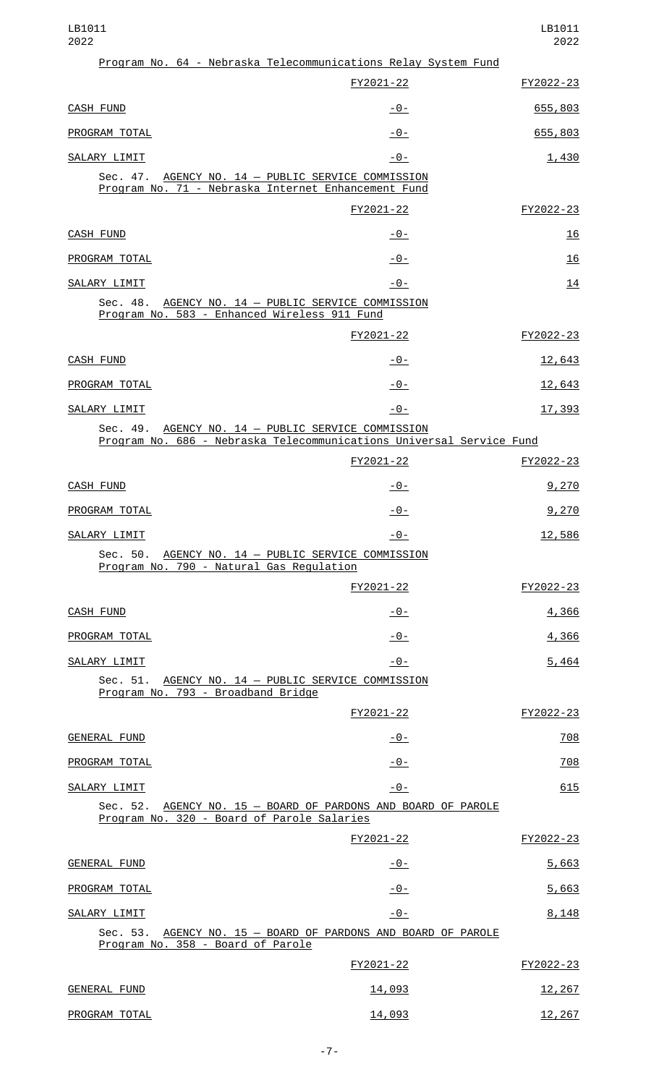#### LB1011 2022

| Program No. 64 - Nebraska Telecommunications Relay System Fund                                                                |                |           |
|-------------------------------------------------------------------------------------------------------------------------------|----------------|-----------|
|                                                                                                                               | FY2021-22      | FY2022-23 |
| CASH FUND                                                                                                                     | <u> - 0 - </u> | 655,803   |
| PROGRAM TOTAL                                                                                                                 | -0-            | 655,803   |
| SALARY LIMIT                                                                                                                  | $-0-$          | 1,430     |
| Sec. 47. AGENCY NO. 14 - PUBLIC SERVICE COMMISSION<br>Program No. 71 - Nebraska Internet Enhancement Fund                     |                |           |
|                                                                                                                               | FY2021-22      | FY2022-23 |
| CASH FUND                                                                                                                     | $-0-$          | 16        |
| PROGRAM TOTAL                                                                                                                 | -0-            | 16        |
| SALARY LIMIT                                                                                                                  | $-0-$          | 14        |
| Sec. 48.<br>AGENCY NO. 14 - PUBLIC SERVICE COMMISSION<br>Program No. 583 - Enhanced Wireless 911 Fund                         |                |           |
|                                                                                                                               | FY2021-22      | FY2022-23 |
| CASH FUND                                                                                                                     | <u> - 0 - </u> | 12,643    |
| PROGRAM TOTAL                                                                                                                 | -0-            | 12,643    |
| SALARY LIMIT                                                                                                                  | <u>- 0 - </u>  | 17,393    |
| AGENCY NO. 14 - PUBLIC SERVICE COMMISSION<br>Sec. 49.<br>Program No. 686 - Nebraska Telecommunications Universal Service Fund |                |           |
|                                                                                                                               | FY2021-22      | FY2022-23 |
| CASH FUND                                                                                                                     | <u> - 0 - </u> | 9,270     |
| PROGRAM TOTAL                                                                                                                 | <u> - 0 - </u> | 9,270     |
| SALARY LIMIT                                                                                                                  | $-0-$          | 12,586    |
| Sec. 50. AGENCY NO. 14 - PUBLIC SERVICE COMMISSION<br>Program No. 790 - Natural Gas Regulation                                |                |           |
|                                                                                                                               | FY2021-22      | FY2022-23 |
| CASH FUND                                                                                                                     | <u> - 0 - </u> | 4,366     |
| PROGRAM TOTAL                                                                                                                 | $-0-$          | 4,366     |
| SALARY LIMIT                                                                                                                  | $-0-$          | 5,464     |
| Sec. 51. AGENCY NO. 14 - PUBLIC SERVICE COMMISSION<br>Program No. 793 - Broadband Bridge                                      |                |           |
|                                                                                                                               | FY2021-22      | FY2022-23 |
| GENERAL FUND                                                                                                                  | $-0-$          | 708       |
| PROGRAM TOTAL                                                                                                                 | $-0-$          | 708       |
| SALARY LIMIT                                                                                                                  | $-0-$          | 615       |
| Sec. 52. AGENCY NO. 15 - BOARD OF PARDONS AND BOARD OF PAROLE<br>Program No. 320 - Board of Parole Salaries                   |                |           |
|                                                                                                                               | FY2021-22      | FY2022-23 |
| GENERAL FUND                                                                                                                  | <u> - 0 - </u> | 5,663     |
| PROGRAM TOTAL                                                                                                                 | $-0-$          | 5,663     |
| SALARY LIMIT                                                                                                                  | $-0-$          | 8,148     |
| Sec. 53. AGENCY NO. 15 - BOARD OF PARDONS AND BOARD OF PAROLE<br>Program No. 358 - Board of Parole                            |                |           |
|                                                                                                                               | FY2021-22      | FY2022-23 |
| <b>GENERAL FUND</b>                                                                                                           | 14,093         | 12,267    |
| PROGRAM TOTAL                                                                                                                 | 14,093         | 12,267    |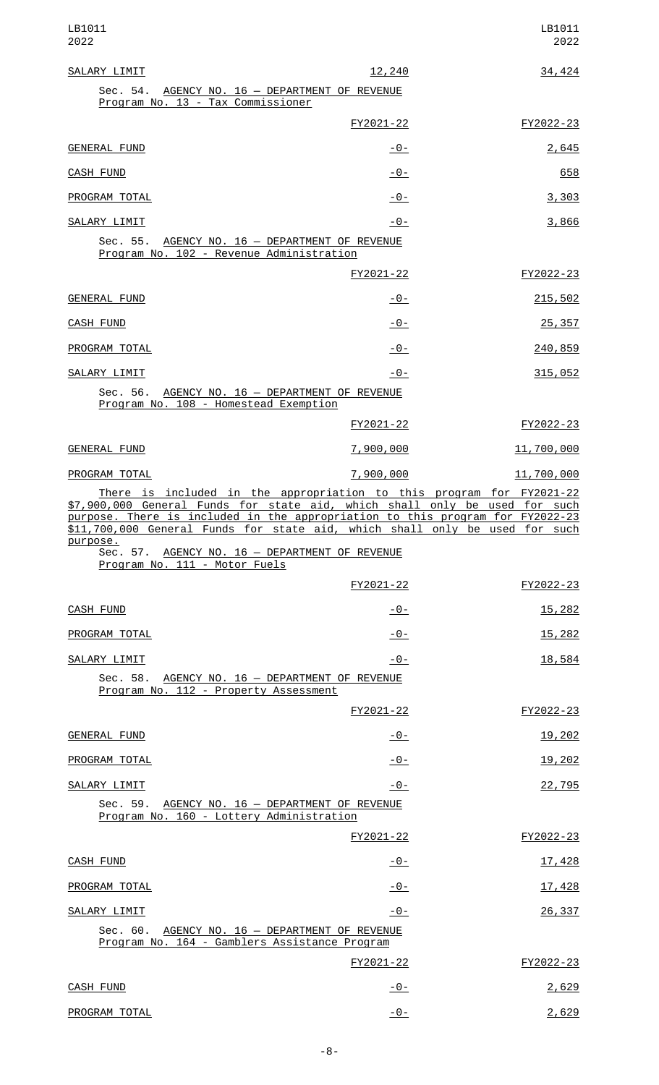| LB1011<br>2022                                                                                                                                                                                                                                                                                                                 |                | LB1011<br>2022 |
|--------------------------------------------------------------------------------------------------------------------------------------------------------------------------------------------------------------------------------------------------------------------------------------------------------------------------------|----------------|----------------|
| SALARY LIMIT                                                                                                                                                                                                                                                                                                                   | 12,240         | 34,424         |
| Sec. 54. AGENCY NO. 16 - DEPARTMENT OF REVENUE<br>Program No. 13 - Tax Commissioner                                                                                                                                                                                                                                            |                |                |
|                                                                                                                                                                                                                                                                                                                                | FY2021-22      | FY2022-23      |
| <b>GENERAL FUND</b>                                                                                                                                                                                                                                                                                                            | <u> - 0 - </u> | 2,645          |
| CASH FUND                                                                                                                                                                                                                                                                                                                      | <u> - 0 - </u> | 658            |
| PROGRAM TOTAL                                                                                                                                                                                                                                                                                                                  | <u> - 0 - </u> | 3,303          |
| SALARY LIMIT                                                                                                                                                                                                                                                                                                                   | -0-            | 3,866          |
| Sec. 55.<br>AGENCY NO. 16 - DEPARTMENT OF REVENUE<br>Program No. 102 - Revenue Administration                                                                                                                                                                                                                                  |                |                |
|                                                                                                                                                                                                                                                                                                                                | FY2021-22      | FY2022-23      |
| <b>GENERAL FUND</b>                                                                                                                                                                                                                                                                                                            | <u> - 0 - </u> | 215,502        |
| <b>CASH FUND</b>                                                                                                                                                                                                                                                                                                               | <u> - 0 - </u> | 25, 357        |
| PROGRAM TOTAL                                                                                                                                                                                                                                                                                                                  | <u>- 0 - </u>  | 240,859        |
| SALARY LIMIT                                                                                                                                                                                                                                                                                                                   | -0-            | 315,052        |
| Sec. 56. AGENCY NO. 16 - DEPARTMENT OF REVENUE<br>Program No. 108 - Homestead Exemption                                                                                                                                                                                                                                        |                |                |
|                                                                                                                                                                                                                                                                                                                                | FY2021-22      | FY2022-23      |
| <b>GENERAL FUND</b>                                                                                                                                                                                                                                                                                                            | 7,900,000      | 11,700,000     |
| PROGRAM TOTAL                                                                                                                                                                                                                                                                                                                  | 7,900,000      | 11,700,000     |
| There is included in the appropriation to this program for FY2021-22<br>\$7,900,000 General Funds for state aid, which shall only be used for such<br>purpose. There is included in the appropriation to this program for FY2022-23<br>\$11,700,000 General Funds for state aid, which shall only be used for such<br>purpose. |                |                |
| Sec. 57. AGENCY NO. 16 - DEPARTMENT OF REVENUE<br>Program No. 111 - Motor Fuels                                                                                                                                                                                                                                                |                |                |
|                                                                                                                                                                                                                                                                                                                                | FY2021-22      | FY2022-23      |
| <b>CASH FUND</b>                                                                                                                                                                                                                                                                                                               | -0-            | <u>15,282</u>  |
| PROGRAM TOTAL                                                                                                                                                                                                                                                                                                                  | -0-            | <u>15,282</u>  |
| SALARY LIMIT                                                                                                                                                                                                                                                                                                                   | $-0-$          | 18,584         |
| Sec. 58. AGENCY NO. 16 - DEPARTMENT OF REVENUE<br>Program No. 112 - Property Assessment                                                                                                                                                                                                                                        |                |                |
|                                                                                                                                                                                                                                                                                                                                | FY2021-22      | FY2022-23      |
| <b>GENERAL FUND</b>                                                                                                                                                                                                                                                                                                            | <u>- 0 - </u>  | 19,202         |
| PROGRAM TOTAL                                                                                                                                                                                                                                                                                                                  | -0-            | 19,202         |
| SALARY LIMIT                                                                                                                                                                                                                                                                                                                   | -0-            | 22,795         |
| Sec. 59. AGENCY NO. 16 - DEPARTMENT OF REVENUE<br>Program No. 160 - Lottery Administration                                                                                                                                                                                                                                     |                |                |
|                                                                                                                                                                                                                                                                                                                                | FY2021-22      | FY2022-23      |
| <b>CASH FUND</b>                                                                                                                                                                                                                                                                                                               | <u> - 0 - </u> | 17,428         |
| PROGRAM TOTAL                                                                                                                                                                                                                                                                                                                  | -0-            | 17,428         |
| SALARY LIMIT                                                                                                                                                                                                                                                                                                                   | -0-            | 26,337         |
| Sec. 60. AGENCY NO. 16 - DEPARTMENT OF REVENUE<br>Program No. 164 - Gamblers Assistance Program                                                                                                                                                                                                                                |                |                |
|                                                                                                                                                                                                                                                                                                                                | FY2021-22      | FY2022-23      |
| <b>CASH FUND</b>                                                                                                                                                                                                                                                                                                               | $-0-$          | 2,629          |
| PROGRAM TOTAL                                                                                                                                                                                                                                                                                                                  | $-0-$          | 2,629          |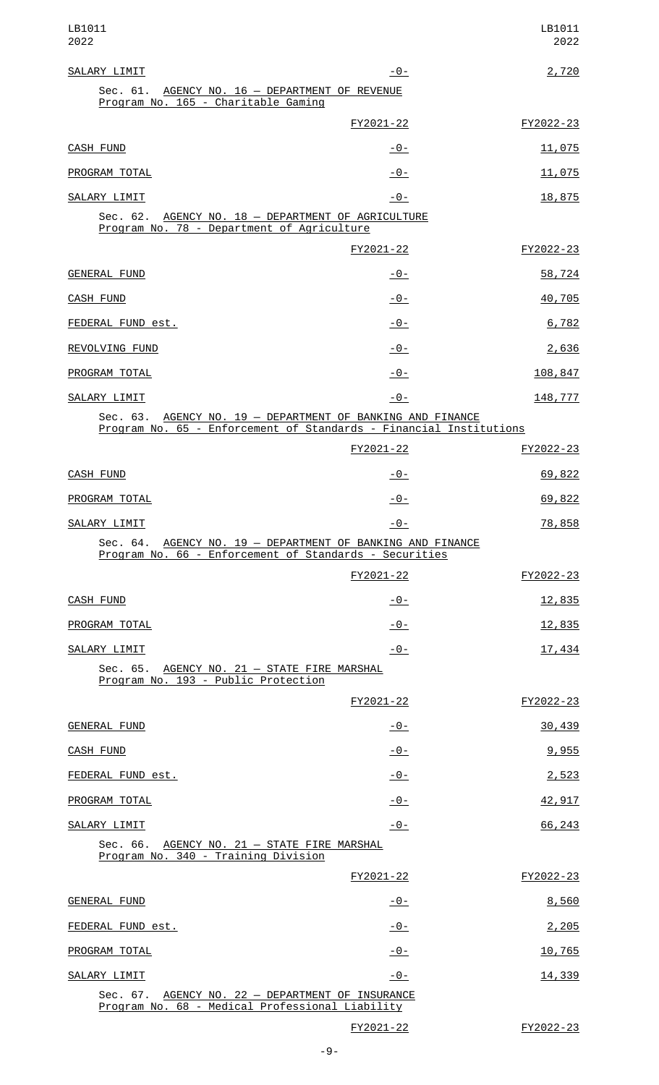| LB1011<br>2022                                                                                                                   |                | LB1011<br>2022 |
|----------------------------------------------------------------------------------------------------------------------------------|----------------|----------------|
| SALARY LIMIT                                                                                                                     | $-0-$          | 2,720          |
| Sec. 61. AGENCY NO. 16 - DEPARTMENT OF REVENUE<br>Program No. 165 - Charitable Gaming                                            |                |                |
|                                                                                                                                  | FY2021-22      | FY2022-23      |
| <b>CASH FUND</b>                                                                                                                 | -0-            | 11,075         |
| PROGRAM TOTAL                                                                                                                    | $-0-$          | 11,075         |
| SALARY LIMIT                                                                                                                     | $-0-$          | 18,875         |
| Sec. 62. AGENCY NO. 18 - DEPARTMENT OF AGRICULTURE<br>Program No. 78 - Department of Agriculture                                 |                |                |
|                                                                                                                                  | FY2021-22      | FY2022-23      |
| <b>GENERAL FUND</b>                                                                                                              | -0-            | 58,724         |
| CASH FUND                                                                                                                        | $-0-$          | 40,705         |
| FEDERAL FUND est.                                                                                                                | $-0-$          | 6,782          |
| REVOLVING FUND                                                                                                                   | $-0-$          | 2,636          |
| PROGRAM TOTAL                                                                                                                    | $-0-$          | 108,847        |
| SALARY LIMIT                                                                                                                     | $-0-$          | 148,777        |
| Sec. 63. AGENCY NO. 19 - DEPARTMENT OF BANKING AND FINANCE<br>Program No. 65 - Enforcement of Standards - Financial Institutions |                |                |
|                                                                                                                                  | FY2021-22      | FY2022-23      |
| <b>CASH FUND</b>                                                                                                                 | -0-            | 69,822         |
| PROGRAM TOTAL                                                                                                                    | $-0-$          | 69,822         |
| SALARY LIMIT                                                                                                                     | $-0-$          | 78,858         |
| Sec. 64. AGENCY NO. 19 - DEPARTMENT OF BANKING AND FINANCE<br>Program No. 66 - Enforcement of Standards - Securities             |                |                |
|                                                                                                                                  | FY2021-22      | FY2022-23      |
| <b>CASH FUND</b>                                                                                                                 | <u>- 0 - </u>  | <u>12,835</u>  |
| PROGRAM TOTAL                                                                                                                    | $-0-$          | 12,835         |
| SALARY LIMIT                                                                                                                     | $-0-$          | 17,434         |
| Sec. 65. AGENCY NO. 21 - STATE FIRE MARSHAL<br>Program No. 193 - Public Protection                                               |                |                |
|                                                                                                                                  | FY2021-22      | FY2022-23      |
| <b>GENERAL FUND</b>                                                                                                              | <u> - 0 - </u> | 30,439         |
| CASH FUND                                                                                                                        | $-0-$          | 9,955          |
| FEDERAL FUND est.                                                                                                                | $-0-$          | 2,523          |
| PROGRAM TOTAL                                                                                                                    | $-0-$          | 42,917         |
| SALARY LIMIT                                                                                                                     | $-0-$          | 66, 243        |
| Sec. 66. AGENCY NO. 21 - STATE FIRE MARSHAL<br>Program No. 340 - Training Division                                               |                |                |
|                                                                                                                                  | FY2021-22      | FY2022-23      |
| <b>GENERAL FUND</b>                                                                                                              | $-0-$          | 8,560          |
| FEDERAL FUND est.                                                                                                                | $-0-$          | 2,205          |
| PROGRAM TOTAL                                                                                                                    | <u> - 0 - </u> | 10,765         |
| SALARY LIMIT                                                                                                                     | $-0-$          | 14,339         |
| AGENCY NO. 22 - DEPARTMENT OF INSURANCE<br>Sec. 67.<br>Program No. 68 - Medical Professional Liability                           |                |                |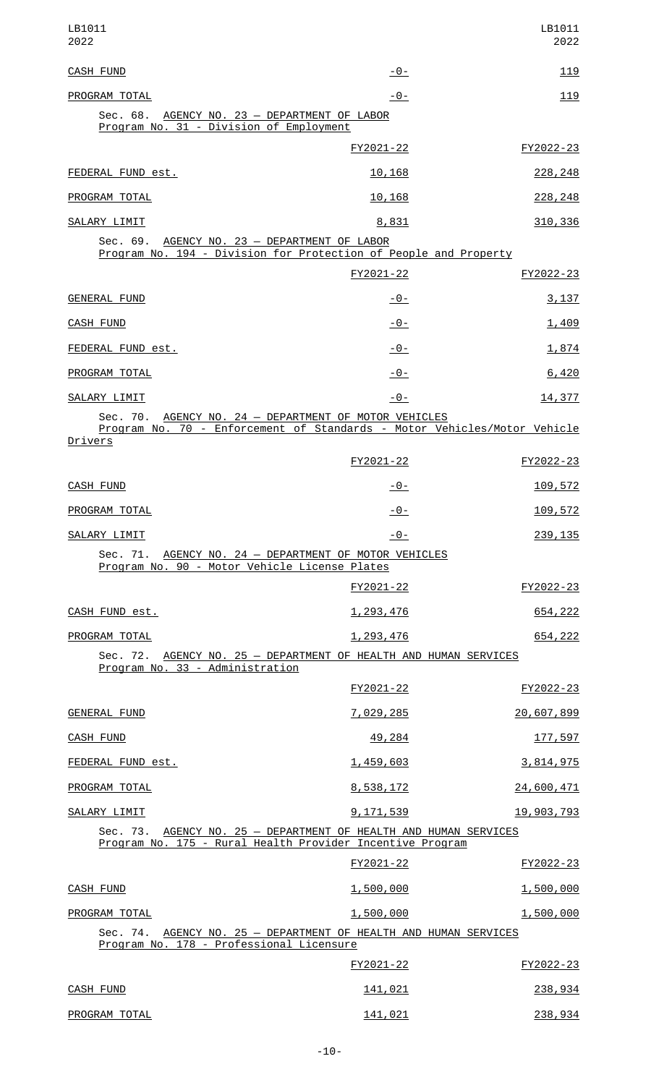| LB1011<br>2022                                                                                                                                      |                | LB1011<br>2022  |
|-----------------------------------------------------------------------------------------------------------------------------------------------------|----------------|-----------------|
| <b>CASH FUND</b>                                                                                                                                    | $-0-$          | <u> 119</u>     |
| PROGRAM TOTAL                                                                                                                                       | $-0-$          | 119             |
| Sec. 68. AGENCY NO. 23 - DEPARTMENT OF LABOR<br>Program No. 31 - Division of Employment                                                             |                |                 |
|                                                                                                                                                     | FY2021-22      | FY2022-23       |
| FEDERAL FUND est.                                                                                                                                   | 10,168         | 228, 248        |
| PROGRAM TOTAL                                                                                                                                       | 10,168         | 228, 248        |
| SALARY LIMIT                                                                                                                                        | 8,831          | 310, 336        |
| Sec. 69. AGENCY NO. 23 - DEPARTMENT OF LABOR<br>Program No. 194 - Division for Protection of People and Property                                    |                |                 |
|                                                                                                                                                     | FY2021-22      | FY2022-23       |
| <b>GENERAL FUND</b>                                                                                                                                 | <u> - 0 - </u> | 3,137           |
| <b>CASH FUND</b>                                                                                                                                    | <u> - 0 - </u> | 1,409           |
| FEDERAL FUND est.                                                                                                                                   | $-0-$          | 1,874           |
| PROGRAM TOTAL                                                                                                                                       | $-0-$          | 6,420           |
| SALARY LIMIT                                                                                                                                        | $-0-$          | 14,377          |
| Sec. 70. AGENCY NO. 24 - DEPARTMENT OF MOTOR VEHICLES<br>Program No. 70 - Enforcement of Standards - Motor Vehicles/Motor Vehicle<br><u>Drivers</u> |                |                 |
|                                                                                                                                                     | FY2021-22      | FY2022-23       |
| CASH FUND                                                                                                                                           | -0-            | <u> 109,572</u> |
| <b>PROGRAM TOTAL</b>                                                                                                                                | $-0-$          | 109,572         |
| SALARY LIMIT                                                                                                                                        | $-0-$          | 239, 135        |
| Sec. 71. AGENCY NO. 24 - DEPARTMENT OF MOTOR VEHICLES<br>Program No. 90 - Motor Vehicle License Plates                                              |                |                 |
|                                                                                                                                                     | FY2021-22      | FY2022-23       |
| CASH FUND est.                                                                                                                                      | 1, 293, 476    | 654,222         |
| PROGRAM TOTAL                                                                                                                                       | 1,293,476      | 654,222         |
| Sec. 72. AGENCY NO. 25 - DEPARTMENT OF HEALTH AND HUMAN SERVICES<br>Program No. 33 - Administration                                                 |                |                 |
|                                                                                                                                                     | FY2021-22      | FY2022-23       |
| <b>GENERAL FUND</b>                                                                                                                                 | 7,029,285      | 20,607,899      |
| CASH FUND                                                                                                                                           | 49,284         | 177,597         |
| FEDERAL FUND est.                                                                                                                                   | 1,459,603      | 3,814,975       |
| PROGRAM TOTAL                                                                                                                                       | 8,538,172      | 24,600,471      |
| SALARY LIMIT                                                                                                                                        | 9, 171, 539    | 19,903,793      |
| Sec. 73. AGENCY NO. 25 - DEPARTMENT OF HEALTH AND HUMAN SERVICES<br>Program No. 175 - Rural Health Provider Incentive Program                       |                |                 |
|                                                                                                                                                     | FY2021-22      | FY2022-23       |
| CASH FUND                                                                                                                                           | 1,500,000      | 1,500,000       |
| PROGRAM TOTAL                                                                                                                                       | 1,500,000      | 1,500,000       |
| Sec. 74. AGENCY NO. 25 - DEPARTMENT OF HEALTH AND HUMAN SERVICES<br>Program No. 178 - Professional Licensure                                        |                |                 |
|                                                                                                                                                     | FY2021-22      | FY2022-23       |
| <b>CASH FUND</b>                                                                                                                                    | 141,021        | 238,934         |
| PROGRAM TOTAL                                                                                                                                       | 141,021        | 238,934         |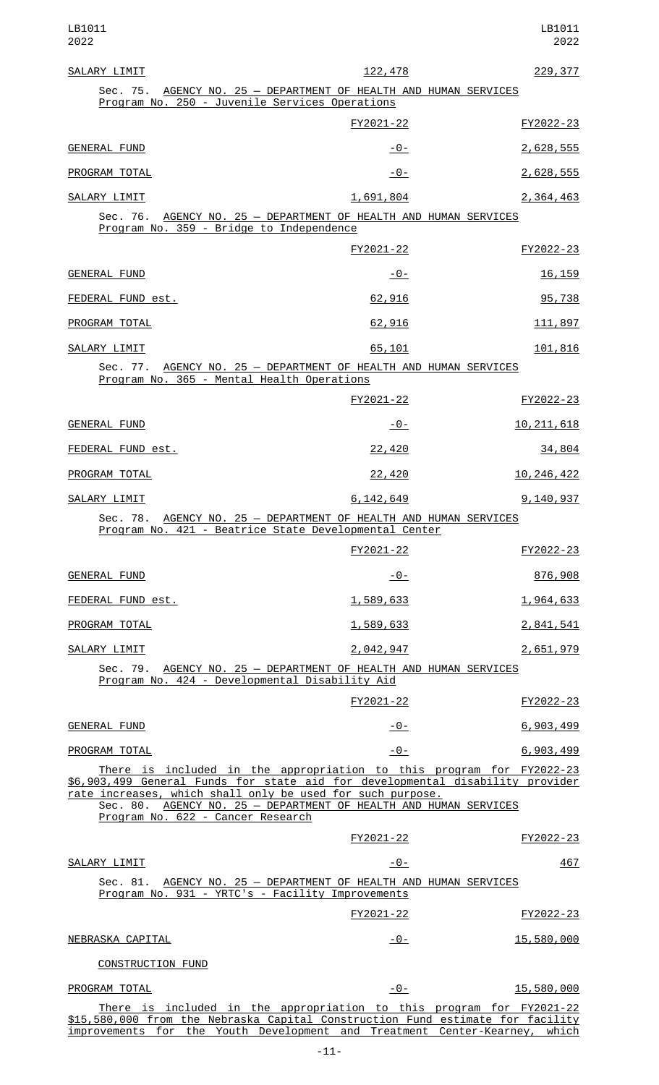| SALARY LIMIT                                                                                                                                                                                                                                                                                                                 | 122,478       | 229, 377              |
|------------------------------------------------------------------------------------------------------------------------------------------------------------------------------------------------------------------------------------------------------------------------------------------------------------------------------|---------------|-----------------------|
| Sec. 75. AGENCY NO. 25 - DEPARTMENT OF HEALTH AND HUMAN SERVICES<br>Program No. 250 - Juvenile Services Operations                                                                                                                                                                                                           |               |                       |
|                                                                                                                                                                                                                                                                                                                              | FY2021-22     | FY2022-23             |
| <b>GENERAL FUND</b>                                                                                                                                                                                                                                                                                                          | <u>- 0 - </u> | 2,628,555             |
| PROGRAM TOTAL                                                                                                                                                                                                                                                                                                                | -0-           | 2,628,555             |
| SALARY LIMIT                                                                                                                                                                                                                                                                                                                 | 1,691,804     | 2,364,463             |
| Sec. 76. AGENCY NO. 25 - DEPARTMENT OF HEALTH AND HUMAN SERVICES<br>Program No. 359 - Bridge to Independence                                                                                                                                                                                                                 |               |                       |
|                                                                                                                                                                                                                                                                                                                              | FY2021-22     | FY2022-23             |
| <b>GENERAL FUND</b>                                                                                                                                                                                                                                                                                                          | <u>- 0 - </u> | <u>16, 159</u>        |
| FEDERAL FUND est.                                                                                                                                                                                                                                                                                                            | 62,916        | 95,738                |
| PROGRAM TOTAL                                                                                                                                                                                                                                                                                                                | 62,916        | 111,897               |
| SALARY LIMIT                                                                                                                                                                                                                                                                                                                 | 65,101        | 101,816               |
| Sec. 77. AGENCY NO. 25 - DEPARTMENT OF HEALTH AND HUMAN SERVICES<br>Program No. 365 - Mental Health Operations                                                                                                                                                                                                               |               |                       |
|                                                                                                                                                                                                                                                                                                                              | FY2021-22     | FY2022-23             |
| GENERAL FUND                                                                                                                                                                                                                                                                                                                 | -0-           | 10, 211, 618          |
| FEDERAL FUND est.                                                                                                                                                                                                                                                                                                            | 22,420        | 34,804                |
| PROGRAM TOTAL                                                                                                                                                                                                                                                                                                                | 22,420        | 10, 246, 422          |
| SALARY LIMIT                                                                                                                                                                                                                                                                                                                 | 6, 142, 649   | 9,140,937             |
| Sec. 78. AGENCY NO. 25 - DEPARTMENT OF HEALTH AND HUMAN SERVICES<br>Program No. 421 - Beatrice State Developmental Center                                                                                                                                                                                                    |               |                       |
|                                                                                                                                                                                                                                                                                                                              | FY2021-22     | FY2022-23             |
| <b>GENERAL FUND</b>                                                                                                                                                                                                                                                                                                          | $-0-$         | 876,908               |
| FEDERAL FUND est.                                                                                                                                                                                                                                                                                                            | 1,589,633     | 1,964,633             |
| PROGRAM TOTAL                                                                                                                                                                                                                                                                                                                | 1,589,633     | 2,841,541             |
| SALARY LIMIT                                                                                                                                                                                                                                                                                                                 | 2,042,947     | 2,651,979             |
| Sec. 79. AGENCY NO. 25 - DEPARTMENT OF HEALTH AND HUMAN SERVICES<br>Program No. 424 - Developmental Disability Aid                                                                                                                                                                                                           |               |                       |
|                                                                                                                                                                                                                                                                                                                              | FY2021-22     | FY2022-23             |
| <b>GENERAL FUND</b>                                                                                                                                                                                                                                                                                                          | $-0-$         | 6,903,499             |
| PROGRAM TOTAL                                                                                                                                                                                                                                                                                                                | $-0-$         | 6,903,499             |
| There is included in the appropriation to this program for FY2022-23<br>\$6,903,499 General Funds for state aid for developmental disability provider<br>rate increases, which shall only be used for such purpose.<br>Sec. 80. AGENCY NO. 25 - DEPARTMENT OF HEALTH AND HUMAN SERVICES<br>Program No. 622 - Cancer Research |               |                       |
|                                                                                                                                                                                                                                                                                                                              | FY2021-22     | FY2022-23             |
| SALARY LIMIT                                                                                                                                                                                                                                                                                                                 | $-0-$         | 467                   |
| Sec. 81. AGENCY NO. 25 - DEPARTMENT OF HEALTH AND HUMAN SERVICES<br>Program No. 931 - YRTC's - Facility Improvements                                                                                                                                                                                                         |               |                       |
|                                                                                                                                                                                                                                                                                                                              | FY2021-22     | FY2022-23             |
| NEBRASKA CAPITAL                                                                                                                                                                                                                                                                                                             | $-0-$         | 15,580,000            |
| CONSTRUCTION FUND                                                                                                                                                                                                                                                                                                            |               |                       |
| PROGRAM TOTAL                                                                                                                                                                                                                                                                                                                | $-0-$         | 15,580,000            |
| There is included in the appropriation to this program for FY2021-22<br>the roo one from the Nebreeke Cenital Construction Fund                                                                                                                                                                                              |               | انتائممك سمك ملمسنلما |

\$15,580,000 from the Nebraska Capital Construction Fund estimate for facility improvements for the Youth Development and Treatment Center-Kearney, which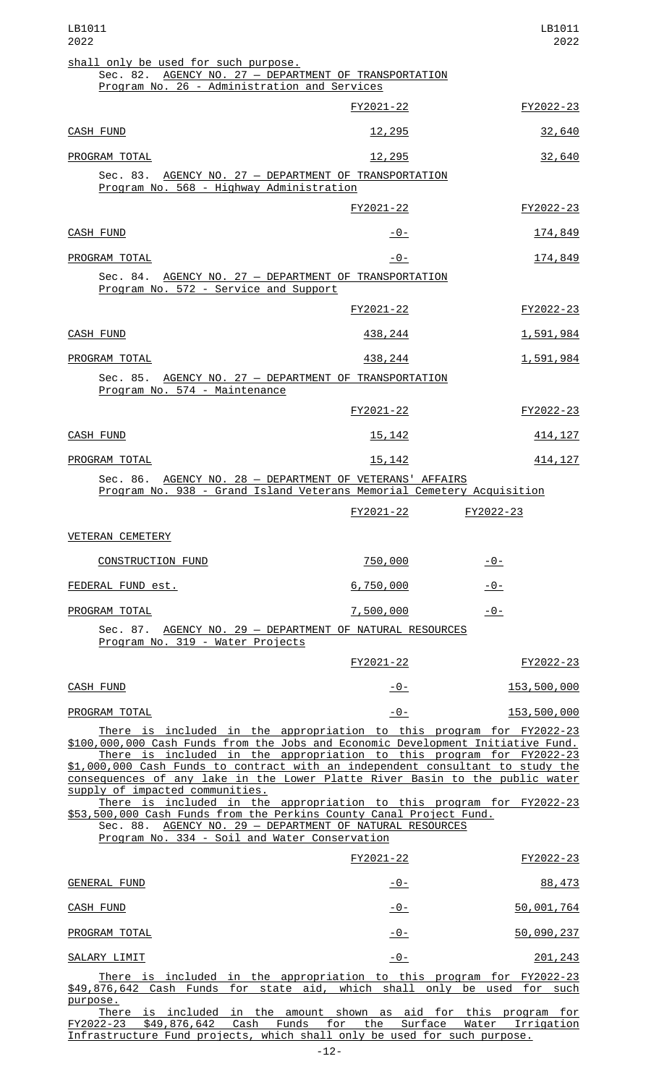| LB1011<br>2022                                                                                                                                                                                                                                                                                                                                                                                                                        |                       | LB1011<br>2022      |
|---------------------------------------------------------------------------------------------------------------------------------------------------------------------------------------------------------------------------------------------------------------------------------------------------------------------------------------------------------------------------------------------------------------------------------------|-----------------------|---------------------|
| shall only be used for such purpose.<br>Sec. 82. AGENCY NO. 27 - DEPARTMENT OF TRANSPORTATION                                                                                                                                                                                                                                                                                                                                         |                       |                     |
| Program No. 26 - Administration and Services                                                                                                                                                                                                                                                                                                                                                                                          |                       |                     |
|                                                                                                                                                                                                                                                                                                                                                                                                                                       | FY2021-22             | FY2022-23           |
| <b>CASH FUND</b>                                                                                                                                                                                                                                                                                                                                                                                                                      | 12,295                | 32,640              |
| PROGRAM TOTAL                                                                                                                                                                                                                                                                                                                                                                                                                         | <u>12,295</u>         | 32,640              |
| Sec. 83. AGENCY NO. 27 - DEPARTMENT OF TRANSPORTATION<br>Program No. 568 - Highway Administration                                                                                                                                                                                                                                                                                                                                     |                       |                     |
|                                                                                                                                                                                                                                                                                                                                                                                                                                       | FY2021-22             | FY2022-23           |
| <b>CASH FUND</b>                                                                                                                                                                                                                                                                                                                                                                                                                      | $-0-$                 | 174,849             |
| PROGRAM TOTAL                                                                                                                                                                                                                                                                                                                                                                                                                         | -0-                   | 174,849             |
| Sec. 84. AGENCY NO. 27 - DEPARTMENT OF TRANSPORTATION<br>Program No. 572 - Service and Support                                                                                                                                                                                                                                                                                                                                        |                       |                     |
|                                                                                                                                                                                                                                                                                                                                                                                                                                       | FY2021-22             | FY2022-23           |
| <b>CASH FUND</b>                                                                                                                                                                                                                                                                                                                                                                                                                      | 438,244               | 1,591,984           |
| PROGRAM TOTAL                                                                                                                                                                                                                                                                                                                                                                                                                         | 438, 244              | 1,591,984           |
| Sec. 85. AGENCY NO. 27 - DEPARTMENT OF TRANSPORTATION<br>Program No. 574 - Maintenance                                                                                                                                                                                                                                                                                                                                                |                       |                     |
|                                                                                                                                                                                                                                                                                                                                                                                                                                       | FY2021-22             | FY2022-23           |
| <b>CASH FUND</b>                                                                                                                                                                                                                                                                                                                                                                                                                      | 15, 142               | 414, 127            |
| PROGRAM TOTAL                                                                                                                                                                                                                                                                                                                                                                                                                         | 15, 142               | 414, 127            |
| Sec. 86. AGENCY NO. 28 - DEPARTMENT OF VETERANS' AFFAIRS<br>Program No. 938 - Grand Island Veterans Memorial Cemetery Acquisition                                                                                                                                                                                                                                                                                                     |                       |                     |
|                                                                                                                                                                                                                                                                                                                                                                                                                                       | FY2021-22             | FY2022-23           |
| <b>VETERAN CEMETERY</b>                                                                                                                                                                                                                                                                                                                                                                                                               |                       |                     |
| <b>CONSTRUCTION FUND</b>                                                                                                                                                                                                                                                                                                                                                                                                              | 750,000               | $-0-$               |
| FEDERAL FUND est.                                                                                                                                                                                                                                                                                                                                                                                                                     | 6,750,000             | $-0-$               |
| PROGRAM TOTAL                                                                                                                                                                                                                                                                                                                                                                                                                         | 7,500,000             | $-0-$               |
| Sec. 87. AGENCY NO. 29 - DEPARTMENT OF NATURAL RESOURCES                                                                                                                                                                                                                                                                                                                                                                              |                       |                     |
| Program No. 319 - Water Projects                                                                                                                                                                                                                                                                                                                                                                                                      |                       |                     |
|                                                                                                                                                                                                                                                                                                                                                                                                                                       | FY2021-22             | FY2022-23           |
| <b>CASH FUND</b>                                                                                                                                                                                                                                                                                                                                                                                                                      | $-0-$                 | 153,500,000         |
| PROGRAM TOTAL                                                                                                                                                                                                                                                                                                                                                                                                                         | $-0-$                 | 153,500,000         |
| There is included in the appropriation to this program for FY2022-23<br>\$100,000,000 Cash Funds from the Jobs and Economic Development Initiative Fund.<br>There is included in the appropriation to this program for FY2022-23<br>\$1,000,000 Cash Funds to contract with an independent consultant to study the<br>consequences of any lake in the Lower Platte River Basin to the public water<br>supply of impacted communities. |                       |                     |
| There is included in the appropriation to this program for FY2022-23<br>\$53,500,000 Cash Funds from the Perkins County Canal Project Fund.<br>Sec. 88. AGENCY NO. 29 - DEPARTMENT OF NATURAL RESOURCES<br>Program No. 334 - Soil and Water Conservation                                                                                                                                                                              |                       |                     |
|                                                                                                                                                                                                                                                                                                                                                                                                                                       | FY2021-22             | FY2022-23           |
| GENERAL FUND                                                                                                                                                                                                                                                                                                                                                                                                                          | $-0-$                 | 88,473              |
| <b>CASH FUND</b>                                                                                                                                                                                                                                                                                                                                                                                                                      | $-0-$                 | 50,001,764          |
| PROGRAM TOTAL                                                                                                                                                                                                                                                                                                                                                                                                                         | $-0-$                 | 50,090,237          |
| SALARY LIMIT                                                                                                                                                                                                                                                                                                                                                                                                                          | $-0-$                 | 201, 243            |
| There is included in the appropriation to this program for FY2022-23<br>\$49,876,642 Cash Funds for state aid, which shall only be used for such<br>purpose.                                                                                                                                                                                                                                                                          |                       |                     |
| There is included in the amount shown as aid for this program for<br>Cash<br><b>Funds</b><br>FY2022-23<br>\$49,876,642                                                                                                                                                                                                                                                                                                                | for<br>the<br>Surface | Irrigation<br>Water |

Infrastructure Fund projects, which shall only be used for such purpose.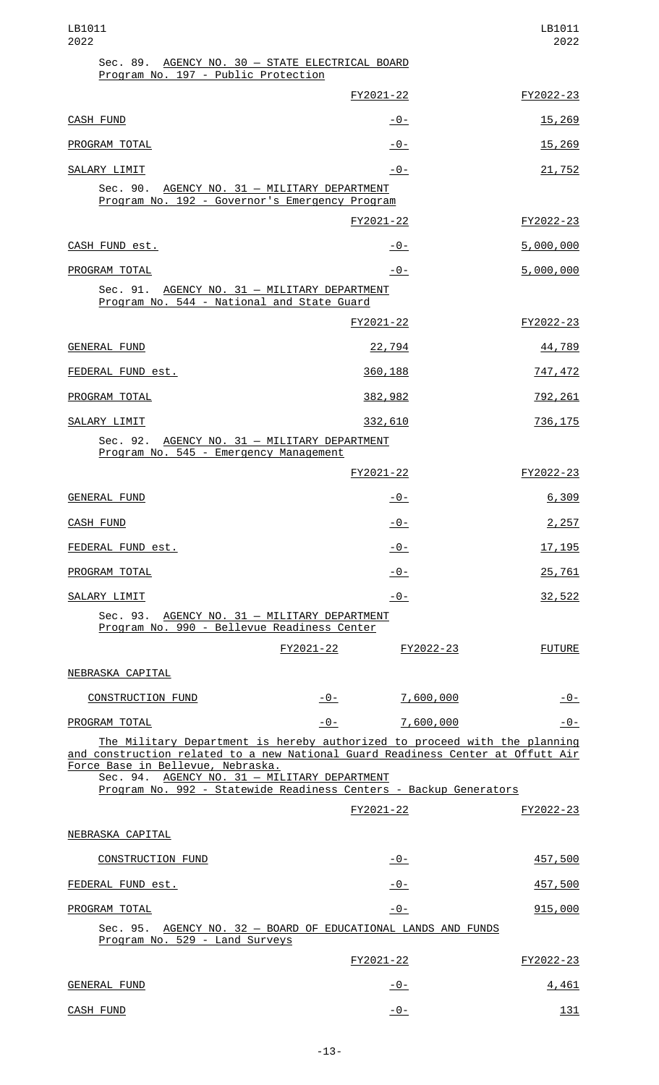| LB1011<br>2022                                                                                                                                                                                                                                                                                                         |       |                     | LB1011<br>2022  |
|------------------------------------------------------------------------------------------------------------------------------------------------------------------------------------------------------------------------------------------------------------------------------------------------------------------------|-------|---------------------|-----------------|
| Sec. 89. AGENCY NO. 30 - STATE ELECTRICAL BOARD<br>Program No. 197 - Public Protection                                                                                                                                                                                                                                 |       |                     |                 |
|                                                                                                                                                                                                                                                                                                                        |       | FY2021-22           | FY2022-23       |
| <b>CASH FUND</b>                                                                                                                                                                                                                                                                                                       |       | -0-                 | <u>15,269</u>   |
| PROGRAM TOTAL                                                                                                                                                                                                                                                                                                          |       | -0-                 | <u>15,269</u>   |
| SALARY LIMIT                                                                                                                                                                                                                                                                                                           |       | $-0-$               | <u>21,752</u>   |
| Sec. 90.<br>AGENCY NO. 31 - MILITARY DEPARTMENT<br>Program No. 192 - Governor's Emergency Program                                                                                                                                                                                                                      |       |                     |                 |
|                                                                                                                                                                                                                                                                                                                        |       | FY2021-22           | FY2022-23       |
| CASH FUND est.                                                                                                                                                                                                                                                                                                         |       | -0-                 | 5,000,000       |
| PROGRAM TOTAL                                                                                                                                                                                                                                                                                                          |       | -0-                 | 5,000,000       |
| Sec. 91. AGENCY NO. 31 - MILITARY DEPARTMENT<br>Program No. 544 - National and State Guard                                                                                                                                                                                                                             |       |                     |                 |
|                                                                                                                                                                                                                                                                                                                        |       | FY2021-22           | FY2022-23       |
| GENERAL FUND                                                                                                                                                                                                                                                                                                           |       | 22,794              | 44,789          |
| FEDERAL FUND est.                                                                                                                                                                                                                                                                                                      |       | 360,188             | 747,472         |
| PROGRAM TOTAL                                                                                                                                                                                                                                                                                                          |       | 382,982             | <u>792, 261</u> |
| SALARY LIMIT                                                                                                                                                                                                                                                                                                           |       | 332,610             | 736, 175        |
| Sec. 92. AGENCY NO. 31 - MILITARY DEPARTMENT<br>Program No. 545 - Emergency Management                                                                                                                                                                                                                                 |       |                     |                 |
|                                                                                                                                                                                                                                                                                                                        |       | FY2021-22           | FY2022-23       |
| <b>GENERAL FUND</b>                                                                                                                                                                                                                                                                                                    |       | -0-                 | 6,309           |
| <b>CASH FUND</b>                                                                                                                                                                                                                                                                                                       |       | $-0-$               | 2,257           |
| FEDERAL FUND est.                                                                                                                                                                                                                                                                                                      |       | $-0-$               | 17, 195         |
| PROGRAM TOTAL                                                                                                                                                                                                                                                                                                          |       | $-0-$               | 25,761          |
| SALARY LIMIT                                                                                                                                                                                                                                                                                                           |       | $-0-$               | 32,522          |
| Sec. 93. AGENCY NO. 31 - MILITARY DEPARTMENT<br>Program No. 990 - Bellevue Readiness Center                                                                                                                                                                                                                            |       |                     |                 |
|                                                                                                                                                                                                                                                                                                                        |       | FY2021-22 FY2022-23 | <b>FUTURE</b>   |
| NEBRASKA CAPITAL                                                                                                                                                                                                                                                                                                       |       |                     |                 |
| <b>CONSTRUCTION FUND</b>                                                                                                                                                                                                                                                                                               | - 0 - | <u>7,600,000</u>    | $-0-$           |
| PROGRAM TOTAL                                                                                                                                                                                                                                                                                                          | $-0-$ | 7,600,000           | -0-             |
| The Military Department is hereby authorized to proceed with the planning<br>and construction related to a new National Guard Readiness Center at Offutt Air<br>Force Base in Bellevue, Nebraska.<br>Sec. 94. AGENCY NO. 31 - MILITARY DEPARTMENT<br>Program No. 992 - Statewide Readiness Centers - Backup Generators |       |                     |                 |
|                                                                                                                                                                                                                                                                                                                        |       | FY2021-22           | FY2022-23       |
| NEBRASKA CAPITAL                                                                                                                                                                                                                                                                                                       |       |                     |                 |
| <b>CONSTRUCTION FUND</b>                                                                                                                                                                                                                                                                                               |       | $-0-$               | <u>457,500</u>  |
| FEDERAL FUND est.                                                                                                                                                                                                                                                                                                      |       | $-0-$               | 457,500         |
| PROGRAM TOTAL                                                                                                                                                                                                                                                                                                          |       | <u> - 0 - </u>      | 915,000         |
| Sec. 95. AGENCY NO. 32 - BOARD OF EDUCATIONAL LANDS AND FUNDS<br>Program No. 529 - Land Surveys                                                                                                                                                                                                                        |       |                     |                 |
|                                                                                                                                                                                                                                                                                                                        |       | FY2021-22           | FY2022-23       |
| <b>GENERAL FUND</b>                                                                                                                                                                                                                                                                                                    |       | <u> - 0 - </u>      | 4,461           |
| <b>CASH FUND</b>                                                                                                                                                                                                                                                                                                       |       | $-0-$               | 131             |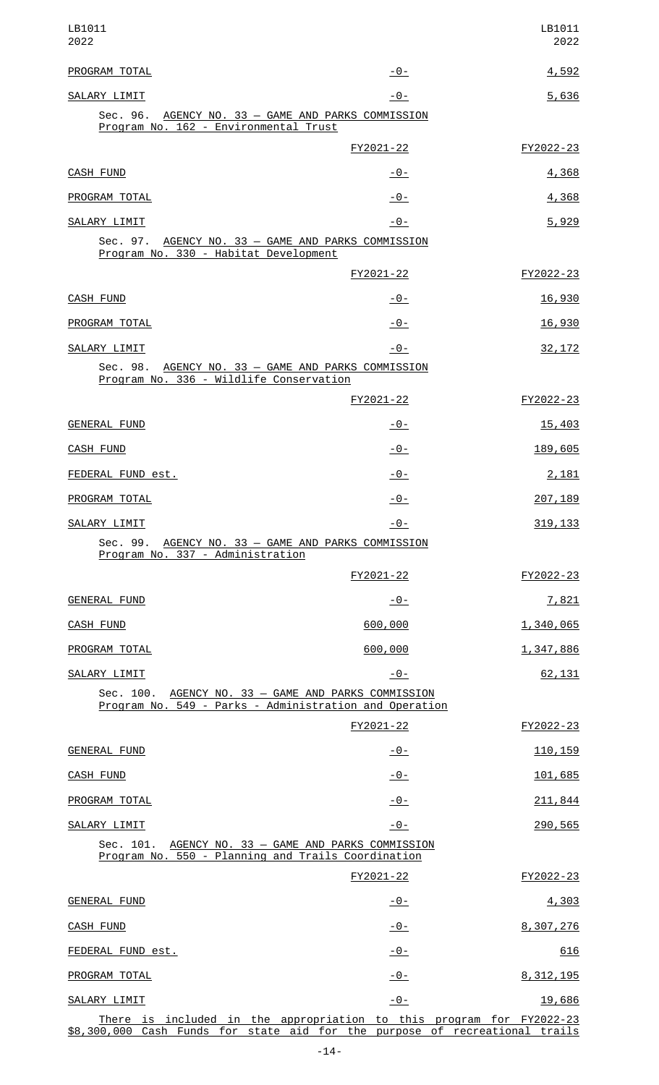| LB1011<br>2022                                                                                                                                      |                | LB1011<br>2022 |
|-----------------------------------------------------------------------------------------------------------------------------------------------------|----------------|----------------|
| PROGRAM TOTAL                                                                                                                                       | $-0-$          | 4,592          |
| SALARY LIMIT<br>Sec. 96. AGENCY NO. 33 - GAME AND PARKS COMMISSION<br>Program No. 162 - Environmental Trust                                         | $-0-$          | 5,636          |
|                                                                                                                                                     | FY2021-22      | FY2022-23      |
| CASH FUND                                                                                                                                           | <u> - 0 - </u> | 4,368          |
| PROGRAM TOTAL                                                                                                                                       | $-0-$          | 4,368          |
| SALARY LIMIT                                                                                                                                        | $-0-$          | 5,929          |
| Sec. 97. AGENCY NO. 33 - GAME AND PARKS COMMISSION<br>Program No. 330 - Habitat Development                                                         |                |                |
|                                                                                                                                                     | FY2021-22      | FY2022-23      |
| CASH FUND                                                                                                                                           | <u> - 0 - </u> | 16,930         |
| PROGRAM TOTAL                                                                                                                                       | $-0-$          | 16,930         |
| SALARY LIMIT                                                                                                                                        | $-0-$          | 32, 172        |
| Sec. 98. AGENCY NO. 33 - GAME AND PARKS COMMISSION<br>Program No. 336 - Wildlife Conservation                                                       |                |                |
|                                                                                                                                                     | FY2021-22      | FY2022-23      |
| <b>GENERAL FUND</b>                                                                                                                                 | <u> - 0 - </u> | 15,403         |
| <b>CASH FUND</b>                                                                                                                                    | $-0-$          | 189,605        |
| FEDERAL FUND est.                                                                                                                                   | <u>- 0 - </u>  | 2,181          |
| PROGRAM TOTAL                                                                                                                                       | -0-            | 207, 189       |
| SALARY LIMIT                                                                                                                                        | $-0-$          | 319, 133       |
| Sec. 99. AGENCY NO. 33 - GAME AND PARKS COMMISSION<br>Program No. 337 - Administration                                                              |                |                |
|                                                                                                                                                     | FY2021-22      | FY2022-23      |
| <b>GENERAL FUND</b>                                                                                                                                 | $-0-$          | 7,821          |
| CASH FUND                                                                                                                                           | 600,000        | 1,340,065      |
| PROGRAM TOTAL                                                                                                                                       | 600,000        | 1,347,886      |
| SALARY LIMIT                                                                                                                                        | $-0-$          | 62,131         |
| Sec. 100. AGENCY NO. 33 - GAME AND PARKS COMMISSION<br>Program No. 549 - Parks - Administration and Operation                                       |                |                |
|                                                                                                                                                     | FY2021-22      | FY2022-23      |
| <b>GENERAL FUND</b>                                                                                                                                 | $-0-$          | 110, 159       |
| <b>CASH FUND</b>                                                                                                                                    | $-0-$          | 101,685        |
| PROGRAM TOTAL                                                                                                                                       | $-0-$          | 211,844        |
| SALARY LIMIT                                                                                                                                        | <u> - 0 - </u> | 290,565        |
| Sec. 101. AGENCY NO. 33 - GAME AND PARKS COMMISSION<br>Program No. 550 - Planning and Trails Coordination                                           |                |                |
|                                                                                                                                                     | FY2021-22      | FY2022-23      |
| <b>GENERAL FUND</b>                                                                                                                                 | $-0-$          | 4,303          |
| <b>CASH FUND</b>                                                                                                                                    | $-0-$          | 8,307,276      |
| FEDERAL FUND est.                                                                                                                                   | <u> - 0 - </u> | 616            |
| PROGRAM TOTAL                                                                                                                                       | <u> - 0 - </u> | 8, 312, 195    |
| SALARY LIMIT                                                                                                                                        | $-0-$          | 19,686         |
| There is included in the appropriation to this program for FY2022-23<br>\$8,300,000 Cash Funds for state aid for the purpose of recreational trails |                |                |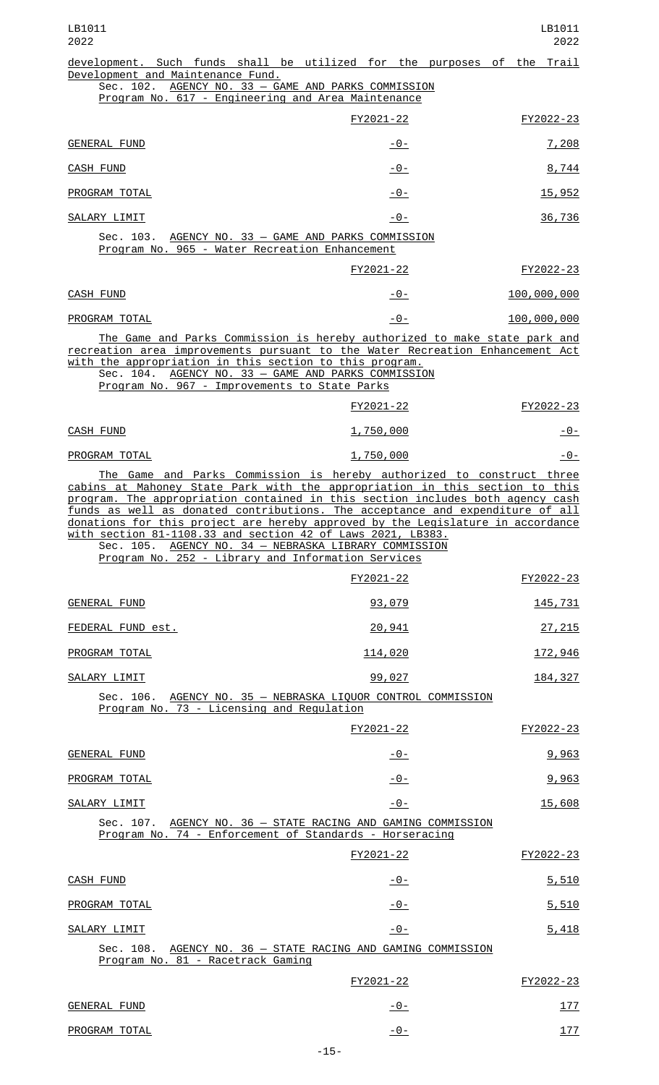| LB1011<br>2022                                                                                                                                                                                                                                                                                                                                                                                                                                                                                                                                                                           |                | LB1011<br>2022 |
|------------------------------------------------------------------------------------------------------------------------------------------------------------------------------------------------------------------------------------------------------------------------------------------------------------------------------------------------------------------------------------------------------------------------------------------------------------------------------------------------------------------------------------------------------------------------------------------|----------------|----------------|
| development. Such funds shall be utilized for the purposes of the Trail<br>Development and Maintenance Fund.                                                                                                                                                                                                                                                                                                                                                                                                                                                                             |                |                |
| Sec. 102. AGENCY NO. 33 - GAME AND PARKS COMMISSION<br>Program No. 617 - Engineering and Area Maintenance                                                                                                                                                                                                                                                                                                                                                                                                                                                                                |                |                |
|                                                                                                                                                                                                                                                                                                                                                                                                                                                                                                                                                                                          | FY2021-22      | FY2022-23      |
| <b>GENERAL FUND</b>                                                                                                                                                                                                                                                                                                                                                                                                                                                                                                                                                                      | <u> - 0 - </u> | 7,208          |
| <b>CASH FUND</b>                                                                                                                                                                                                                                                                                                                                                                                                                                                                                                                                                                         | -0-            | 8,744          |
| PROGRAM TOTAL                                                                                                                                                                                                                                                                                                                                                                                                                                                                                                                                                                            | $-0-$          | 15,952         |
| SALARY LIMIT                                                                                                                                                                                                                                                                                                                                                                                                                                                                                                                                                                             | -0-            | 36,736         |
| Sec. 103. AGENCY NO. 33 - GAME AND PARKS COMMISSION<br>Program No. 965 - Water Recreation Enhancement                                                                                                                                                                                                                                                                                                                                                                                                                                                                                    |                |                |
|                                                                                                                                                                                                                                                                                                                                                                                                                                                                                                                                                                                          | FY2021-22      | FY2022-23      |
| <b>CASH FUND</b>                                                                                                                                                                                                                                                                                                                                                                                                                                                                                                                                                                         | -0-            | 100,000,000    |
| PROGRAM TOTAL                                                                                                                                                                                                                                                                                                                                                                                                                                                                                                                                                                            | $-0-$          | 100,000,000    |
| The Game and Parks Commission is hereby authorized to make state park and<br>recreation area improvements pursuant to the Water Recreation Enhancement Act<br>with the appropriation in this section to this program.<br>Sec. 104. AGENCY NO. 33 - GAME AND PARKS COMMISSION<br>Program No. 967 - Improvements to State Parks                                                                                                                                                                                                                                                            |                |                |
|                                                                                                                                                                                                                                                                                                                                                                                                                                                                                                                                                                                          | FY2021-22      | FY2022-23      |
| CASH FUND                                                                                                                                                                                                                                                                                                                                                                                                                                                                                                                                                                                | 1,750,000      | <u> - 0 - </u> |
| PROGRAM TOTAL                                                                                                                                                                                                                                                                                                                                                                                                                                                                                                                                                                            | 1,750,000      | -0-            |
| The Game and Parks Commission is hereby authorized to construct three<br>cabins at Mahoney State Park with the appropriation in this section to this<br>program. The appropriation contained in this section includes both agency cash<br>funds as well as donated contributions. The acceptance and expenditure of all<br>donations for this project are hereby approved by the Legislature in accordance<br>with section 81-1108.33 and section 42 of Laws 2021, LB383.<br>Sec. 105. AGENCY NO. 34 - NEBRASKA LIBRARY COMMISSION<br>Program No. 252 - Library and Information Services |                |                |
|                                                                                                                                                                                                                                                                                                                                                                                                                                                                                                                                                                                          | FY2021-22      | FY2022-23      |
| <b>GENERAL FUND</b>                                                                                                                                                                                                                                                                                                                                                                                                                                                                                                                                                                      | 93,079         | 145,731        |
| FEDERAL FUND est.                                                                                                                                                                                                                                                                                                                                                                                                                                                                                                                                                                        | 20,941         | 27, 215        |
| PROGRAM TOTAL                                                                                                                                                                                                                                                                                                                                                                                                                                                                                                                                                                            | <u>114,020</u> | <u>172,946</u> |
| SALARY LIMIT                                                                                                                                                                                                                                                                                                                                                                                                                                                                                                                                                                             | 99,027         | 184, 327       |
| Sec. 106. AGENCY NO. 35 - NEBRASKA LIQUOR CONTROL COMMISSION<br>Program No. 73 - Licensing and Regulation                                                                                                                                                                                                                                                                                                                                                                                                                                                                                |                |                |
|                                                                                                                                                                                                                                                                                                                                                                                                                                                                                                                                                                                          | FY2021-22      | FY2022-23      |
| <b>GENERAL FUND</b>                                                                                                                                                                                                                                                                                                                                                                                                                                                                                                                                                                      | <u> - 0 - </u> | 9,963          |
| PROGRAM TOTAL                                                                                                                                                                                                                                                                                                                                                                                                                                                                                                                                                                            | $-0-$          | 9,963          |
| SALARY LIMIT                                                                                                                                                                                                                                                                                                                                                                                                                                                                                                                                                                             | $-0-$          | 15,608         |
| Sec. 107. AGENCY NO. 36 - STATE RACING AND GAMING COMMISSION<br>Program No. 74 - Enforcement of Standards - Horseracing                                                                                                                                                                                                                                                                                                                                                                                                                                                                  |                |                |
|                                                                                                                                                                                                                                                                                                                                                                                                                                                                                                                                                                                          | FY2021-22      | FY2022-23      |
| CASH FUND                                                                                                                                                                                                                                                                                                                                                                                                                                                                                                                                                                                | -0-            | 5,510          |
| PROGRAM TOTAL                                                                                                                                                                                                                                                                                                                                                                                                                                                                                                                                                                            | -0-            | 5,510          |
| SALARY LIMIT                                                                                                                                                                                                                                                                                                                                                                                                                                                                                                                                                                             | $-0-$          | 5,418          |
| AGENCY NO. 36 - STATE RACING AND GAMING COMMISSION<br>Sec. 108.<br>Program No. 81 - Racetrack Gaming                                                                                                                                                                                                                                                                                                                                                                                                                                                                                     |                |                |
|                                                                                                                                                                                                                                                                                                                                                                                                                                                                                                                                                                                          | FY2021-22      | FY2022-23      |
| <b>GENERAL FUND</b>                                                                                                                                                                                                                                                                                                                                                                                                                                                                                                                                                                      | $-0-$          | 177            |
| PROGRAM TOTAL                                                                                                                                                                                                                                                                                                                                                                                                                                                                                                                                                                            | $-0-$          | 177            |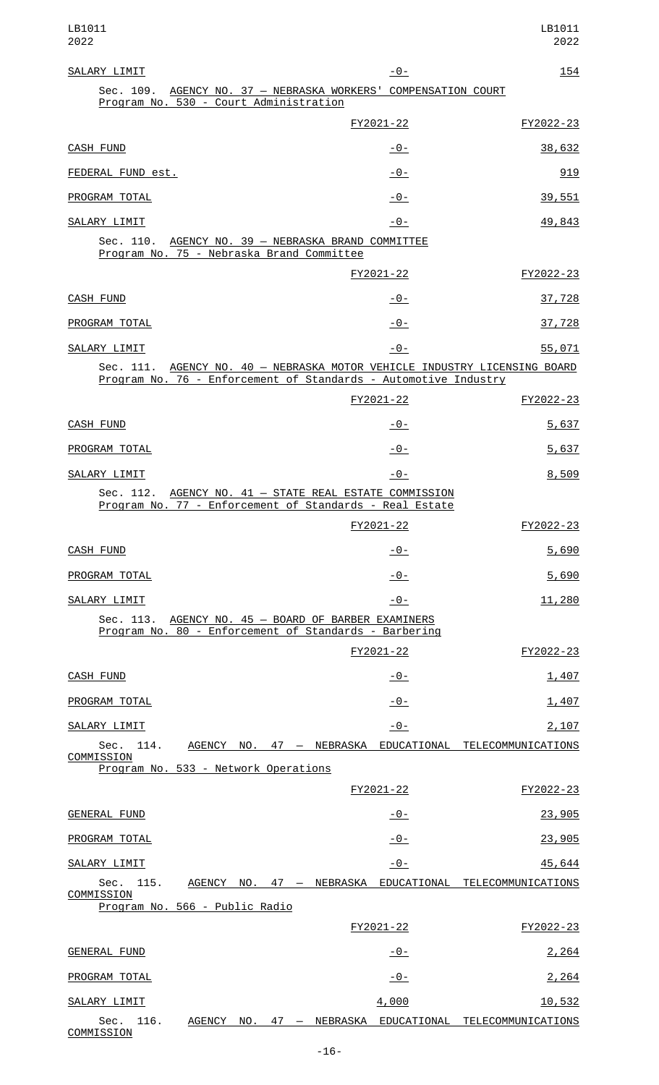| SALARY LIMIT                                                                                                                                 | $-0-$          | <u> 154</u> |
|----------------------------------------------------------------------------------------------------------------------------------------------|----------------|-------------|
| Sec. 109. AGENCY NO. 37 - NEBRASKA WORKERS' COMPENSATION COURT<br>Program No. 530 - Court Administration                                     |                |             |
|                                                                                                                                              | FY2021-22      | FY2022-23   |
| <b>CASH FUND</b>                                                                                                                             | $-0-$          | 38,632      |
| FEDERAL FUND est.                                                                                                                            | $-0-$          | 919         |
| PROGRAM TOTAL                                                                                                                                | $-0-$          | 39,551      |
| SALARY LIMIT                                                                                                                                 | -0-            | 49,843      |
| Sec. 110. AGENCY NO. 39 - NEBRASKA BRAND COMMITTEE<br>Program No. 75 - Nebraska Brand Committee                                              |                |             |
|                                                                                                                                              | FY2021-22      | FY2022-23   |
| CASH FUND                                                                                                                                    | -0-            | 37,728      |
| PROGRAM TOTAL                                                                                                                                | $-0-$          | 37,728      |
| SALARY LIMIT                                                                                                                                 | $-0-$          | 55,071      |
| Sec. 111. AGENCY NO. 40 - NEBRASKA MOTOR VEHICLE INDUSTRY LICENSING BOARD<br>Program No. 76 - Enforcement of Standards - Automotive Industry |                |             |
|                                                                                                                                              | FY2021-22      | FY2022-23   |
| CASH FUND                                                                                                                                    | $-0-$          | 5,637       |
| PROGRAM TOTAL                                                                                                                                | $-0-$          | 5,637       |
| SALARY LIMIT                                                                                                                                 | $-0-$          | 8,509       |
| Sec. 112. AGENCY NO. 41 - STATE REAL ESTATE COMMISSION<br>Program No. 77 - Enforcement of Standards - Real Estate                            |                |             |
|                                                                                                                                              | FY2021-22      | FY2022-23   |
| CASH FUND                                                                                                                                    | $-0-$          | 5,690       |
| PROGRAM TOTAL                                                                                                                                | $-0-$          | 5,690       |
| SALARY LIMIT                                                                                                                                 | $-0-$          | 11,280      |
| Sec. 113. AGENCY NO. 45 - BOARD OF BARBER EXAMINERS<br>Program No. 80 - Enforcement of Standards - Barbering                                 |                |             |
|                                                                                                                                              | FY2021-22      | FY2022-23   |
| CASH FUND                                                                                                                                    | $-0-$          | 1,407       |
| PROGRAM TOTAL                                                                                                                                | $-0-$          | 1,407       |
| SALARY LIMIT                                                                                                                                 | $-0-$          | 2,107       |
| Sec. 114. AGENCY NO. 47 - NEBRASKA EDUCATIONAL TELECOMMUNICATIONS<br>COMMISSION                                                              |                |             |
| Program No. 533 - Network Operations                                                                                                         |                |             |
|                                                                                                                                              | FY2021-22      | FY2022-23   |
| <b>GENERAL FUND</b>                                                                                                                          | $-0-$          | 23,905      |
| PROGRAM TOTAL                                                                                                                                | $-0-$          | 23,905      |
| SALARY LIMIT                                                                                                                                 | $-0-$          | 45,644      |
| Sec.<br>115.<br>AGENCY NO. 47 - NEBRASKA EDUCATIONAL TELECOMMUNICATIONS<br>COMMISSION                                                        |                |             |
| Program No. 566 - Public Radio                                                                                                               | FY2021-22      | FY2022-23   |
| <b>GENERAL FUND</b>                                                                                                                          | $-0-$          | 2,264       |
| PROGRAM TOTAL                                                                                                                                | <u> - 0 - </u> | 2,264       |
| SALARY LIMIT                                                                                                                                 | 4,000          | 10,532      |

Sec. 116. <u>AGENCY NO. 47 — NEBRASKA EDUCATIONAL TELECOMMUNICATIONS</u> <u>COMMISSION</u>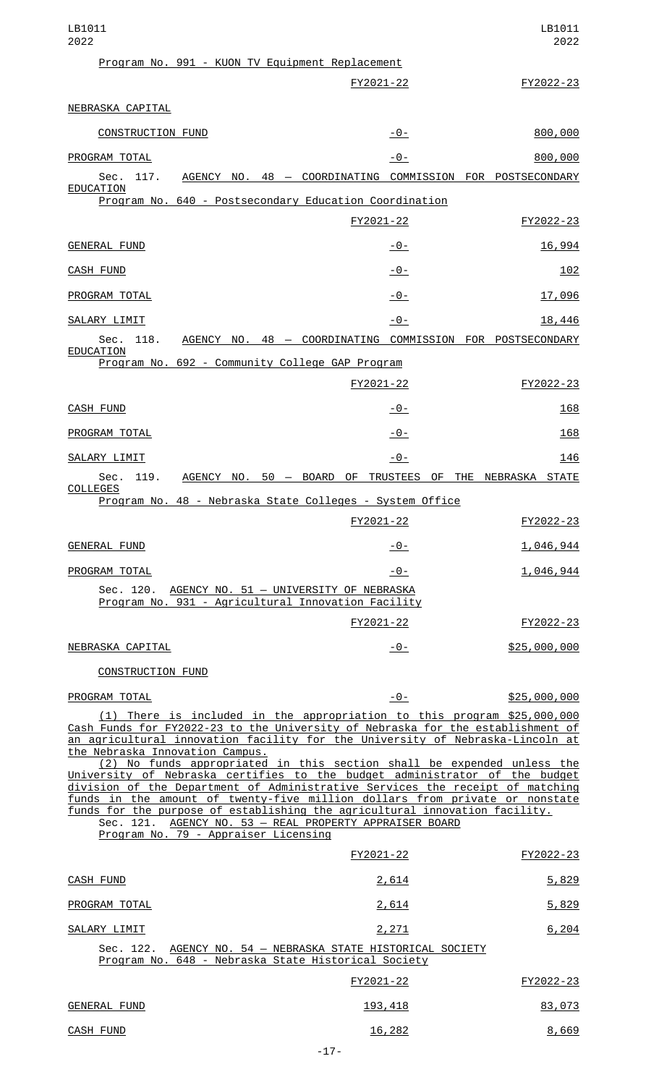| LB1011<br>2022                                                                                                                                                                                                                                                                                                                                                                                                                                                                                         |                                                           | LB1011<br>2022 |
|--------------------------------------------------------------------------------------------------------------------------------------------------------------------------------------------------------------------------------------------------------------------------------------------------------------------------------------------------------------------------------------------------------------------------------------------------------------------------------------------------------|-----------------------------------------------------------|----------------|
| Program No. 991 - KUON TV Equipment Replacement                                                                                                                                                                                                                                                                                                                                                                                                                                                        |                                                           |                |
|                                                                                                                                                                                                                                                                                                                                                                                                                                                                                                        | FY2021-22                                                 | FY2022-23      |
| NEBRASKA CAPITAL                                                                                                                                                                                                                                                                                                                                                                                                                                                                                       |                                                           |                |
| <b>CONSTRUCTION FUND</b>                                                                                                                                                                                                                                                                                                                                                                                                                                                                               | $-0-$                                                     | 800,000        |
| PROGRAM TOTAL                                                                                                                                                                                                                                                                                                                                                                                                                                                                                          | $ \Theta$ –                                               | 800,000        |
| Sec. 117.<br>EDUCATION                                                                                                                                                                                                                                                                                                                                                                                                                                                                                 | AGENCY NO. 48 - COORDINATING COMMISSION FOR POSTSECONDARY |                |
| Program No. 640 - Postsecondary Education Coordination                                                                                                                                                                                                                                                                                                                                                                                                                                                 |                                                           |                |
|                                                                                                                                                                                                                                                                                                                                                                                                                                                                                                        | FY2021-22                                                 | FY2022-23      |
| <b>GENERAL FUND</b>                                                                                                                                                                                                                                                                                                                                                                                                                                                                                    | -0-                                                       | 16,994         |
| <b>CASH FUND</b>                                                                                                                                                                                                                                                                                                                                                                                                                                                                                       | -0-                                                       | 102            |
| PROGRAM TOTAL                                                                                                                                                                                                                                                                                                                                                                                                                                                                                          | $-0-$                                                     | 17,096         |
| SALARY LIMIT                                                                                                                                                                                                                                                                                                                                                                                                                                                                                           | $-0-$                                                     | 18,446         |
| 118.<br>Sec.<br>EDUCATION                                                                                                                                                                                                                                                                                                                                                                                                                                                                              | AGENCY NO. 48 - COORDINATING COMMISSION FOR POSTSECONDARY |                |
| Program No. 692 - Community College GAP Program                                                                                                                                                                                                                                                                                                                                                                                                                                                        |                                                           |                |
|                                                                                                                                                                                                                                                                                                                                                                                                                                                                                                        | FY2021-22                                                 | FY2022-23      |
| CASH FUND                                                                                                                                                                                                                                                                                                                                                                                                                                                                                              | -0-                                                       | 168            |
| PROGRAM TOTAL                                                                                                                                                                                                                                                                                                                                                                                                                                                                                          | $-0-$                                                     | 168            |
| SALARY LIMIT                                                                                                                                                                                                                                                                                                                                                                                                                                                                                           | $-0-$                                                     | 146            |
| Sec.<br>119.                                                                                                                                                                                                                                                                                                                                                                                                                                                                                           | AGENCY NO. 50 - BOARD OF TRUSTEES OF THE NEBRASKA STATE   |                |
| COLLEGES<br>Program No. 48 - Nebraska State Colleges - System Office                                                                                                                                                                                                                                                                                                                                                                                                                                   |                                                           |                |
|                                                                                                                                                                                                                                                                                                                                                                                                                                                                                                        | FY2021-22                                                 | FY2022-23      |
| <b>GENERAL FUND</b>                                                                                                                                                                                                                                                                                                                                                                                                                                                                                    | -0-                                                       | 1,046,944      |
| PROGRAM TOTAL                                                                                                                                                                                                                                                                                                                                                                                                                                                                                          | $-0-$                                                     | 1,046,944      |
| Sec. 120. AGENCY NO. 51 - UNIVERSITY OF NEBRASKA<br>Program No. 931 - Agricultural Innovation Facility                                                                                                                                                                                                                                                                                                                                                                                                 |                                                           |                |
|                                                                                                                                                                                                                                                                                                                                                                                                                                                                                                        | FY2021-22                                                 | FY2022-23      |
| NEBRASKA CAPITAL                                                                                                                                                                                                                                                                                                                                                                                                                                                                                       | -0-                                                       | \$25,000,000   |
| CONSTRUCTION FUND                                                                                                                                                                                                                                                                                                                                                                                                                                                                                      |                                                           |                |
| PROGRAM TOTAL                                                                                                                                                                                                                                                                                                                                                                                                                                                                                          | $-0-$                                                     | \$25,000,000   |
| (1) There is included in the appropriation to this program \$25,000,000<br>Cash Funds for FY2022-23 to the University of Nebraska for the establishment of<br>an agricultural innovation facility for the University of Nebraska-Lincoln at<br>the Nebraska Innovation Campus.                                                                                                                                                                                                                         |                                                           |                |
| (2) No funds appropriated in this section shall be expended unless the<br>University of Nebraska certifies to the budget administrator of the budget<br>division of the Department of Administrative Services the receipt of matching<br>funds in the amount of twenty-five million dollars from private or nonstate<br>funds for the purpose of establishing the agricultural innovation facility.<br>Sec. 121. AGENCY NO. 53 - REAL PROPERTY APPRAISER BOARD<br>Program No. 79 - Appraiser Licensing |                                                           |                |
|                                                                                                                                                                                                                                                                                                                                                                                                                                                                                                        | FY2021-22                                                 | FY2022-23      |
| <b>CASH FUND</b>                                                                                                                                                                                                                                                                                                                                                                                                                                                                                       | 2,614                                                     | 5,829          |
| PROGRAM TOTAL                                                                                                                                                                                                                                                                                                                                                                                                                                                                                          | 2,614                                                     | 5,829          |
| SALARY LIMIT                                                                                                                                                                                                                                                                                                                                                                                                                                                                                           | 2,271                                                     | 6,204          |
| Sec. 122. AGENCY NO. 54 - NEBRASKA STATE HISTORICAL SOCIETY<br>Program No. 648 - Nebraska State Historical Society                                                                                                                                                                                                                                                                                                                                                                                     |                                                           |                |
|                                                                                                                                                                                                                                                                                                                                                                                                                                                                                                        | FY2021-22                                                 | FY2022-23      |
| <b>GENERAL FUND</b>                                                                                                                                                                                                                                                                                                                                                                                                                                                                                    | <u>193, 418</u>                                           | 83,073         |
| <b>CASH FUND</b>                                                                                                                                                                                                                                                                                                                                                                                                                                                                                       | 16,282                                                    | 8,669          |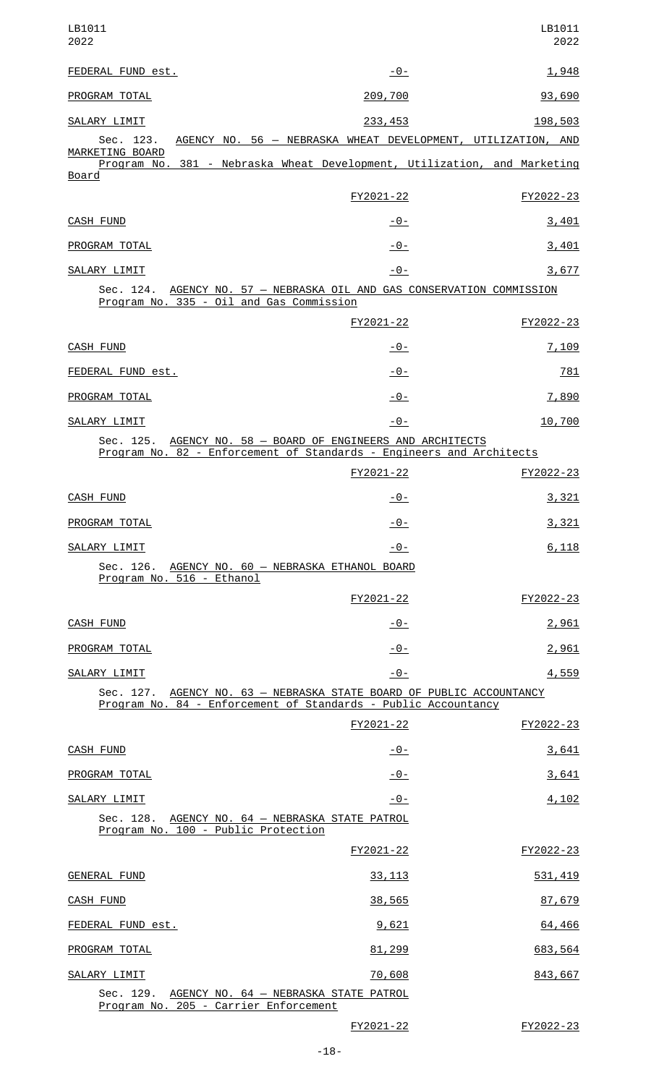| LB1011<br>2022                                                                                                                         |                | LB1011<br>2022 |
|----------------------------------------------------------------------------------------------------------------------------------------|----------------|----------------|
| FEDERAL FUND est.                                                                                                                      | $-0-$          | 1,948          |
| PROGRAM TOTAL                                                                                                                          | 209,700        | 93,690         |
| SALARY LIMIT                                                                                                                           | 233,453        | 198,503        |
| AGENCY NO. 56 - NEBRASKA WHEAT DEVELOPMENT, UTILIZATION, AND<br>Sec. 123.<br>MARKETING BOARD                                           |                |                |
| Program No. 381 - Nebraska Wheat Development, Utilization, and Marketing<br><u>Board</u>                                               |                |                |
|                                                                                                                                        | FY2021-22      | FY2022-23      |
| CASH FUND                                                                                                                              | $-0-$          | 3,401          |
| PROGRAM TOTAL                                                                                                                          | $-0-$          | 3,401          |
| SALARY LIMIT                                                                                                                           | $-0-$          | 3,677          |
| Sec. 124. AGENCY NO. 57 - NEBRASKA OIL AND GAS CONSERVATION COMMISSION<br>Program No. 335 - Oil and Gas Commission                     |                |                |
|                                                                                                                                        | FY2021-22      | FY2022-23      |
| CASH FUND                                                                                                                              | -0-            | 7,109          |
| FEDERAL FUND est.                                                                                                                      | $-0-$          | 781            |
| PROGRAM TOTAL                                                                                                                          | -0-            | 7,890          |
| SALARY LIMIT                                                                                                                           | $-0-$          | 10,700         |
| Sec. 125. AGENCY NO. 58 - BOARD OF ENGINEERS AND ARCHITECTS<br>Program No. 82 - Enforcement of Standards - Engineers and Architects    |                |                |
|                                                                                                                                        | FY2021-22      | FY2022-23      |
| <b>CASH FUND</b>                                                                                                                       | -0-            | 3,321          |
| PROGRAM TOTAL                                                                                                                          | $-0-$          | 3,321          |
| SALARY LIMIT                                                                                                                           | <u> - 0 - </u> | 6,118          |
| Sec. 126. AGENCY NO. 60 - NEBRASKA ETHANOL BOARD<br>Program No. 516 - Ethanol                                                          |                |                |
|                                                                                                                                        | FY2021-22      | FY2022-23      |
| <b>CASH FUND</b>                                                                                                                       | $-0-$          | 2,961          |
| PROGRAM TOTAL                                                                                                                          | $-0-$          | 2,961          |
| SALARY LIMIT                                                                                                                           | $-0-$          | 4,559          |
| Sec. 127. AGENCY NO. 63 - NEBRASKA STATE BOARD OF PUBLIC ACCOUNTANCY<br>Program No. 84 - Enforcement of Standards - Public Accountancy |                |                |
|                                                                                                                                        | FY2021-22      | FY2022-23      |
| <b>CASH FUND</b>                                                                                                                       | <u> - 0 - </u> | 3,641          |
| PROGRAM TOTAL                                                                                                                          | <u>- 0 - </u>  | 3,641          |
| SALARY LIMIT                                                                                                                           | $-0-$          | 4,102          |
| Sec. 128. AGENCY NO. 64 - NEBRASKA STATE PATROL<br>Program No. 100 - Public Protection                                                 |                |                |
|                                                                                                                                        | FY2021-22      | FY2022-23      |
| <b>GENERAL FUND</b>                                                                                                                    | 33, 113        | 531, 419       |
| <b>CASH FUND</b>                                                                                                                       | 38,565         | 87,679         |
| FEDERAL FUND est.                                                                                                                      | 9,621          | 64,466         |
| PROGRAM TOTAL                                                                                                                          | 81,299         | 683,564        |
| <b>SALARY LIMIT</b>                                                                                                                    | 70,608         | 843,667        |
| Sec. 129.<br>AGENCY NO. 64 - NEBRASKA STATE PATROL<br>Program No. 205 - Carrier Enforcement                                            |                |                |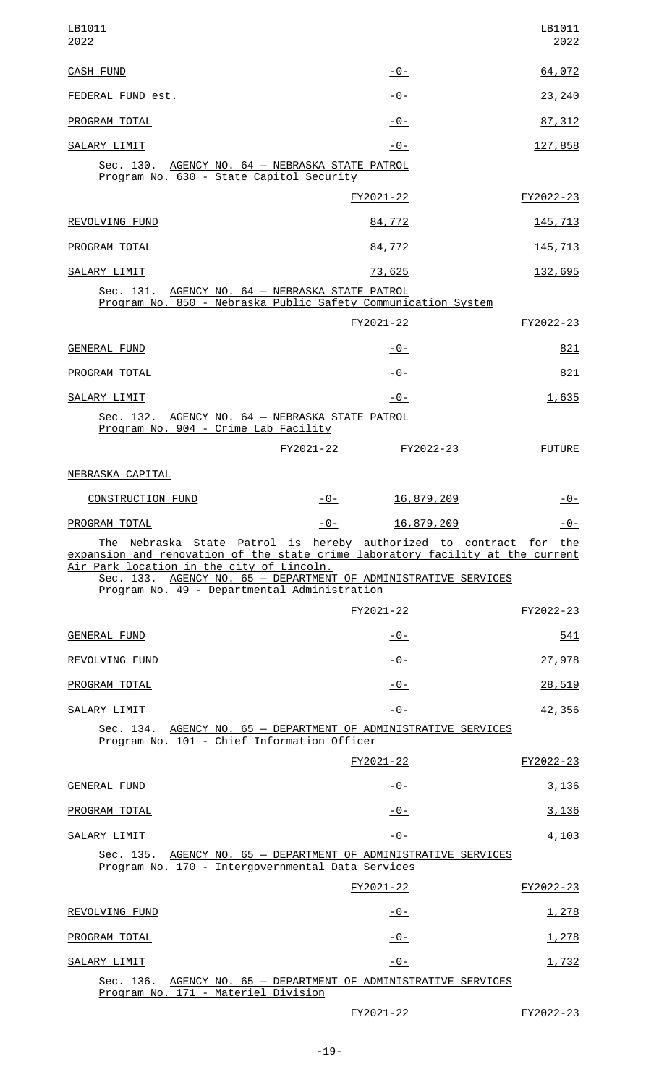| LB1011<br>2022                                                                                                                                                                                                                                                                                                       |                                | LB1011<br>2022  |
|----------------------------------------------------------------------------------------------------------------------------------------------------------------------------------------------------------------------------------------------------------------------------------------------------------------------|--------------------------------|-----------------|
| <b>CASH FUND</b>                                                                                                                                                                                                                                                                                                     | -0-                            | 64,072          |
| FEDERAL FUND est.                                                                                                                                                                                                                                                                                                    | <u>- 0 - </u>                  | 23,240          |
| PROGRAM TOTAL                                                                                                                                                                                                                                                                                                        | <u> - 0 - </u>                 | 87, 312         |
| SALARY LIMIT                                                                                                                                                                                                                                                                                                         | $-0-$                          | 127,858         |
| Sec. 130. AGENCY NO. 64 - NEBRASKA STATE PATROL<br>Program No. 630 - State Capitol Security                                                                                                                                                                                                                          |                                |                 |
|                                                                                                                                                                                                                                                                                                                      | FY2021-22                      | FY2022-23       |
| REVOLVING FUND                                                                                                                                                                                                                                                                                                       | 84,772                         | <u>145, 713</u> |
| PROGRAM TOTAL                                                                                                                                                                                                                                                                                                        | 84,772                         | 145,713         |
| SALARY LIMIT                                                                                                                                                                                                                                                                                                         | 73,625                         | 132,695         |
| Sec. 131. AGENCY NO. 64 - NEBRASKA STATE PATROL<br>Program No. 850 - Nebraska Public Safety Communication System                                                                                                                                                                                                     |                                |                 |
|                                                                                                                                                                                                                                                                                                                      | FY2021-22                      | FY2022-23       |
| <b>GENERAL FUND</b>                                                                                                                                                                                                                                                                                                  | <u> - 0 - </u>                 | 821             |
| PROGRAM TOTAL                                                                                                                                                                                                                                                                                                        | <u> - 0 - </u>                 | 821             |
| SALARY LIMIT                                                                                                                                                                                                                                                                                                         | -0-                            | 1,635           |
| Sec. 132. AGENCY NO. 64 - NEBRASKA STATE PATROL<br>Program No. 904 - Crime Lab Facility                                                                                                                                                                                                                              |                                |                 |
|                                                                                                                                                                                                                                                                                                                      | FY2021-22<br><u> FY2022-23</u> | <b>FUTURE</b>   |
| NEBRASKA CAPITAL                                                                                                                                                                                                                                                                                                     |                                |                 |
| <b>CONSTRUCTION FUND</b>                                                                                                                                                                                                                                                                                             | 16,879,209<br>-0-              | - 0 -           |
| PROGRAM TOTAL                                                                                                                                                                                                                                                                                                        |                                |                 |
|                                                                                                                                                                                                                                                                                                                      | $-0-$<br>16,879,209            | -0-             |
| The Nebraska State Patrol is hereby authorized to contract for the<br>expansion and renovation of the state crime laboratory facility at the current<br>Air Park location in the city of Lincoln.<br>Sec. 133. AGENCY NO. 65 - DEPARTMENT OF ADMINISTRATIVE SERVICES<br>Program No. 49 - Departmental Administration |                                |                 |
|                                                                                                                                                                                                                                                                                                                      | FY2021-22                      | FY2022-23       |
| <b>GENERAL FUND</b>                                                                                                                                                                                                                                                                                                  | <u>- 0 - </u>                  | 541             |
| REVOLVING FUND                                                                                                                                                                                                                                                                                                       | <u> - 0 - </u>                 | 27,978          |
| PROGRAM TOTAL                                                                                                                                                                                                                                                                                                        | -0-                            | 28,519          |
| SALARY LIMIT                                                                                                                                                                                                                                                                                                         | $-0-$                          | 42,356          |
| Sec. 134. AGENCY NO. 65 - DEPARTMENT OF ADMINISTRATIVE SERVICES<br>Program No. 101 - Chief Information Officer                                                                                                                                                                                                       |                                |                 |
|                                                                                                                                                                                                                                                                                                                      | FY2021-22                      | FY2022-23       |
| GENERAL FUND                                                                                                                                                                                                                                                                                                         | -0-                            | 3,136           |
| PROGRAM TOTAL                                                                                                                                                                                                                                                                                                        | $-0-$                          | 3,136           |
| SALARY LIMIT                                                                                                                                                                                                                                                                                                         | $-0-$                          | 4,103           |
| Sec. 135. AGENCY NO. 65 - DEPARTMENT OF ADMINISTRATIVE SERVICES<br>Program No. 170 - Intergovernmental Data Services                                                                                                                                                                                                 |                                |                 |
|                                                                                                                                                                                                                                                                                                                      | FY2021-22                      | FY2022-23       |
| REVOLVING FUND                                                                                                                                                                                                                                                                                                       | -0-                            | 1,278           |
| PROGRAM TOTAL                                                                                                                                                                                                                                                                                                        | -0-                            | 1,278           |
| SALARY LIMIT                                                                                                                                                                                                                                                                                                         | -0-                            | 1,732           |
| Sec. 136. AGENCY NO. 65 - DEPARTMENT OF ADMINISTRATIVE SERVICES<br>Program No. 171 - Materiel Division                                                                                                                                                                                                               |                                |                 |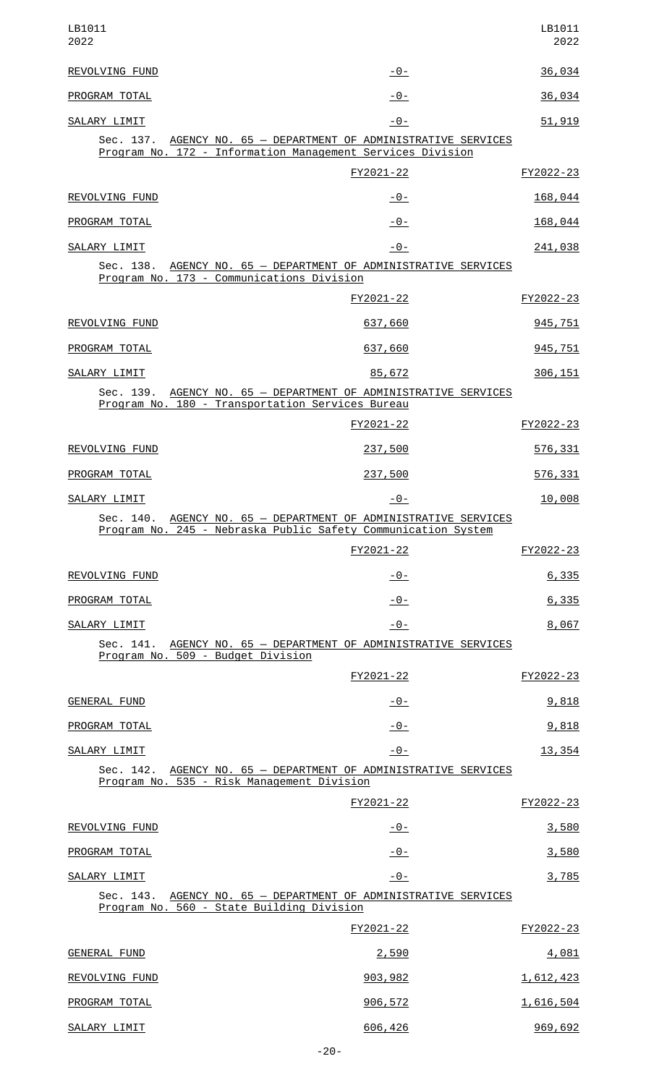| LB1011<br>2022                                                                                                                   |             | LB1011<br>2022   |
|----------------------------------------------------------------------------------------------------------------------------------|-------------|------------------|
| REVOLVING FUND                                                                                                                   | $-0-$       | 36,034           |
| PROGRAM TOTAL                                                                                                                    | $-0-$       | 36,034           |
| SALARY LIMIT                                                                                                                     | $-0-$       | 51,919           |
| Sec. 137. AGENCY NO. 65 - DEPARTMENT OF ADMINISTRATIVE SERVICES<br>Program No. 172 - Information Management Services Division    |             |                  |
|                                                                                                                                  | FY2021-22   | FY2022-23        |
| REVOLVING FUND                                                                                                                   | $-0-$       | 168,044          |
| PROGRAM TOTAL                                                                                                                    | $-0-$       | 168,044          |
| SALARY LIMIT                                                                                                                     | $ \Theta$ – | 241,038          |
| Sec. 138. AGENCY NO. 65 - DEPARTMENT OF ADMINISTRATIVE SERVICES<br>Program No. 173 - Communications Division                     |             |                  |
|                                                                                                                                  | FY2021-22   | FY2022-23        |
| REVOLVING FUND                                                                                                                   | 637,660     | 945,751          |
| PROGRAM TOTAL                                                                                                                    | 637,660     | 945,751          |
| SALARY LIMIT                                                                                                                     | 85,672      | 306,151          |
| Sec. 139. AGENCY NO. 65 - DEPARTMENT OF ADMINISTRATIVE SERVICES<br>Program No. 180 - Transportation Services Bureau              |             |                  |
|                                                                                                                                  | FY2021-22   | FY2022-23        |
| REVOLVING FUND                                                                                                                   | 237,500     | 576,331          |
| PROGRAM TOTAL                                                                                                                    | 237,500     | 576,331          |
| SALARY LIMIT                                                                                                                     | <u>-0-</u>  | 10,008           |
| Sec. 140. AGENCY NO. 65 - DEPARTMENT OF ADMINISTRATIVE SERVICES<br>Program No. 245 - Nebraska Public Safety Communication System |             |                  |
|                                                                                                                                  | FY2021-22   | FY2022-23        |
| REVOLVING FUND                                                                                                                   | $-0-$       | 6,335            |
| PROGRAM TOTAL                                                                                                                    | $-0-$       | 6,335            |
| SALARY LIMIT                                                                                                                     | $-0-$       | 8,067            |
| Sec. 141. AGENCY NO. 65 - DEPARTMENT OF ADMINISTRATIVE SERVICES<br>Program No. 509 - Budget Division                             |             |                  |
|                                                                                                                                  | FY2021-22   | FY2022-23        |
| GENERAL FUND                                                                                                                     | $-0-$       | 9,818            |
| PROGRAM TOTAL                                                                                                                    | $-0-$       | 9,818            |
| SALARY LIMIT                                                                                                                     | -0-         | 13,354           |
| Sec. 142. AGENCY NO. 65 - DEPARTMENT OF ADMINISTRATIVE SERVICES<br>Program No. 535 - Risk Management Division                    |             |                  |
|                                                                                                                                  | FY2021-22   | FY2022-23        |
| REVOLVING FUND                                                                                                                   | $-0-$       | 3,580            |
| PROGRAM TOTAL                                                                                                                    | $-0-$       | 3,580            |
| SALARY LIMIT                                                                                                                     | $-0-$       | 3,785            |
| Sec. 143. AGENCY NO. 65 - DEPARTMENT OF ADMINISTRATIVE SERVICES<br>Program No. 560 - State Building Division                     |             |                  |
|                                                                                                                                  | FY2021-22   | FY2022-23        |
| <b>GENERAL FUND</b>                                                                                                              | 2,590       | 4,081            |
| REVOLVING FUND                                                                                                                   | 903,982     | 1,612,423        |
| PROGRAM TOTAL                                                                                                                    | 906,572     | <u>1,616,504</u> |
| SALARY LIMIT                                                                                                                     | 606,426     | 969,692          |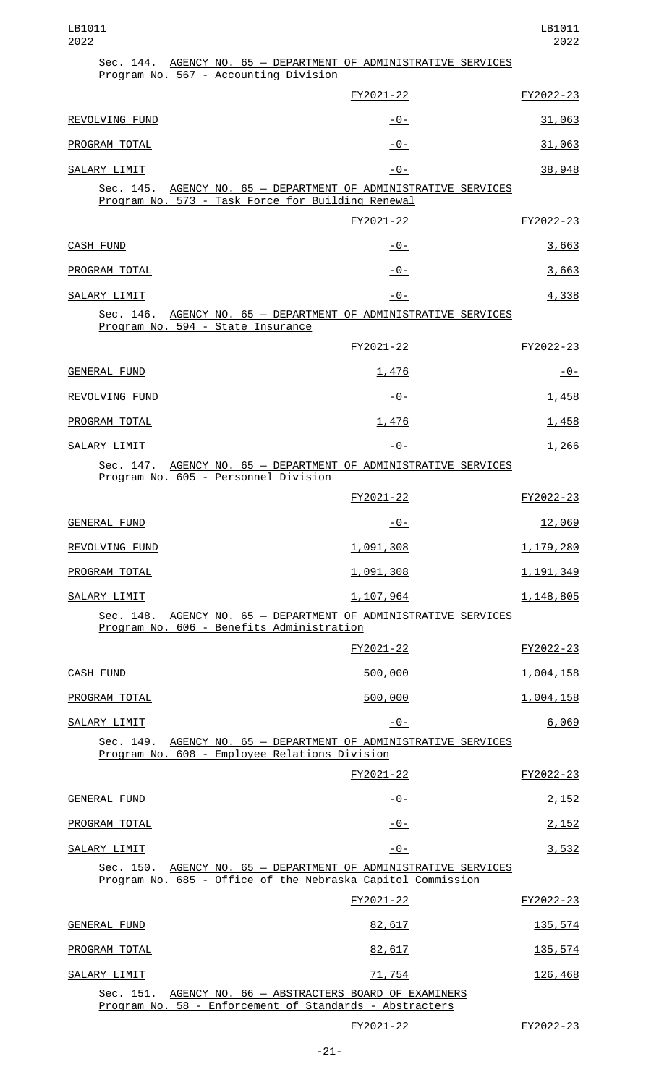|                                      | Sec. 144. AGENCY NO. 65 - DEPARTMENT OF ADMINISTRATIVE SERVICES<br>Program No. 567 - Accounting Division                       |             |
|--------------------------------------|--------------------------------------------------------------------------------------------------------------------------------|-------------|
|                                      | FY2021-22                                                                                                                      | FY2022-23   |
| REVOLVING FUND                       | $-0-$                                                                                                                          | 31,063      |
| PROGRAM TOTAL                        | $-0-$                                                                                                                          | 31,063      |
| SALARY LIMIT                         | $ \Theta$ –                                                                                                                    | 38,948      |
|                                      | Sec. 145. AGENCY NO. 65 - DEPARTMENT OF ADMINISTRATIVE SERVICES<br>Program No. 573 - Task Force for Building Renewal           |             |
|                                      | FY2021-22                                                                                                                      | FY2022-23   |
| <b>CASH FUND</b>                     | $-0-$                                                                                                                          | 3,663       |
| PROGRAM TOTAL                        | $-0-$                                                                                                                          | 3,663       |
| SALARY LIMIT                         | $-0-$                                                                                                                          | 4,338       |
| Program No. 594 - State Insurance    | Sec. 146. AGENCY NO. 65 - DEPARTMENT OF ADMINISTRATIVE SERVICES                                                                |             |
|                                      | FY2021-22                                                                                                                      | FY2022-23   |
| <b>GENERAL FUND</b>                  | 1,476                                                                                                                          | -0-         |
| REVOLVING FUND                       | <u> - 0 - </u>                                                                                                                 | 1,458       |
| PROGRAM TOTAL                        | 1,476                                                                                                                          | 1,458       |
| SALARY LIMIT                         | <u> - 0 - </u>                                                                                                                 | 1,266       |
| Program No. 605 - Personnel Division | Sec. 147. AGENCY NO. 65 - DEPARTMENT OF ADMINISTRATIVE SERVICES                                                                |             |
|                                      | FY2021-22                                                                                                                      | FY2022-23   |
| <b>GENERAL FUND</b>                  | <u> - 0 - </u>                                                                                                                 | 12,069      |
| REVOLVING FUND                       | 1,091,308                                                                                                                      | 1,179,280   |
| PROGRAM TOTAL                        | 1,091,308                                                                                                                      | 1, 191, 349 |
| SALARY LIMIT                         | 1,107,964                                                                                                                      | 1, 148, 805 |
|                                      | Sec. 148. AGENCY NO. 65 - DEPARTMENT OF ADMINISTRATIVE SERVICES<br>Program No. 606 - Benefits Administration                   |             |
|                                      | FY2021-22                                                                                                                      | FY2022-23   |
| CASH FUND                            | 500,000                                                                                                                        | 1,004,158   |
| PROGRAM TOTAL                        | 500,000                                                                                                                        | 1,004,158   |
| SALARY LIMIT                         | $-0-$                                                                                                                          | 6,069       |
|                                      | Sec. 149. AGENCY NO. 65 - DEPARTMENT OF ADMINISTRATIVE SERVICES<br>Program No. 608 - Employee Relations Division               |             |
|                                      | FY2021-22                                                                                                                      | FY2022-23   |
| GENERAL FUND                         | $-0-$                                                                                                                          | 2,152       |
| PROGRAM TOTAL                        | $-0-$                                                                                                                          | 2,152       |
| SALARY LIMIT                         | $-0-$                                                                                                                          | 3,532       |
|                                      | Sec. 150. AGENCY NO. 65 - DEPARTMENT OF ADMINISTRATIVE SERVICES<br>Program No. 685 - Office of the Nebraska Capitol Commission |             |
|                                      | FY2021-22                                                                                                                      | FY2022-23   |
| <b>GENERAL FUND</b>                  | 82,617                                                                                                                         | 135,574     |
| PROGRAM TOTAL                        | 82,617                                                                                                                         | 135,574     |
| SALARY LIMIT                         | 71,754                                                                                                                         | 126,468     |
|                                      | Sec. 151. AGENCY NO. 66 - ABSTRACTERS BOARD OF EXAMINERS<br>Program No. 58 - Enforcement of Standards - Abstracters            |             |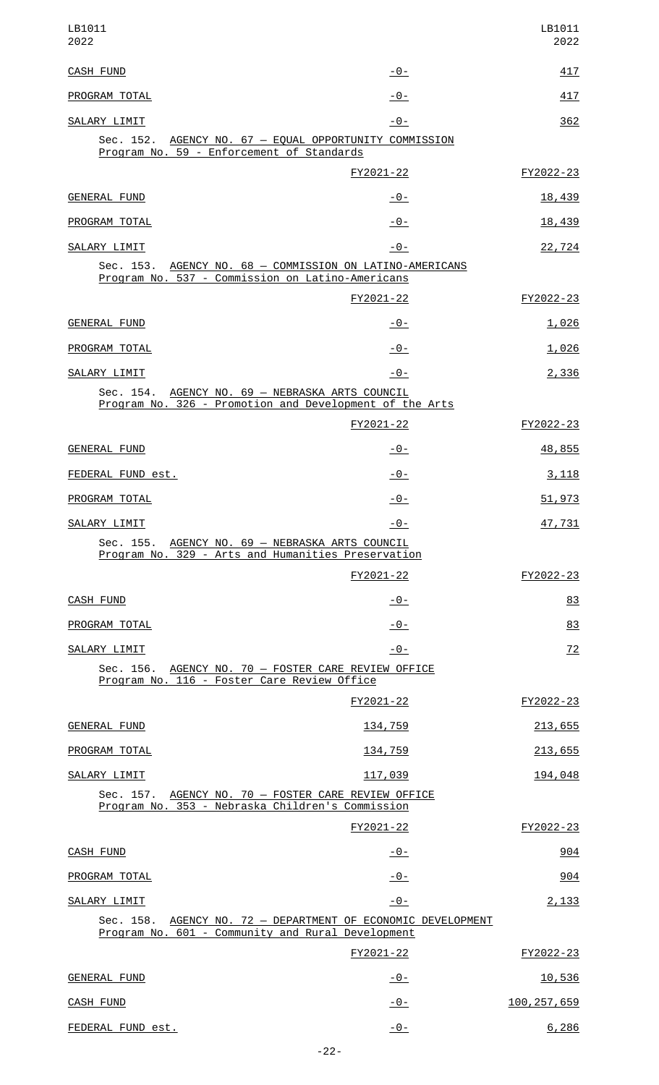| LB1011<br>2022                                                                                                    |                | LB1011<br>2022 |
|-------------------------------------------------------------------------------------------------------------------|----------------|----------------|
| <b>CASH FUND</b>                                                                                                  | $-0-$          | 417            |
| PROGRAM TOTAL                                                                                                     | $-0-$          | 417            |
| SALARY LIMIT                                                                                                      | $-0-$          | 362            |
| Sec. 152. AGENCY NO. 67 - EQUAL OPPORTUNITY COMMISSION<br>Program No. 59 - Enforcement of Standards               |                |                |
|                                                                                                                   | FY2021-22      | FY2022-23      |
| <b>GENERAL FUND</b>                                                                                               | $-0-$          | 18,439         |
| PROGRAM TOTAL                                                                                                     | $-0-$          | 18,439         |
| SALARY LIMIT                                                                                                      | $-0-$          | 22,724         |
| Sec. 153. AGENCY NO. 68 - COMMISSION ON LATINO-AMERICANS<br>Program No. 537 - Commission on Latino-Americans      |                |                |
|                                                                                                                   | FY2021-22      | FY2022-23      |
| <b>GENERAL FUND</b>                                                                                               | $-0-$          | 1,026          |
| PROGRAM TOTAL                                                                                                     | $-0-$          | 1,026          |
| SALARY LIMIT                                                                                                      | -0-            | 2,336          |
| Sec. 154. AGENCY NO. 69 - NEBRASKA ARTS COUNCIL<br>Program No. 326 - Promotion and Development of the Arts        |                |                |
|                                                                                                                   | FY2021-22      | FY2022-23      |
| <b>GENERAL FUND</b>                                                                                               | $-0-$          | 48,855         |
| FEDERAL FUND est.                                                                                                 | <u> - 0 - </u> | 3,118          |
| PROGRAM TOTAL                                                                                                     | -0-            | 51,973         |
| SALARY LIMIT                                                                                                      | $-0-$          | 47,731         |
| Sec. 155. AGENCY NO. 69 - NEBRASKA ARTS COUNCIL<br>Program No. 329 - Arts and Humanities Preservation             |                |                |
|                                                                                                                   | FY2021-22      | FY2022-23      |
| <b>CASH FUND</b>                                                                                                  | $-0-$          | 83             |
| PROGRAM TOTAL                                                                                                     | $-0-$          | 83             |
| SALARY LIMIT                                                                                                      | $-0-$          | 72             |
| Sec. 156. AGENCY NO. 70 - FOSTER CARE REVIEW OFFICE<br>Program No. 116 - Foster Care Review Office                |                |                |
|                                                                                                                   | FY2021-22      | FY2022-23      |
| <b>GENERAL FUND</b>                                                                                               | 134,759        | 213,655        |
| PROGRAM TOTAL                                                                                                     | 134,759        | 213,655        |
| SALARY LIMIT                                                                                                      | 117,039        | 194,048        |
| Sec. 157. AGENCY NO. 70 - FOSTER CARE REVIEW OFFICE<br>Program No. 353 - Nebraska Children's Commission           |                |                |
|                                                                                                                   | FY2021-22      | FY2022-23      |
| <b>CASH FUND</b>                                                                                                  | $-0-$          | 904            |
| PROGRAM TOTAL                                                                                                     | $-0-$          | 904            |
| SALARY LIMIT                                                                                                      | $-0-$          | 2,133          |
| Sec. 158. AGENCY NO. 72 - DEPARTMENT OF ECONOMIC DEVELOPMENT<br>Program No. 601 - Community and Rural Development |                |                |
|                                                                                                                   | FY2021-22      | FY2022-23      |
| <b>GENERAL FUND</b>                                                                                               | $-0-$          | 10,536         |
| CASH FUND                                                                                                         | $-0-$          | 100, 257, 659  |
| FEDERAL FUND est.                                                                                                 | $ \Theta$ –    | 6,286          |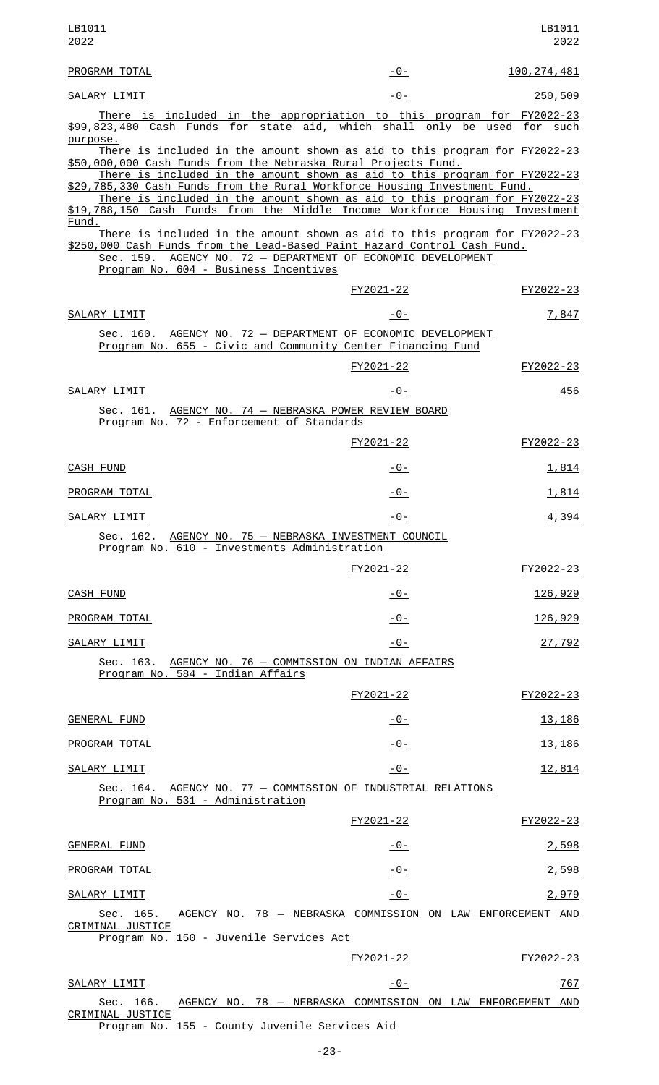| LB1011<br>2022                                                                                                                                                                                                                                                                                                                |           | LB1011<br>2022                                             |
|-------------------------------------------------------------------------------------------------------------------------------------------------------------------------------------------------------------------------------------------------------------------------------------------------------------------------------|-----------|------------------------------------------------------------|
| PROGRAM TOTAL                                                                                                                                                                                                                                                                                                                 | - 0 -     | <u>100, 274, 481</u>                                       |
| SALARY LIMIT                                                                                                                                                                                                                                                                                                                  | $-0-$     | 250,509                                                    |
| <u>There is included in the appropriation to this program for FY2022-23</u><br>\$99,823,480 Cash Funds for state aid, which shall only be used for such<br>purpose.                                                                                                                                                           |           |                                                            |
| There is included in the amount shown as aid to this program for FY2022-23<br>\$50,000,000 Cash Funds from the Nebraska Rural Projects Fund.                                                                                                                                                                                  |           |                                                            |
| There is included in the amount shown as aid to this program for FY2022-23<br>\$29,785,330 Cash Funds from the Rural Workforce Housing Investment Fund.<br>There is included in the amount shown as aid to this program for FY2022-23<br>\$19,788,150 Cash Funds from the Middle Income Workforce Housing Investment<br>Fund. |           |                                                            |
| There is included in the amount shown as aid to this program for FY2022-23<br>\$250,000 Cash Funds from the Lead-Based Paint Hazard Control Cash Fund.<br>Sec. 159. AGENCY NO. 72 - DEPARTMENT OF ECONOMIC DEVELOPMENT<br>Program No. 604 - Business Incentives                                                               |           |                                                            |
|                                                                                                                                                                                                                                                                                                                               | FY2021-22 | FY2022-23                                                  |
| SALARY LIMIT                                                                                                                                                                                                                                                                                                                  | -0-       | 7,847                                                      |
| Sec. 160. AGENCY NO. 72 - DEPARTMENT OF ECONOMIC DEVELOPMENT<br>Program No. 655 - Civic and Community Center Financing Fund                                                                                                                                                                                                   |           |                                                            |
|                                                                                                                                                                                                                                                                                                                               | FY2021-22 | FY2022-23                                                  |
| SALARY LIMIT                                                                                                                                                                                                                                                                                                                  | -0-       | 456                                                        |
| Sec. 161. AGENCY NO. 74 - NEBRASKA POWER REVIEW BOARD<br>Program No. 72 - Enforcement of Standards                                                                                                                                                                                                                            |           |                                                            |
|                                                                                                                                                                                                                                                                                                                               | FY2021-22 | FY2022-23                                                  |
| <b>CASH FUND</b>                                                                                                                                                                                                                                                                                                              | -0-       | 1,814                                                      |
| PROGRAM TOTAL                                                                                                                                                                                                                                                                                                                 | $-0-$     | 1,814                                                      |
| SALARY LIMIT                                                                                                                                                                                                                                                                                                                  | $-0-$     | 4,394                                                      |
| Sec. 162. AGENCY NO. 75 - NEBRASKA INVESTMENT COUNCIL<br>Program No. 610 - Investments Administration                                                                                                                                                                                                                         |           |                                                            |
|                                                                                                                                                                                                                                                                                                                               | FY2021-22 | FY2022-23                                                  |
| <b>CASH FUND</b>                                                                                                                                                                                                                                                                                                              | -0-       | <u>126,929</u>                                             |
| PROGRAM TOTAL                                                                                                                                                                                                                                                                                                                 | -0-       | <u>126,929</u>                                             |
| SALARY LIMIT                                                                                                                                                                                                                                                                                                                  | $-0-$     | 27,792                                                     |
| Sec. 163. AGENCY NO. 76 - COMMISSION ON INDIAN AFFAIRS<br>Program No. 584 - Indian Affairs                                                                                                                                                                                                                                    |           |                                                            |
|                                                                                                                                                                                                                                                                                                                               | FY2021-22 | FY2022-23                                                  |
| <b>GENERAL FUND</b>                                                                                                                                                                                                                                                                                                           | -0-       | 13,186                                                     |
| PROGRAM TOTAL                                                                                                                                                                                                                                                                                                                 | $-0-$     | 13, 186                                                    |
| SALARY LIMIT                                                                                                                                                                                                                                                                                                                  | $-0-$     | 12,814                                                     |
| Sec. 164. AGENCY NO. 77 - COMMISSION OF INDUSTRIAL RELATIONS<br>Program No. 531 - Administration                                                                                                                                                                                                                              |           |                                                            |
|                                                                                                                                                                                                                                                                                                                               | FY2021-22 | FY2022-23                                                  |
| <b>GENERAL FUND</b>                                                                                                                                                                                                                                                                                                           | -0-       | 2,598                                                      |
| PROGRAM TOTAL                                                                                                                                                                                                                                                                                                                 | -0-       | 2,598                                                      |
| SALARY LIMIT                                                                                                                                                                                                                                                                                                                  | -0-       | 2,979                                                      |
| AGENCY NO. 78 - NEBRASKA COMMISSION ON LAW ENFORCEMENT AND<br>Sec. 165.<br>CRIMINAL JUSTICE<br>Program No. 150 - Juvenile Services Act                                                                                                                                                                                        |           |                                                            |
|                                                                                                                                                                                                                                                                                                                               | FY2021-22 | FY2022-23                                                  |
| SALARY LIMIT                                                                                                                                                                                                                                                                                                                  | -0-       | 767                                                        |
| Sec. 166.                                                                                                                                                                                                                                                                                                                     |           | AGENCY NO. 78 - NEBRASKA COMMISSION ON LAW ENFORCEMENT AND |
| CRIMINAL JUSTICE<br>Program No. 155 - County Juvenile Services Aid                                                                                                                                                                                                                                                            |           |                                                            |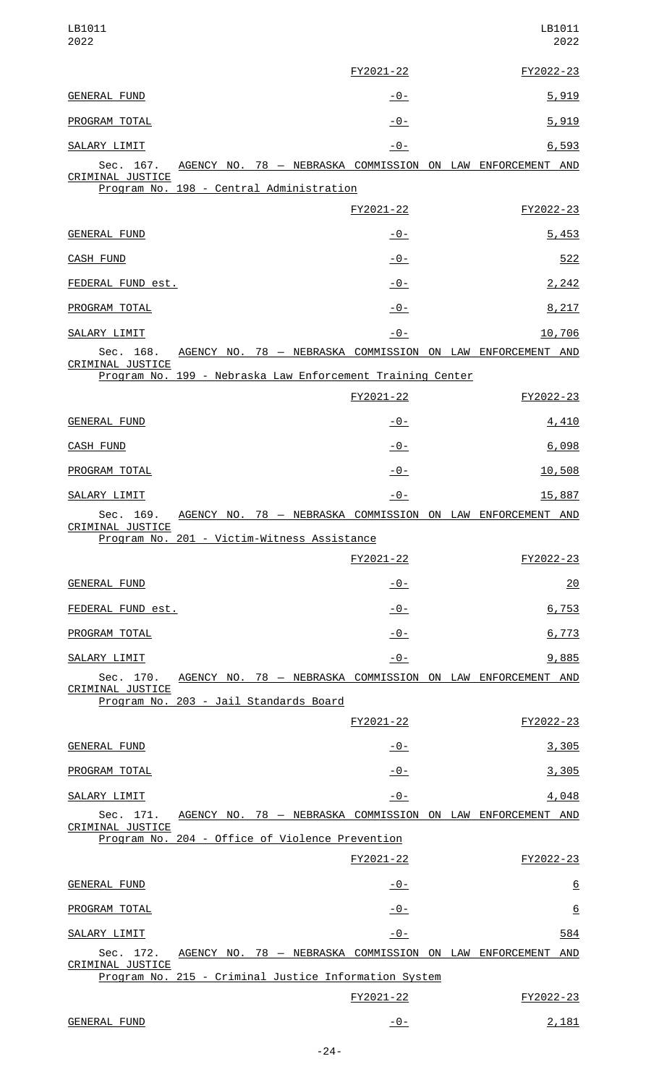| LB1011<br>2022                                                                              |                |  | LB1011<br>2022  |
|---------------------------------------------------------------------------------------------|----------------|--|-----------------|
|                                                                                             | FY2021-22      |  | FY2022-23       |
| <b>GENERAL FUND</b>                                                                         | <u> - 0 - </u> |  | 5,919           |
| PROGRAM TOTAL                                                                               | $-0-$          |  | 5,919           |
| <b>SALARY LIMIT</b>                                                                         | $-0-$          |  | 6,593           |
| AGENCY NO. 78 - NEBRASKA COMMISSION ON LAW ENFORCEMENT AND<br>Sec. 167.<br>CRIMINAL JUSTICE |                |  |                 |
| Program No. 198 - Central Administration                                                    |                |  |                 |
|                                                                                             | FY2021-22      |  | FY2022-23       |
| <b>GENERAL FUND</b>                                                                         | <u> - 0 - </u> |  | 5,453           |
| <b>CASH FUND</b>                                                                            | $-0-$          |  | 522             |
| FEDERAL FUND est.                                                                           | -0-            |  | 2,242           |
| PROGRAM TOTAL                                                                               | $-0-$          |  | 8,217           |
| SALARY LIMIT                                                                                | $-0-$          |  | 10,706          |
| AGENCY NO. 78 - NEBRASKA COMMISSION ON LAW ENFORCEMENT AND<br>Sec. 168.<br>CRIMINAL JUSTICE |                |  |                 |
| Program No. 199 - Nebraska Law Enforcement Training Center                                  |                |  |                 |
|                                                                                             | FY2021-22      |  | FY2022-23       |
| GENERAL FUND                                                                                | <u> - 0 - </u> |  | 4,410           |
| CASH FUND                                                                                   | $-0-$          |  | 6,098           |
| PROGRAM TOTAL                                                                               | $-0-$          |  | 10,508          |
| SALARY LIMIT                                                                                | $-0-$          |  | 15,887          |
| AGENCY NO. 78 - NEBRASKA COMMISSION ON LAW ENFORCEMENT AND<br>Sec. 169.<br>CRIMINAL JUSTICE |                |  |                 |
| Program No. 201 - Victim-Witness Assistance                                                 |                |  |                 |
|                                                                                             | FY2021-22      |  | FY2022-23       |
| <b>GENERAL FUND</b>                                                                         | <u> - 0 - </u> |  | 20              |
| FEDERAL FUND est.                                                                           | $-0-$          |  | 6,753           |
| PROGRAM TOTAL                                                                               | $-0-$          |  | 6,773           |
| SALARY LIMIT                                                                                | -0-            |  | 9,885           |
| AGENCY NO. 78 - NEBRASKA COMMISSION ON LAW ENFORCEMENT AND<br>Sec. 170.<br>CRIMINAL JUSTICE |                |  |                 |
| Program No. 203 - Jail Standards Board                                                      |                |  |                 |
|                                                                                             | FY2021-22      |  | FY2022-23       |
| <b>GENERAL FUND</b>                                                                         | -0-            |  | <u>3,305</u>    |
| PROGRAM TOTAL                                                                               | $-0-$          |  | 3,305           |
| SALARY LIMIT<br>Sec. 171.<br>AGENCY NO. 78 - NEBRASKA COMMISSION ON LAW ENFORCEMENT AND     | $-0-$          |  | 4,048           |
| CRIMINAL JUSTICE<br>Program No. 204 - Office of Violence Prevention                         |                |  |                 |
|                                                                                             | FY2021-22      |  | FY2022-23       |
| <b>GENERAL FUND</b>                                                                         | -0-            |  | $\underline{6}$ |
| PROGRAM TOTAL                                                                               | -0-            |  | $\underline{6}$ |
|                                                                                             |                |  |                 |
| SALARY LIMIT<br>AGENCY NO. 78 - NEBRASKA COMMISSION ON LAW ENFORCEMENT<br>Sec. 172.         | $-0-$          |  | 584<br>AND      |
| CRIMINAL JUSTICE<br>Program No. 215 - Criminal Justice Information System                   |                |  |                 |
|                                                                                             | FY2021-22      |  | FY2022-23       |
| GENERAL FUND                                                                                | $-0-$          |  | 2,181           |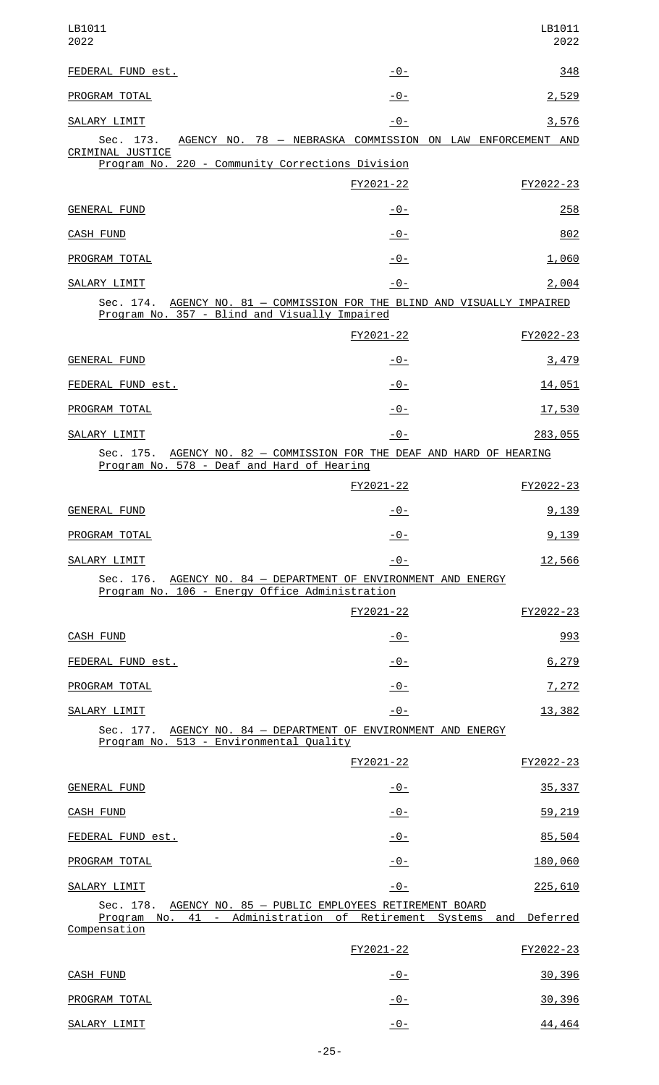| LB1011<br>2022                                                                                                                                  |                | LB1011<br>2022 |
|-------------------------------------------------------------------------------------------------------------------------------------------------|----------------|----------------|
| FEDERAL FUND est.                                                                                                                               | $-0-$          | 348            |
| PROGRAM TOTAL                                                                                                                                   | -0-            | 2,529          |
| SALARY LIMIT                                                                                                                                    | $-0-$          | 3,576          |
| AGENCY NO. 78 - NEBRASKA COMMISSION ON LAW ENFORCEMENT AND<br>Sec. 173.<br>CRIMINAL JUSTICE<br>Program No. 220 - Community Corrections Division |                |                |
|                                                                                                                                                 | FY2021-22      | FY2022-23      |
| <b>GENERAL FUND</b>                                                                                                                             | <u> - 0 - </u> | 258            |
| CASH FUND                                                                                                                                       | -0-            | 802            |
| PROGRAM TOTAL                                                                                                                                   | -0-            | 1,060          |
| SALARY LIMIT                                                                                                                                    | $-0-$          | 2,004          |
| Sec. 174. AGENCY NO. 81 - COMMISSION FOR THE BLIND AND VISUALLY IMPAIRED<br>Program No. 357 - Blind and Visually Impaired                       |                |                |
|                                                                                                                                                 | FY2021-22      | FY2022-23      |
| GENERAL FUND                                                                                                                                    | -0-            | 3,479          |
| FEDERAL FUND est.                                                                                                                               | -0-            | 14,051         |
| PROGRAM TOTAL                                                                                                                                   | -0-            | 17,530         |
| SALARY LIMIT                                                                                                                                    | -0-            | 283,055        |
| Sec. 175. AGENCY NO. 82 - COMMISSION FOR THE DEAF AND HARD OF HEARING<br>Program No. 578 - Deaf and Hard of Hearing                             |                |                |
|                                                                                                                                                 | FY2021-22      | FY2022-23      |
| <b>GENERAL FUND</b>                                                                                                                             | $-0-$          | 9,139          |
| PROGRAM TOTAL                                                                                                                                   | -0-            | 9,139          |
| SALARY LIMIT                                                                                                                                    | <u> - 0 - </u> | 12,566         |
| Sec. 176. AGENCY NO. 84 - DEPARTMENT OF ENVIRONMENT AND ENERGY<br>Program No. 106 - Energy Office Administration                                |                |                |
|                                                                                                                                                 | FY2021-22      | FY2022-23      |
| <b>CASH FUND</b>                                                                                                                                | -0-            | 993            |
| FEDERAL FUND est.                                                                                                                               | <u> - 0 - </u> | 6,279          |
| PROGRAM TOTAL                                                                                                                                   | $-0-$          | 7,272          |
| SALARY LIMIT                                                                                                                                    | $-0-$          | 13,382         |
| Sec. 177. AGENCY NO. 84 - DEPARTMENT OF ENVIRONMENT AND ENERGY<br>Program No. 513 - Environmental Quality                                       |                |                |
|                                                                                                                                                 | FY2021-22      | FY2022-23      |
| <b>GENERAL FUND</b>                                                                                                                             | <u>- 0 - </u>  | 35, 337        |
| CASH FUND                                                                                                                                       | $-0-$          | 59,219         |
| FEDERAL FUND est.                                                                                                                               | $-0-$          | 85,504         |
| PROGRAM TOTAL                                                                                                                                   | $-0-$          | 180,060        |
| SALARY LIMIT                                                                                                                                    | $-0-$          | 225,610        |
| Sec. 178. AGENCY NO. 85 - PUBLIC EMPLOYEES RETIREMENT BOARD<br>Program No. 41 - Administration of Retirement Systems and<br>Compensation        |                | Deferred       |
|                                                                                                                                                 | FY2021-22      | FY2022-23      |
| <b>CASH FUND</b>                                                                                                                                | $-0-$          | 30,396         |
| PROGRAM TOTAL                                                                                                                                   | $-0-$          | 30,396         |
| SALARY LIMIT                                                                                                                                    | $-0-$          | 44,464         |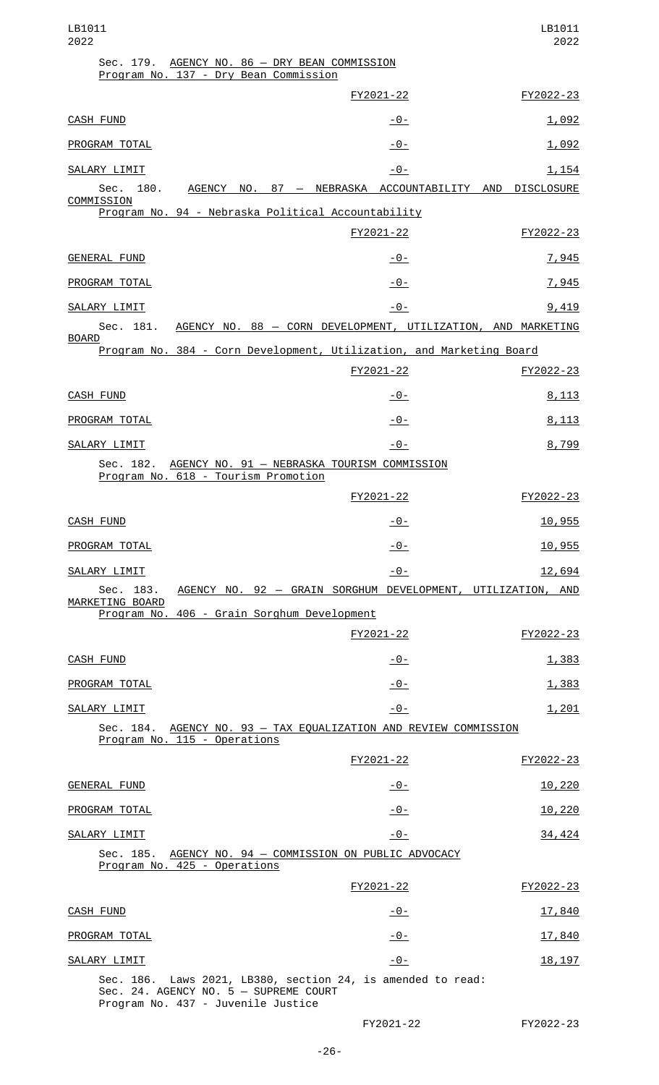| LB1011<br>2022                                                                                                                             |                | LB1011<br>2022    |
|--------------------------------------------------------------------------------------------------------------------------------------------|----------------|-------------------|
| Sec. 179. AGENCY NO. 86 - DRY BEAN COMMISSION<br>Program No. 137 - Dry Bean Commission                                                     |                |                   |
|                                                                                                                                            | FY2021-22      | FY2022-23         |
| <b>CASH FUND</b>                                                                                                                           | -0-            | 1,092             |
| PROGRAM TOTAL                                                                                                                              | -0-            | 1,092             |
| SALARY LIMIT                                                                                                                               | $-0-$          | <u>1,154</u>      |
| 180. AGENCY NO. 87 - NEBRASKA ACCOUNTABILITY AND<br>Sec.<br>COMMISSION                                                                     |                | <b>DISCLOSURE</b> |
| Program No. 94 - Nebraska Political Accountability                                                                                         |                |                   |
|                                                                                                                                            | FY2021-22      | FY2022-23         |
| <b>GENERAL FUND</b>                                                                                                                        | -0-            | 7,945             |
| PROGRAM TOTAL                                                                                                                              | $-0-$          | 7,945             |
| SALARY LIMIT<br>AGENCY NO. 88 - CORN DEVELOPMENT, UTILIZATION, AND MARKETING<br>Sec. 181.                                                  | $-0-$          | 9,419             |
| <b>BOARD</b><br>Program No. 384 - Corn Development, Utilization, and Marketing Board                                                       |                |                   |
|                                                                                                                                            | FY2021-22      | FY2022-23         |
| CASH FUND                                                                                                                                  | <u> - 0 - </u> | 8,113             |
| PROGRAM TOTAL                                                                                                                              | $-0-$          | 8,113             |
| SALARY LIMIT                                                                                                                               | $-0-$          | 8,799             |
| Sec. 182. AGENCY NO. 91 - NEBRASKA TOURISM COMMISSION<br>Program No. 618 - Tourism Promotion                                               |                |                   |
|                                                                                                                                            | FY2021-22      | FY2022-23         |
| CASH FUND                                                                                                                                  | $-0-$          | 10,955            |
| PROGRAM TOTAL                                                                                                                              | $-0-$          | 10,955            |
| SALARY LIMIT                                                                                                                               | $-0-$          | 12,694            |
| Sec. 183.<br>AGENCY NO. 92 - GRAIN SORGHUM DEVELOPMENT, UTILIZATION, AND<br>MARKETING BOARD                                                |                |                   |
| Program No. 406 - Grain Sorghum Development                                                                                                |                |                   |
|                                                                                                                                            | FY2021-22      | FY2022-23         |
| <b>CASH FUND</b>                                                                                                                           | <u> - 0 - </u> | 1,383             |
| PROGRAM TOTAL                                                                                                                              | $-0-$          | 1,383             |
| SALARY LIMIT                                                                                                                               | $-0-$          | 1,201             |
| Sec. 184. AGENCY NO. 93 - TAX EQUALIZATION AND REVIEW COMMISSION<br>Program No. 115 - Operations                                           |                |                   |
|                                                                                                                                            | FY2021-22      | FY2022-23         |
| <b>GENERAL FUND</b>                                                                                                                        | -0-            | 10,220            |
| PROGRAM TOTAL                                                                                                                              | -0-            | 10,220            |
| SALARY LIMIT                                                                                                                               | $-0-$          | 34,424            |
| AGENCY NO. 94 - COMMISSION ON PUBLIC ADVOCACY<br>Sec. 185.<br>Program No. 425 - Operations                                                 |                |                   |
|                                                                                                                                            | FY2021-22      | FY2022-23         |
| <b>CASH FUND</b>                                                                                                                           | $-0-$          | 17,840            |
| PROGRAM TOTAL                                                                                                                              | $-0-$          | 17,840            |
| SALARY LIMIT                                                                                                                               | $-0-$          | 18, 197           |
| Sec. 186. Laws 2021, LB380, section 24, is amended to read:<br>Sec. 24. AGENCY NO. 5 - SUPREME COURT<br>Program No. 437 - Juvenile Justice |                |                   |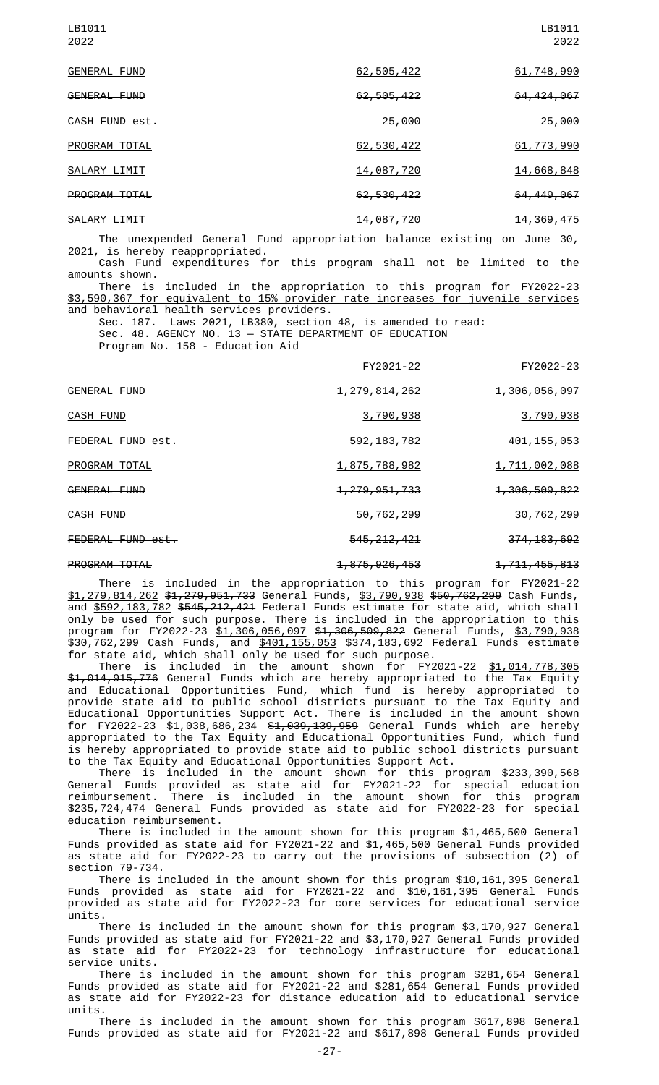|              | LB1011<br>2022 |
|--------------|----------------|
| 62,505,422   | 61,748,990     |
| 62, 505, 422 | 64, 424, 067   |
| 25,000       | 25,000         |
| 62,530,422   | 61, 773, 990   |
| 14,087,720   | 14,668,848     |
| 62,530,422   | 64, 449, 067   |
| 14,087,720   | 14, 369, 475   |
|              |                |

The unexpended General Fund appropriation balance existing on June 30, 2021, is hereby reappropriated. Cash Fund expenditures for this program shall not be limited to the

amounts shown.

included in the appropriation to this program for FY2022-23 \$3,590,367 for equivalent to 15% provider rate increases for juvenile services and behavioral health services providers.

Sec. 187. Laws 2021, LB380, section 48, is amended to read: Sec. 48. AGENCY NO. 13 — STATE DEPARTMENT OF EDUCATION Program No. 158 - Education Aid

|                      | FY2021-22                   | FY2022-23                   |
|----------------------|-----------------------------|-----------------------------|
| <b>GENERAL FUND</b>  | 1, 279, 814, 262            | 1,306,056,097               |
| CASH FUND            | 3,790,938                   | 3,790,938                   |
| FEDERAL FUND est.    | 592, 183, 782               | 401, 155, 053               |
| PROGRAM TOTAL        | <u>1,875,788,982</u>        | 1,711,002,088               |
| GENERAL FUND         | <del>1, 279, 951, 733</del> | <del>1,306,509,822</del>    |
| CASH FUND            | 50,762,299                  | 30, 762, 299                |
| FEDERAL FUND est.    | 545, 212, 421               | 374, 183, 692               |
| <b>PROGRAM TOTAL</b> | <del>1,875,926,453</del>    | <del>1, 711, 455, 813</del> |

There is included in the appropriation to this program for FY2021-22 \$1,279,814,262 \$1,279,951,733 General Funds, \$3,790,938 \$50,762,299 Cash Funds, and <u>\$592,183,782</u> <del>\$545,212,421</del> Federal Funds estimate for state aid, which shall only be used for such purpose. There is included in the appropriation to this program for FY2022-23 \$1,306,056,097 \$1,306,509,822 General Funds, \$3,790,938 \$30,762,299 Cash Funds, and \$401,155,053 \$374,183,692 Federal Funds estimate for state aid, which shall only be used for such purpose.

There is included in the amount shown for FY2021-22 <u>\$1,014,778,305</u> \$1,014,915,776 General Funds which are hereby appropriated to the Tax Equity and Educational Opportunities Fund, which fund is hereby appropriated to provide state aid to public school districts pursuant to the Tax Equity and Educational Opportunities Support Act. There is included in the amount shown for FY2022-23 <u>\$1,038,686,234</u> <del>\$1,039,139,959</del> General Funds which are hereby appropriated to the Tax Equity and Educational Opportunities Fund, which fund is hereby appropriated to provide state aid to public school districts pursuant to the Tax Equity and Educational Opportunities Support Act.

There is included in the amount shown for this program \$233,390,568 General Funds provided as state aid for FY2021-22 for special education reimbursement. There is included in the amount shown for this program \$235,724,474 General Funds provided as state aid for FY2022-23 for special education reimbursement.

There is included in the amount shown for this program \$1,465,500 General Funds provided as state aid for FY2021-22 and \$1,465,500 General Funds provided as state aid for FY2022-23 to carry out the provisions of subsection (2) of section 79-734.

There is included in the amount shown for this program \$10,161,395 General Funds provided as state aid for FY2021-22 and \$10,161,395 General Funds provided as state aid for FY2022-23 for core services for educational service units.

There is included in the amount shown for this program \$3,170,927 General Funds provided as state aid for FY2021-22 and \$3,170,927 General Funds provided as state aid for FY2022-23 for technology infrastructure for educational service units.

There is included in the amount shown for this program \$281,654 General Funds provided as state aid for FY2021-22 and \$281,654 General Funds provided as state aid for FY2022-23 for distance education aid to educational service units.

There is included in the amount shown for this program \$617,898 General Funds provided as state aid for FY2021-22 and \$617,898 General Funds provided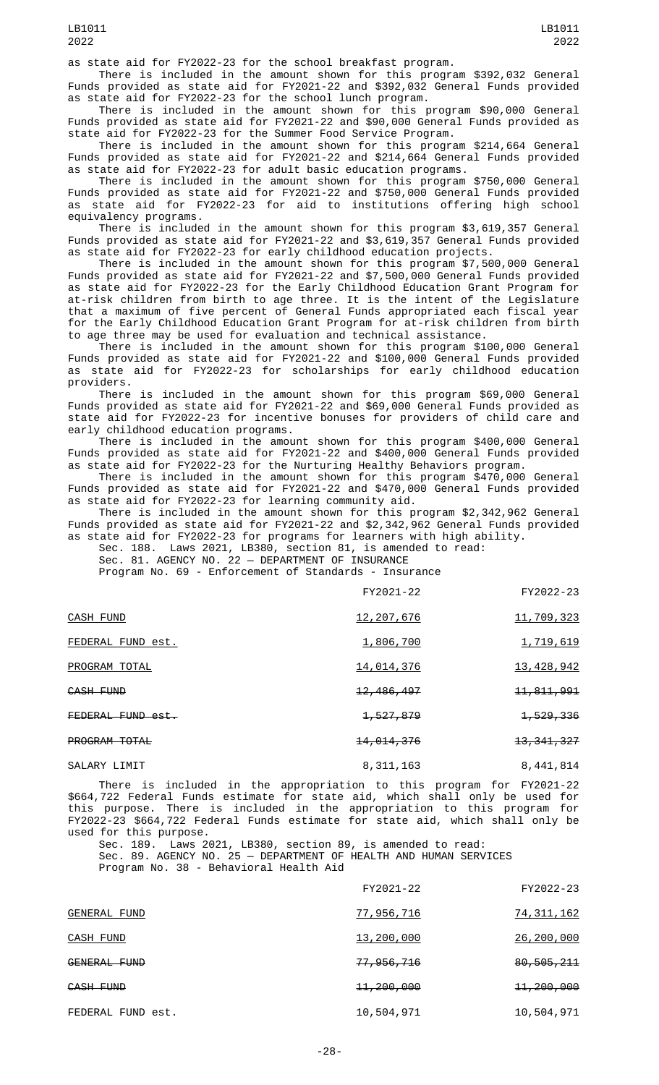There is included in the amount shown for this program \$392,032 General Funds provided as state aid for FY2021-22 and \$392,032 General Funds provided as state aid for FY2022-23 for the school lunch program.

There is included in the amount shown for this program \$90,000 General Funds provided as state aid for FY2021-22 and \$90,000 General Funds provided as state aid for FY2022-23 for the Summer Food Service Program.

There is included in the amount shown for this program \$214,664 General Funds provided as state aid for FY2021-22 and \$214,664 General Funds provided as state aid for FY2022-23 for adult basic education programs.

There is included in the amount shown for this program \$750,000 General Funds provided as state aid for FY2021-22 and \$750,000 General Funds provided as state aid for FY2022-23 for aid to institutions offering high school equivalency programs.

There is included in the amount shown for this program \$3,619,357 General Funds provided as state aid for FY2021-22 and \$3,619,357 General Funds provided as state aid for FY2022-23 for early childhood education projects.

There is included in the amount shown for this program \$7,500,000 General Funds provided as state aid for FY2021-22 and \$7,500,000 General Funds provided as state aid for FY2022-23 for the Early Childhood Education Grant Program for at-risk children from birth to age three. It is the intent of the Legislature that a maximum of five percent of General Funds appropriated each fiscal year for the Early Childhood Education Grant Program for at-risk children from birth to age three may be used for evaluation and technical assistance.

There is included in the amount shown for this program \$100,000 General Funds provided as state aid for FY2021-22 and \$100,000 General Funds provided as state aid for FY2022-23 for scholarships for early childhood education providers.

There is included in the amount shown for this program \$69,000 General Funds provided as state aid for FY2021-22 and \$69,000 General Funds provided as state aid for FY2022-23 for incentive bonuses for providers of child care and early childhood education programs.

There is included in the amount shown for this program \$400,000 General Funds provided as state aid for FY2021-22 and \$400,000 General Funds provided as state aid for FY2022-23 for the Nurturing Healthy Behaviors program.

There is included in the amount shown for this program \$470,000 General Funds provided as state aid for FY2021-22 and \$470,000 General Funds provided as state aid for FY2022-23 for learning community aid.

There is included in the amount shown for this program \$2,342,962 General Funds provided as state aid for FY2021-22 and \$2,342,962 General Funds provided as state aid for FY2022-23 for programs for learners with high ability.

Sec. 188. Laws 2021, LB380, section 81, is amended to read:

Sec. 81. AGENCY NO. 22 — DEPARTMENT OF INSURANCE

Program No. 69 - Enforcement of Standards - Insurance

|                   | FY2021-22               | FY2022-23               |
|-------------------|-------------------------|-------------------------|
| <b>CASH FUND</b>  | 12,207,676              | 11,709,323              |
| FEDERAL FUND est. | 1,806,700               | 1,719,619               |
| PROGRAM TOTAL     | 14,014,376              | 13, 428, 942            |
| CASH FUND         | <del>12, 486, 497</del> | <del>11, 811, 991</del> |
| FEDERAL FUND est. | <del>1, 527, 879</del>  | <del>1, 529, 336</del>  |
| PROGRAM TOTAL     | <del>14,014,376</del>   | 13, 341, 327            |
| SALARY LIMIT      | 8,311,163               | 8,441,814               |

There is included in the appropriation to this program for FY2021-22 \$664,722 Federal Funds estimate for state aid, which shall only be used for this purpose. There is included in the appropriation to this program for FY2022-23 \$664,722 Federal Funds estimate for state aid, which shall only be used for this purpose.

Sec. 189. Laws 2021, LB380, section 89, is amended to read: Sec. 89. AGENCY NO. 25 — DEPARTMENT OF HEALTH AND HUMAN SERVICES Program No. 38 - Behavioral Health Aid

|                     | FY2021-22             | FY2022-23             |
|---------------------|-----------------------|-----------------------|
| <b>GENERAL FUND</b> | 77,956,716            | <u>74, 311, 162</u>   |
| CASH FUND           | 13,200,000            | 26,200,000            |
| GENERAL FUND        | 77,956,716            | 80,505,211            |
| CASH FUND           | <del>11,200,000</del> | <del>11,200,000</del> |
| FEDERAL FUND est.   | 10,504,971            | 10,504,971            |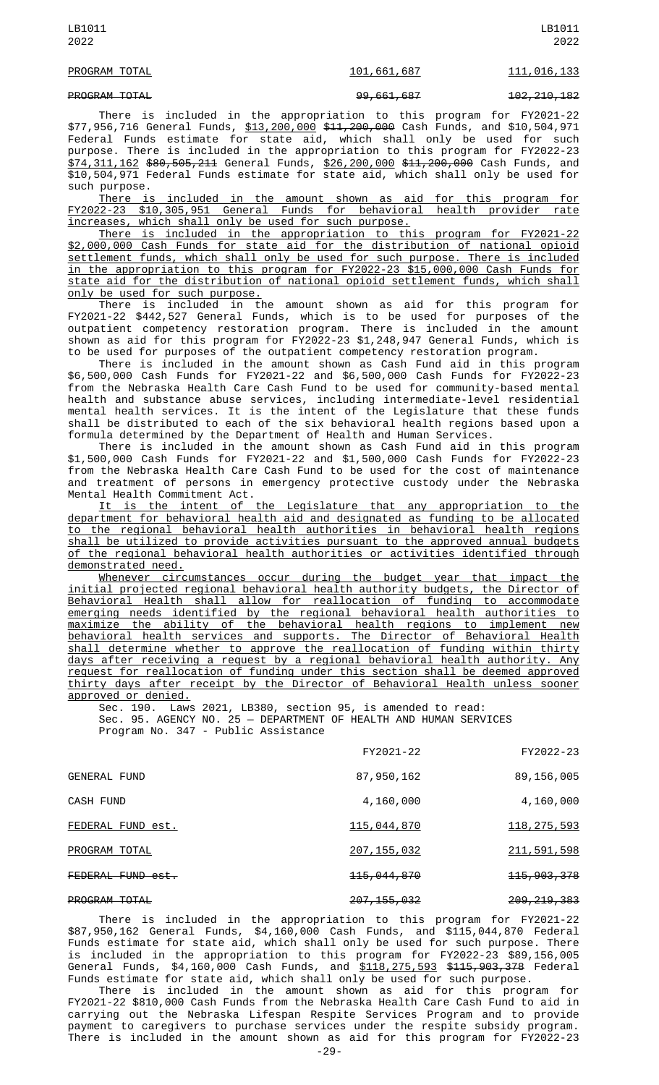#### PROGRAM TOTAL 101, 101, 661, 687 111, 016, 133

PROGRAM TOTAL 99,661,687 102,210,182

There is included in the appropriation to this program for FY2021-22 \$77,956,716 General Funds, \$13,200,000 \$11,200,000 Cash Funds, and \$10,504,971 Federal Funds estimate for state aid, which shall only be used for such purpose. There is included in the appropriation to this program for FY2022-23 \$74,311,162 \$80,505,211 General Funds, \$26,200,000 \$11,200,000 Cash Funds, and \$10,504,971 Federal Funds estimate for state aid, which shall only be used for such purpose.

There is included in the amount shown as aid for this program for FY2022-23 \$10,305,951 General Funds for behavioral health provider rate increases, which shall only be used for such purpose.

There is included in the appropriation to this program for FY2021-22 \$2,000,000 Cash Funds for state aid for the distribution of national opioid settlement funds, which shall only be used for such purpose. There is included in the appropriation to this program for FY2022-23 \$15,000,000 Cash Funds for state aid for the distribution of national opioid settlement funds, which shall only be used for such purpose.

There is included in the amount shown as aid for this program for FY2021-22 \$442,527 General Funds, which is to be used for purposes of the outpatient competency restoration program. There is included in the amount shown as aid for this program for FY2022-23 \$1,248,947 General Funds, which is to be used for purposes of the outpatient competency restoration program.

There is included in the amount shown as Cash Fund aid in this program \$6,500,000 Cash Funds for FY2021-22 and \$6,500,000 Cash Funds for FY2022-23 from the Nebraska Health Care Cash Fund to be used for community-based mental health and substance abuse services, including intermediate-level residential mental health services. It is the intent of the Legislature that these funds shall be distributed to each of the six behavioral health regions based upon a formula determined by the Department of Health and Human Services.

There is included in the amount shown as Cash Fund aid in this program \$1,500,000 Cash Funds for FY2021-22 and \$1,500,000 Cash Funds for FY2022-23 from the Nebraska Health Care Cash Fund to be used for the cost of maintenance and treatment of persons in emergency protective custody under the Nebraska Mental Health Commitment Act.

It is the intent of the Legislature that any appropriation to the department for behavioral health aid and designated as funding to be allocated to the regional behavioral health authorities in behavioral health regions shall be utilized to provide activities pursuant to the approved annual budgets of the regional behavioral health authorities or activities identified through demonstrated need.

Whenever circumstances occur during the budget year that impact the initial projected regional behavioral health authority budgets, the Director of Behavioral Health shall allow for reallocation of funding to accommodate emerging needs identified by the regional behavioral health authorities to maximize the ability of the behavioral health regions to implement new behavioral health services and supports. The Director of Behavioral Health shall determine whether to approve the reallocation of funding within thirty days after receiving a request by a regional behavioral health authority. Any request for reallocation of funding under this section shall be deemed approved thirty days after receipt by the Director of Behavioral Health unless sooner approved or denied.

Sec. 190. Laws 2021, LB380, section 95, is amended to read: Sec. 95. AGENCY NO. 25 — DEPARTMENT OF HEALTH AND HUMAN SERVICES Program No. 347 - Public Assistance

|                      | FY2021-22                | FY2022-23                |
|----------------------|--------------------------|--------------------------|
| <b>GENERAL FUND</b>  | 87, 950, 162             | 89,156,005               |
| CASH FUND            | 4,160,000                | 4,160,000                |
| FEDERAL FUND est.    | 115,044,870              | 118, 275, 593            |
| PROGRAM TOTAL        | 207, 155, 032            | 211,591,598              |
| FEDERAL FUND est.    | <del>115,044,870</del>   | <del>115, 903, 378</del> |
| <b>PROGRAM TOTAL</b> | <del>207, 155, 032</del> | 209, 219, 383            |

There is included in the appropriation to this program for FY2021-22 \$87,950,162 General Funds, \$4,160,000 Cash Funds, and \$115,044,870 Federal Funds estimate for state aid, which shall only be used for such purpose. There is included in the appropriation to this program for FY2022-23 \$89,156,005 General Funds, \$4,160,000 Cash Funds, and <u>\$118,275,593</u> \$<del>115,903,378</del> Federal Funds estimate for state aid, which shall only be used for such purpose.

There is included in the amount shown as aid for this program for FY2021-22 \$810,000 Cash Funds from the Nebraska Health Care Cash Fund to aid in carrying out the Nebraska Lifespan Respite Services Program and to provide payment to caregivers to purchase services under the respite subsidy program. There is included in the amount shown as aid for this program for FY2022-23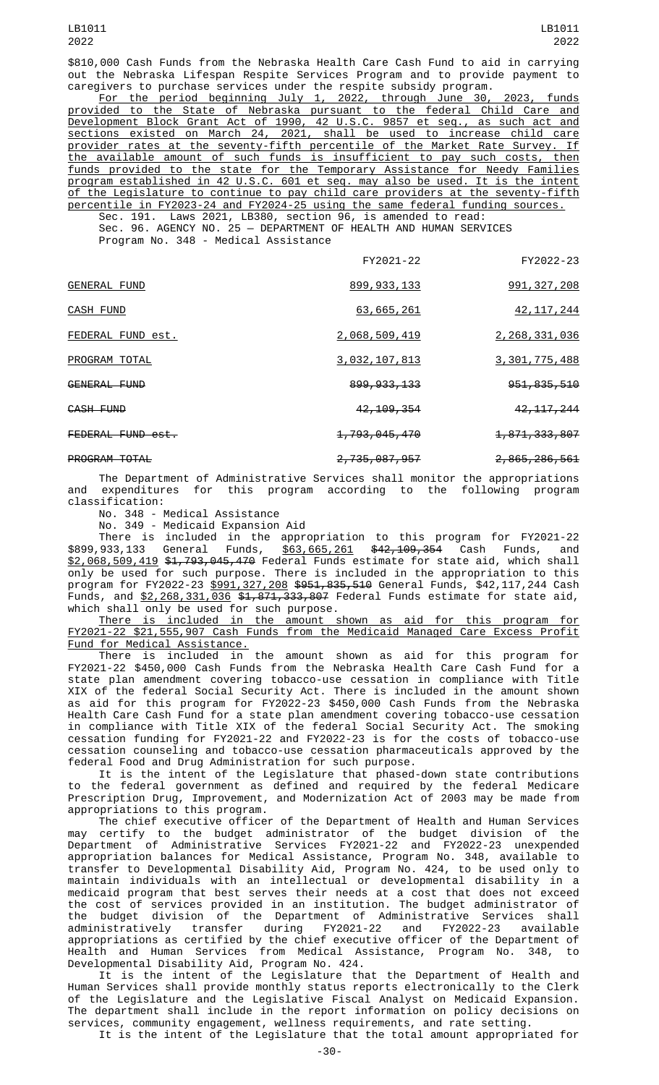\$810,000 Cash Funds from the Nebraska Health Care Cash Fund to aid in carrying out the Nebraska Lifespan Respite Services Program and to provide payment to caregivers to purchase services under the respite subsidy program.

For the period beginning July 1, 2022, through June 30, 2023, funds provided to the State of Nebraska pursuant to the federal Child Care and Development Block Grant Act of 1990, 42 U.S.C. 9857 et seq., as such act and sections existed on March 24, 2021, shall be used to increase child care provider rates at the seventy-fifth percentile of the Market Rate Survey. If the available amount of such funds is insufficient to pay such costs, then funds provided to the state for the Temporary Assistance for Needy Families program established in 42 U.S.C. 601 et seq. may also be used. It is the intent of the Legislature to continue to pay child care providers at the seventy-fifth percentile in FY2023-24 and FY2024-25 using the same federal funding sources.

Sec. 191. Laws 2021, LB380, section 96, is amended to read: Sec. 96. AGENCY NO. 25 — DEPARTMENT OF HEALTH AND HUMAN SERVICES Program No. 348 - Medical Assistance

|                      | FY2021-22                | FY2022-23        |
|----------------------|--------------------------|------------------|
| <b>GENERAL FUND</b>  | 899, 933, 133            | 991, 327, 208    |
| CASH FUND            | 63,665,261               | 42, 117, 244     |
| FEDERAL FUND est.    | 2,068,509,419            | 2,268,331,036    |
| PROGRAM TOTAL        | 3,032,107,813            | 3, 301, 775, 488 |
| GENERAL FUND         | 899, 933, 133            | 951, 835, 510    |
| CASH FUND            | 42, 109, 354             | 42, 117, 244     |
| FEDERAL FUND est.    | 1,793,045,470            | 1,871,333,807    |
| <b>PROGRAM TOTAL</b> | <del>2,735,087,957</del> | 2,865,286,561    |

The Department of Administrative Services shall monitor the appropriations and expenditures for this program according to the following program classification:

No. 348 - Medical Assistance

No. 349 - Medicaid Expansion Aid

There is included in the appropriation to this program for FY2021-22 \$899,933,133 General Funds, <u>\$63,665,261</u> \$<del>42,109,354</del> Cash Funds, and \$2,068,509,419 \$1,793,045,470 Federal Funds estimate for state aid, which shall only be used for such purpose. There is included in the appropriation to this program for FY2022-23 <u>\$991,327,208</u> <del>\$951,835,510</del> General Funds, \$42,117,244 Cash Funds, and \$2,268,331,036 \$1,871,333,807 Federal Funds estimate for state aid, which shall only be used for such purpose.

There is included in the amount shown as aid for this program for FY2021-22 \$21,555,907 Cash Funds from the Medicaid Managed Care Excess Profit Fund for Medical Assistance.

There is included in the amount shown as aid for this program for FY2021-22 \$450,000 Cash Funds from the Nebraska Health Care Cash Fund for a state plan amendment covering tobacco-use cessation in compliance with Title XIX of the federal Social Security Act. There is included in the amount shown as aid for this program for FY2022-23 \$450,000 Cash Funds from the Nebraska Health Care Cash Fund for a state plan amendment covering tobacco-use cessation in compliance with Title XIX of the federal Social Security Act. The smoking cessation funding for FY2021-22 and FY2022-23 is for the costs of tobacco-use cessation counseling and tobacco-use cessation pharmaceuticals approved by the federal Food and Drug Administration for such purpose.

It is the intent of the Legislature that phased-down state contributions to the federal government as defined and required by the federal Medicare Prescription Drug, Improvement, and Modernization Act of 2003 may be made from appropriations to this program.

The chief executive officer of the Department of Health and Human Services may certify to the budget administrator of the budget division of the Department of Administrative Services FY2021-22 and FY2022-23 unexpended appropriation balances for Medical Assistance, Program No. 348, available to transfer to Developmental Disability Aid, Program No. 424, to be used only to maintain individuals with an intellectual or developmental disability in a medicaid program that best serves their needs at a cost that does not exceed the cost of services provided in an institution. The budget administrator of the budget division of the Department of Administrative Services shall administratively transfer during FY2021-22 and FY2022-23 available appropriations as certified by the chief executive officer of the Department of Health and Human Services from Medical Assistance, Program No. 348, to Developmental Disability Aid, Program No. 424.

It is the intent of the Legislature that the Department of Health and Human Services shall provide monthly status reports electronically to the Clerk of the Legislature and the Legislative Fiscal Analyst on Medicaid Expansion. The department shall include in the report information on policy decisions on services, community engagement, wellness requirements, and rate setting.

It is the intent of the Legislature that the total amount appropriated for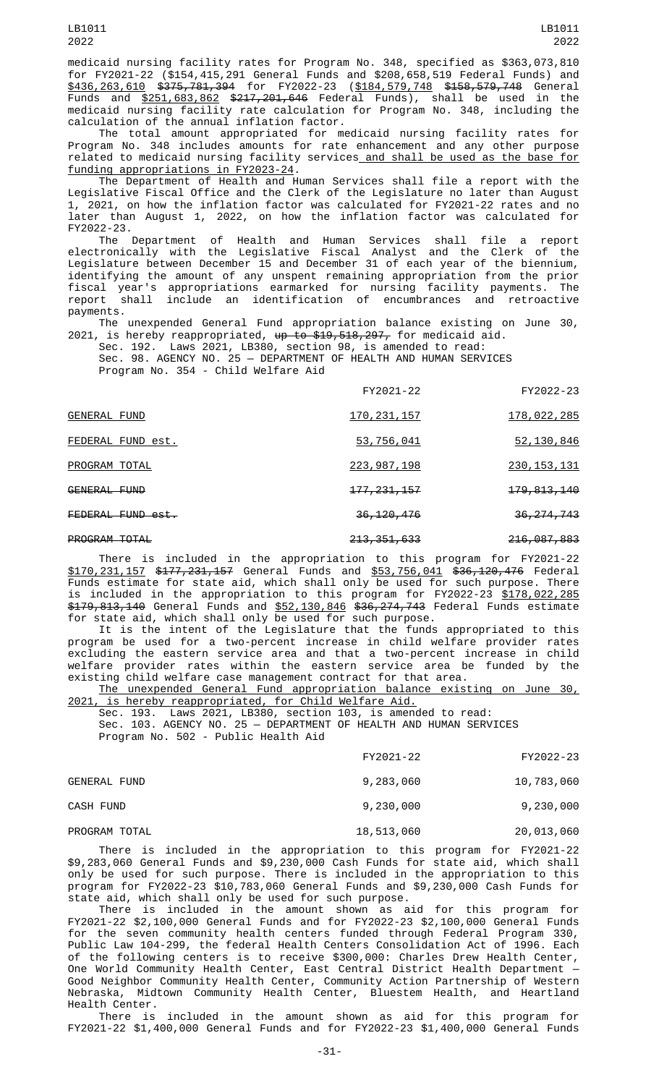medicaid nursing facility rates for Program No. 348, specified as \$363,073,810 for FY2021-22 (\$154,415,291 General Funds and \$208,658,519 Federal Funds) and \$436,263,610 \$375,781,394 for FY2022-23 (\$184,579,748 \$158,579,748 General Funds and \$251,683,862 \$217,201,646 Federal Funds), shall be used in the medicaid nursing facility rate calculation for Program No. 348, including the calculation of the annual inflation factor.

The total amount appropriated for medicaid nursing facility rates for Program No. 348 includes amounts for rate enhancement and any other purpose related to medicaid nursing facility services and shall be used as the base for funding appropriations in FY2023-24.

The Department of Health and Human Services shall file a report with the Legislative Fiscal Office and the Clerk of the Legislature no later than August 1, 2021, on how the inflation factor was calculated for FY2021-22 rates and no later than August 1, 2022, on how the inflation factor was calculated for FY2022-23.

The Department of Health and Human Services shall file a report electronically with the Legislative Fiscal Analyst and the Clerk of the Legislature between December 15 and December 31 of each year of the biennium, identifying the amount of any unspent remaining appropriation from the prior fiscal year's appropriations earmarked for nursing facility payments. The report shall include an identification of encumbrances and retroactive payments.

The unexpended General Fund appropriation balance existing on June 30, 2021, is hereby reappropriated,  $\overline{up}$  to \$19,518,297, for medicaid aid.<br>Sec. 192. Laws 2021, LB380, section 98, is amended to read:

Laws 2021, LB380, section 98, is amended to read: Sec. 98. AGENCY NO. 25 — DEPARTMENT OF HEALTH AND HUMAN SERVICES Program No. 354 - Child Welfare Aid

|                      | FY2021-22                | FY2022-23                |
|----------------------|--------------------------|--------------------------|
| GENERAL FUND         | 170, 231, 157            | 178,022,285              |
| FEDERAL FUND est.    | 53,756,041               | 52,130,846               |
| PROGRAM TOTAL        | 223, 987, 198            | 230, 153, 131            |
| GENERAL FUND         | <del>177, 231, 157</del> | <del>179, 813, 140</del> |
| FEDERAL FUND est.    | 36, 120, 476             | 36, 274, 743             |
| <b>PROGRAM TOTAL</b> | 213, 351, 633            | <del>216,087,883</del>   |

There is included in the appropriation to this program for FY2021-22 \$170,231,157 \$177,231,157 General Funds and \$53,756,041 \$36,120,476 Federal Funds estimate for state aid, which shall only be used for such purpose. There is included in the appropriation to this program for FY2022-23 \$178,022,285 \$179,813,140 General Funds and \$52,130,846 \$36,274,743 Federal Funds estimate for state aid, which shall only be used for such purpose.

It is the intent of the Legislature that the funds appropriated to this program be used for a two-percent increase in child welfare provider rates excluding the eastern service area and that a two-percent increase in child welfare provider rates within the eastern service area be funded by the existing child welfare case management contract for that area.

The unexpended General Fund appropriation balance existing on June 30, 2021, is hereby reappropriated, for Child Welfare Aid.<br>Sec. 193. Laws 2021, LB380, section 103, is amen

Sec. 193. Laws 2021, LB380, section 103, is amended to read: Sec. 103. AGENCY NO. 25 — DEPARTMENT OF HEALTH AND HUMAN SERVICES Program No. 502 - Public Health Aid

|                     | FY2021-22  | FY2022-23  |
|---------------------|------------|------------|
| <b>GENERAL FUND</b> | 9,283,060  | 10,783,060 |
| CASH FUND           | 9,230,000  | 9,230,000  |
| PROGRAM TOTAL       | 18,513,060 | 20,013,060 |

There is included in the appropriation to this program for FY2021-22 \$9,283,060 General Funds and \$9,230,000 Cash Funds for state aid, which shall only be used for such purpose. There is included in the appropriation to this program for FY2022-23 \$10,783,060 General Funds and \$9,230,000 Cash Funds for state aid, which shall only be used for such purpose.

There is included in the amount shown as aid for this program for FY2021-22 \$2,100,000 General Funds and for FY2022-23 \$2,100,000 General Funds for the seven community health centers funded through Federal Program 330, Public Law 104-299, the federal Health Centers Consolidation Act of 1996. Each of the following centers is to receive \$300,000: Charles Drew Health Center, One World Community Health Center, East Central District Health Department — Good Neighbor Community Health Center, Community Action Partnership of Western Nebraska, Midtown Community Health Center, Bluestem Health, and Heartland Health Center.

There is included in the amount shown as aid for this program for FY2021-22 \$1,400,000 General Funds and for FY2022-23 \$1,400,000 General Funds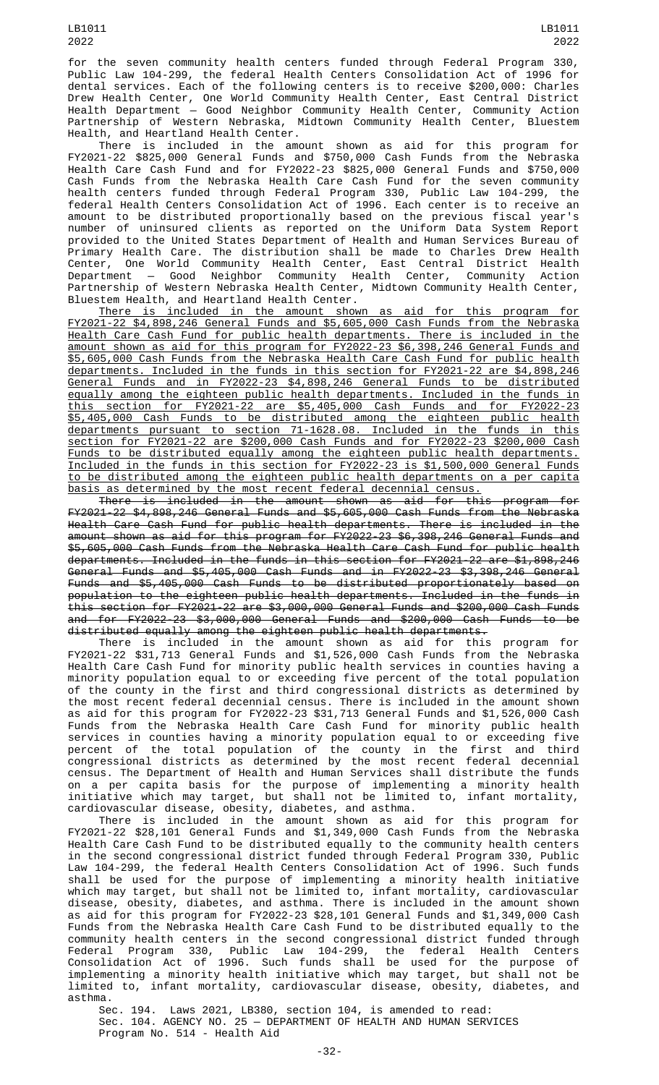for the seven community health centers funded through Federal Program 330, Public Law 104-299, the federal Health Centers Consolidation Act of 1996 for dental services. Each of the following centers is to receive \$200,000: Charles Drew Health Center, One World Community Health Center, East Central District Health Department — Good Neighbor Community Health Center, Community Action Partnership of Western Nebraska, Midtown Community Health Center, Bluestem Health, and Heartland Health Center.

There is included in the amount shown as aid for this program for FY2021-22 \$825,000 General Funds and \$750,000 Cash Funds from the Nebraska Health Care Cash Fund and for FY2022-23 \$825,000 General Funds and \$750,000 Cash Funds from the Nebraska Health Care Cash Fund for the seven community health centers funded through Federal Program 330, Public Law 104-299, the federal Health Centers Consolidation Act of 1996. Each center is to receive an amount to be distributed proportionally based on the previous fiscal year's number of uninsured clients as reported on the Uniform Data System Report provided to the United States Department of Health and Human Services Bureau of Primary Health Care. The distribution shall be made to Charles Drew Health Center, One World Community Health Center, East Central District Health Department — Good Neighbor Community Health Center, Community Action Partnership of Western Nebraska Health Center, Midtown Community Health Center, Bluestem Health, and Heartland Health Center.

There is included in the amount shown as aid for this program for FY2021-22 \$4,898,246 General Funds and \$5,605,000 Cash Funds from the Nebraska Health Care Cash Fund for public health departments. There is included in the amount shown as aid for this program for FY2022-23 \$6,398,246 General Funds and \$5,605,000 Cash Funds from the Nebraska Health Care Cash Fund for public health departments. Included in the funds in this section for FY2021-22 are \$4,898,246 General Funds and in FY2022-23 \$4,898,246 General Funds to be distributed equally among the eighteen public health departments. Included in the funds in this section for FY2021-22 are \$5,405,000 Cash Funds and for FY2022-23 \$5,405,000 Cash Funds to be distributed among the eighteen public health departments pursuant to section 71-1628.08. Included in the funds in this section for FY2021-22 are \$200,000 Cash Funds and for FY2022-23 \$200,000 Cash Funds to be distributed equally among the eighteen public health departments. Included in the funds in this section for FY2022-23 is \$1,500,000 General Funds to be distributed among the eighteen public health departments on a per capita basis as determined by the most recent federal decennial census.

There is included in the amount shown as aid for this program for FY2021-22 \$4,898,246 General Funds and \$5,605,000 Cash Funds from the Nebraska Health Care Cash Fund for public health departments. There is included in the amount shown as aid for this program for FY2022-23 \$6,398,246 General Funds and \$5,605,000 Cash Funds from the Nebraska Health Care Cash Fund for public health departments. Included in the funds in this section for FY2021-22 are \$1,898,246 General Funds and \$5,405,000 Cash Funds and in FY2022-23 \$3,398,246 General Funds and \$5,405,000 Cash Funds to be distributed proportionately based on population to the eighteen public health departments. Included in the funds in this section for FY2021-22 are \$3,000,000 General Funds and \$200,000 Cash Funds and for FY2022-23 \$3,000,000 General Funds and \$200,000 Cash Funds to be distributed equally among the eighteen public health departments.

There is included in the amount shown as aid for this program for FY2021-22 \$31,713 General Funds and \$1,526,000 Cash Funds from the Nebraska Health Care Cash Fund for minority public health services in counties having a minority population equal to or exceeding five percent of the total population of the county in the first and third congressional districts as determined by the most recent federal decennial census. There is included in the amount shown as aid for this program for FY2022-23 \$31,713 General Funds and \$1,526,000 Cash Funds from the Nebraska Health Care Cash Fund for minority public health services in counties having a minority population equal to or exceeding five percent of the total population of the county in the first and third congressional districts as determined by the most recent federal decennial census. The Department of Health and Human Services shall distribute the funds on a per capita basis for the purpose of implementing a minority health initiative which may target, but shall not be limited to, infant mortality, cardiovascular disease, obesity, diabetes, and asthma.

There is included in the amount shown as aid for this program for FY2021-22 \$28,101 General Funds and \$1,349,000 Cash Funds from the Nebraska Health Care Cash Fund to be distributed equally to the community health centers in the second congressional district funded through Federal Program 330, Public Law 104-299, the federal Health Centers Consolidation Act of 1996. Such funds shall be used for the purpose of implementing a minority health initiative which may target, but shall not be limited to, infant mortality, cardiovascular disease, obesity, diabetes, and asthma. There is included in the amount shown as aid for this program for FY2022-23 \$28,101 General Funds and \$1,349,000 Cash Funds from the Nebraska Health Care Cash Fund to be distributed equally to the community health centers in the second congressional district funded through Federal Program 330, Public Law 104-299, the federal Health Centers Consolidation Act of 1996. Such funds shall be used for the purpose of implementing a minority health initiative which may target, but shall not be limited to, infant mortality, cardiovascular disease, obesity, diabetes, and asthma.

Sec. 194. Laws 2021, LB380, section 104, is amended to read: Sec. 104. AGENCY NO. 25 — DEPARTMENT OF HEALTH AND HUMAN SERVICES Program No. 514 - Health Aid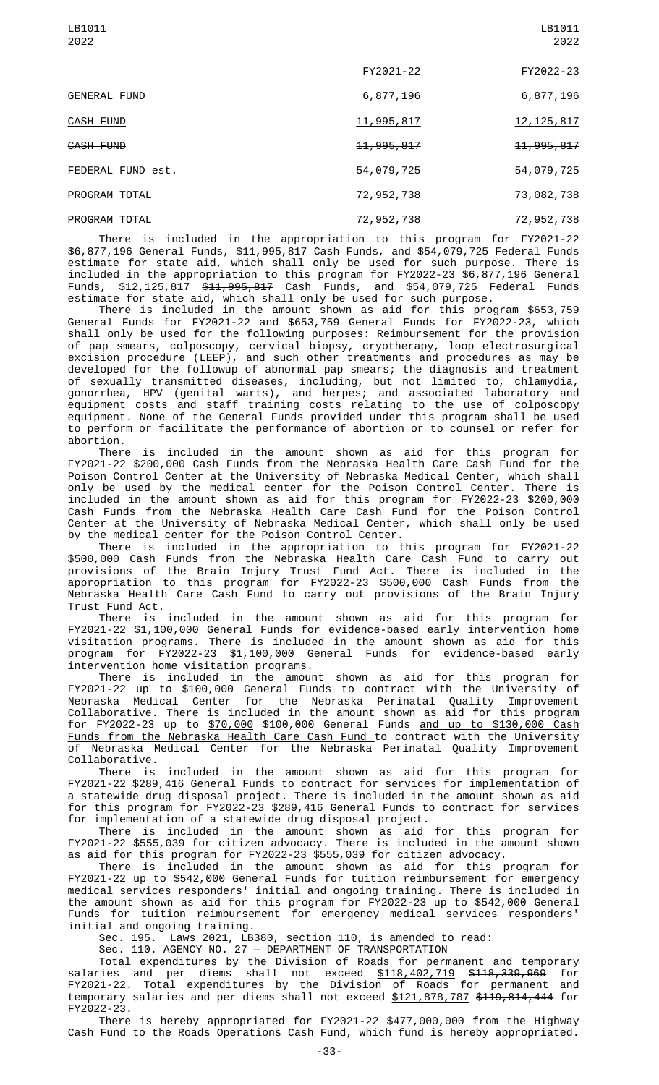|                      | FY2021-22               | FY2022-23               |
|----------------------|-------------------------|-------------------------|
| <b>GENERAL FUND</b>  | 6,877,196               | 6,877,196               |
| <b>CASH FUND</b>     | 11,995,817              | 12, 125, 817            |
| CASH FUND            | <del>11, 995, 817</del> | <del>11, 995, 817</del> |
| FEDERAL FUND est.    | 54,079,725              | 54,079,725              |
| PROGRAM TOTAL        | 72,952,738              | 73,082,738              |
| <b>PROGRAM TOTAL</b> | <del>72, 952, 738</del> | <del>72, 952, 738</del> |

There is included in the appropriation to this program for FY2021-22 \$6,877,196 General Funds, \$11,995,817 Cash Funds, and \$54,079,725 Federal Funds estimate for state aid, which shall only be used for such purpose. There is included in the appropriation to this program for FY2022-23 \$6,877,196 General Funds, \$12,125,817 \$11,995,817 Cash Funds, and \$54,079,725 Federal Funds estimate for state aid, which shall only be used for such purpose.

There is included in the amount shown as aid for this program \$653,759 General Funds for FY2021-22 and \$653,759 General Funds for FY2022-23, which shall only be used for the following purposes: Reimbursement for the provision of pap smears, colposcopy, cervical biopsy, cryotherapy, loop electrosurgical excision procedure (LEEP), and such other treatments and procedures as may be developed for the followup of abnormal pap smears; the diagnosis and treatment of sexually transmitted diseases, including, but not limited to, chlamydia, gonorrhea, HPV (genital warts), and herpes; and associated laboratory and equipment costs and staff training costs relating to the use of colposcopy equipment. None of the General Funds provided under this program shall be used to perform or facilitate the performance of abortion or to counsel or refer for abortion.

There is included in the amount shown as aid for this program for FY2021-22 \$200,000 Cash Funds from the Nebraska Health Care Cash Fund for the Poison Control Center at the University of Nebraska Medical Center, which shall only be used by the medical center for the Poison Control Center. There is included in the amount shown as aid for this program for FY2022-23 \$200,000 Cash Funds from the Nebraska Health Care Cash Fund for the Poison Control Center at the University of Nebraska Medical Center, which shall only be used by the medical center for the Poison Control Center.

There is included in the appropriation to this program for FY2021-22 \$500,000 Cash Funds from the Nebraska Health Care Cash Fund to carry out provisions of the Brain Injury Trust Fund Act. There is included in the appropriation to this program for FY2022-23 \$500,000 Cash Funds from the Nebraska Health Care Cash Fund to carry out provisions of the Brain Injury Trust Fund Act.

There is included in the amount shown as aid for this program for FY2021-22 \$1,100,000 General Funds for evidence-based early intervention home visitation programs. There is included in the amount shown as aid for this program for FY2022-23 \$1,100,000 General Funds for evidence-based early intervention home visitation programs.

There is included in the amount shown as aid for this program for FY2021-22 up to \$100,000 General Funds to contract with the University of Nebraska Medical Center for the Nebraska Perinatal Quality Improvement Collaborative. There is included in the amount shown as aid for this program for FY2022-23 up to \$70,000 \$100,000 General Funds and up to \$130,000 Cash Funds from the Nebraska Health Care Cash Fund to contract with the University of Nebraska Medical Center for the Nebraska Perinatal Quality Improvement Collaborative.

There is included in the amount shown as aid for this program for FY2021-22 \$289,416 General Funds to contract for services for implementation of a statewide drug disposal project. There is included in the amount shown as aid for this program for FY2022-23 \$289,416 General Funds to contract for services for implementation of a statewide drug disposal project.

There is included in the amount shown as aid for this program for FY2021-22 \$555,039 for citizen advocacy. There is included in the amount shown as aid for this program for FY2022-23 \$555,039 for citizen advocacy.

There is included in the amount shown as aid for this program for FY2021-22 up to \$542,000 General Funds for tuition reimbursement for emergency medical services responders' initial and ongoing training. There is included in the amount shown as aid for this program for FY2022-23 up to \$542,000 General Funds for tuition reimbursement for emergency medical services responders' initial and ongoing training.

Sec. 195. Laws 2021, LB380, section 110, is amended to read:

Sec. 110. AGENCY NO. 27 — DEPARTMENT OF TRANSPORTATION

Total expenditures by the Division of Roads for permanent and temporary salaries and per diems shall not exceed \$118,402,719 \$118,339,969 for FY2021-22. Total expenditures by the Division of Roads for permanent and temporary salaries and per diems shall not exceed \$121,878,787 \$119,814,444 for FY2022-23.

There is hereby appropriated for FY2021-22 \$477,000,000 from the Highway Cash Fund to the Roads Operations Cash Fund, which fund is hereby appropriated.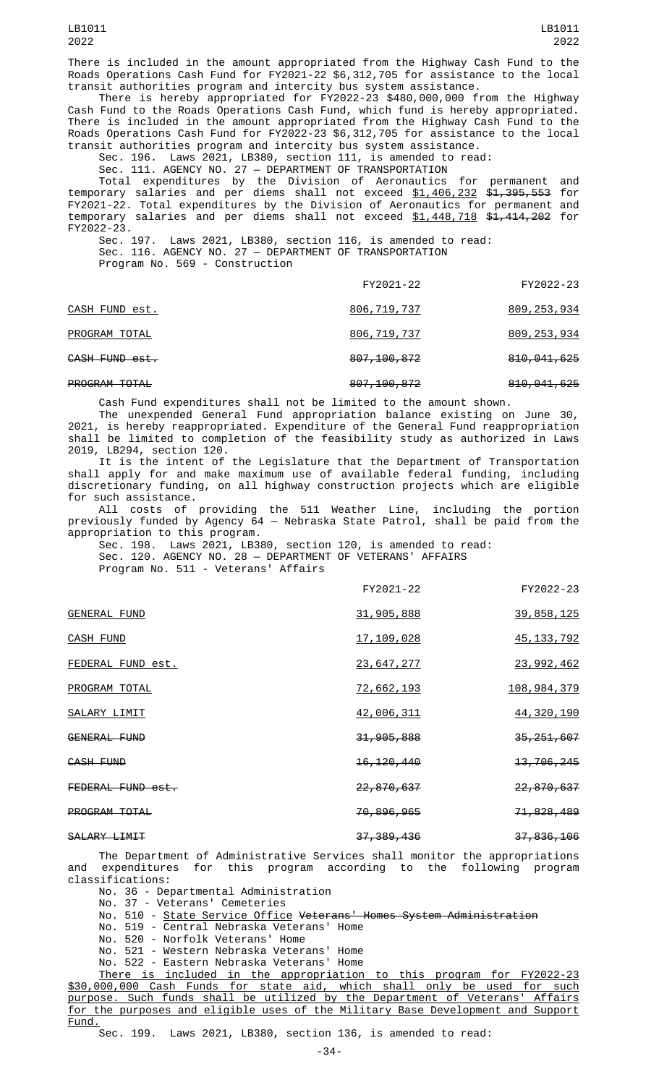There is included in the amount appropriated from the Highway Cash Fund to the Roads Operations Cash Fund for FY2021-22 \$6,312,705 for assistance to the local transit authorities program and intercity bus system assistance.

There is hereby appropriated for FY2022-23 \$480,000,000 from the Highway Cash Fund to the Roads Operations Cash Fund, which fund is hereby appropriated. There is included in the amount appropriated from the Highway Cash Fund to the Roads Operations Cash Fund for FY2022-23 \$6,312,705 for assistance to the local transit authorities program and intercity bus system assistance.

Sec. 196. Laws 2021, LB380, section 111, is amended to read:

Sec. 111. AGENCY NO. 27 — DEPARTMENT OF TRANSPORTATION

Total expenditures by the Division of Aeronautics for permanent and temporary salaries and per diems shall not exceed <u>\$1,406,232</u> <del>\$1,395,553</del> for FY2021-22. Total expenditures by the Division of Aeronautics for permanent and temporary salaries and per diems shall not exceed \$1,448,718 \$1,414,202 for FY2022-23.

Sec. 197. Laws 2021, LB380, section 116, is amended to read: Sec. 116. AGENCY NO. 27 — DEPARTMENT OF TRANSPORTATION Program No. 569 - Construction

|                      | FY2021-22     | FY2022-23              |
|----------------------|---------------|------------------------|
| CASH FUND est.       | 806, 719, 737 | 809, 253, 934          |
| PROGRAM TOTAL        | 806,719,737   | 809, 253, 934          |
| CASH FUND est.       | 807, 100, 872 | 810,041,625            |
| <b>PROGRAM TOTAL</b> | 807, 100, 872 | <del>810,041,625</del> |

Cash Fund expenditures shall not be limited to the amount shown.

The unexpended General Fund appropriation balance existing on June 30, 2021, is hereby reappropriated. Expenditure of the General Fund reappropriation shall be limited to completion of the feasibility study as authorized in Laws 2019, LB294, section 120.

It is the intent of the Legislature that the Department of Transportation shall apply for and make maximum use of available federal funding, including discretionary funding, on all highway construction projects which are eligible for such assistance.

All costs of providing the 511 Weather Line, including the portion previously funded by Agency 64 — Nebraska State Patrol, shall be paid from the appropriation to this program.

Sec. 198. Laws 2021, LB380, section 120, is amended to read: Sec. 120. AGENCY NO. 28 — DEPARTMENT OF VETERANS' AFFAIRS Program No. 511 - Veterans' Affairs

|                     | FY2021-22               | FY2022-23             |
|---------------------|-------------------------|-----------------------|
| <b>GENERAL FUND</b> | 31,905,888              | 39, 858, 125          |
| <b>CASH FUND</b>    | <u>17, 109, 028</u>     | 45, 133, 792          |
| FEDERAL FUND est.   | <u>23,647,277</u>       | <u>23, 992, 462</u>   |
| PROGRAM TOTAL       | 72,662,193              | <u>108, 984, 379</u>  |
| SALARY LIMIT        | 42,006,311              | 44, 320, 190          |
| <b>GENERAL FUND</b> | 31, 905, 888            | 35, 251, 607          |
| CASH FUND           | <del>16, 120, 440</del> | <del>13,706,245</del> |
| FEDERAL FUND est.   | <del>22,870,637</del>   | <del>22,870,637</del> |
| PROGRAM TOTAL       | <del>70,896,965</del>   | 71,828,489            |
| SALARY LIMIT        | 37, 389, 436            | 37,836,106            |

The Department of Administrative Services shall monitor the appropriations and expenditures for this program according to the following program classifications:

No. 36 - Departmental Administration

No. 37 - Veterans' Cemeteries

No. 510 - State Service Office Veterans' Homes System Administration

No. 519 - Central Nebraska Veterans' Home

No. 520 - Norfolk Veterans' Home

No. 521 - Western Nebraska Veterans' Home

No. 522 - Eastern Nebraska Veterans' Home

There is included in the appropriation to this program for FY2022-23 \$30,000,000 Cash Funds for state aid, which shall only be used for such purpose. Such funds shall be utilized by the Department of Veterans' Affairs for the purposes and eligible uses of the Military Base Development and Support Fund.

Sec. 199. Laws 2021, LB380, section 136, is amended to read: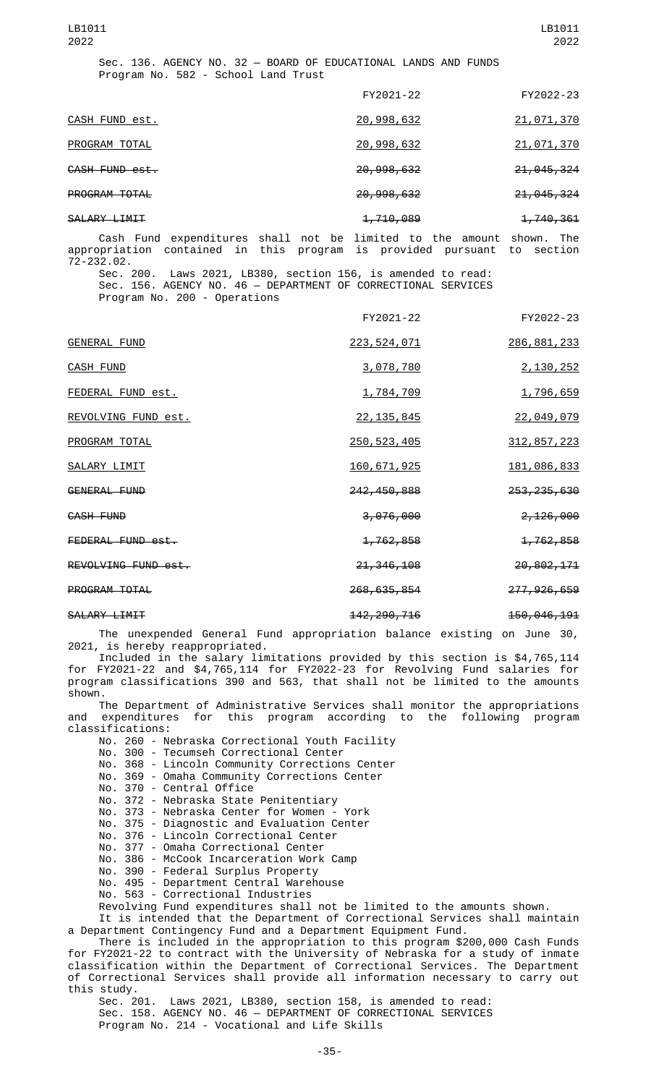| LB1011<br>2022                                                                                        |                         | LB1011<br>2022        |
|-------------------------------------------------------------------------------------------------------|-------------------------|-----------------------|
| Sec. 136. AGENCY NO. 32 - BOARD OF EDUCATIONAL LANDS AND FUNDS<br>Program No. 582 - School Land Trust |                         |                       |
|                                                                                                       | FY2021-22               | FY2022-23             |
| CASH FUND est.                                                                                        | 20,998,632              | 21,071,370            |
| PROGRAM TOTAL                                                                                         | 20,998,632              | 21,071,370            |
| CASH FUND est.                                                                                        | 20,998,632              | 21,045,324            |
| PROGRAM TOTAL                                                                                         | <del>20, 998, 632</del> | <del>21,045,324</del> |
| SALARY LIMIT                                                                                          | 1,710,089               | 1,740,361             |

Cash Fund expenditures shall not be limited to the amount shown. The appropriation contained in this program is provided pursuant to section 72-232.02.

Sec. 200. Laws 2021, LB380, section 156, is amended to read: Sec. 156. AGENCY NO. 46 — DEPARTMENT OF CORRECTIONAL SERVICES Program No. 200 - Operations

|                      | FY2021-22                | FY2022-23              |
|----------------------|--------------------------|------------------------|
| <b>GENERAL FUND</b>  | <u>223, 524, 071</u>     | 286, 881, 233          |
| <b>CASH FUND</b>     | 3,078,780                | 2, 130, 252            |
| FEDERAL FUND est.    | 1,784,709                | 1,796,659              |
| REVOLVING FUND est.  | 22, 135, 845             | 22,049,079             |
| PROGRAM TOTAL        | 250, 523, 405            | 312, 857, 223          |
| SALARY LIMIT         | 160, 671, 925            | 181,086,833            |
| GENERAL FUND         | <del>242, 450, 888</del> | 253, 235, 630          |
| CASH FUND            | 3,076,000                | 2,126,000              |
| FEDERAL FUND est.    | 1,762,858                | 1,762,858              |
| REVOLVING FUND est.  | 21, 346, 108             | <del>20,802,171</del>  |
| <b>PROGRAM TOTAL</b> | 268, 635, 854            | 277, 926, 659          |
| SALARY LIMIT         | <del>142, 290, 716</del> | <del>150,046,191</del> |

The unexpended General Fund appropriation balance existing on June 30, 2021, is hereby reappropriated.

Included in the salary limitations provided by this section is \$4,765,114 for FY2021-22 and \$4,765,114 for FY2022-23 for Revolving Fund salaries for program classifications 390 and 563, that shall not be limited to the amounts shown.

The Department of Administrative Services shall monitor the appropriations and expenditures for this program according to the following program classifications:

- No. 260 Nebraska Correctional Youth Facility
- No. 300 Tecumseh Correctional Center
- No. 368 Lincoln Community Corrections Center
- No. 369 Omaha Community Corrections Center
- No. 370 Central Office
- No. 372 Nebraska State Penitentiary
- No. 373 Nebraska Center for Women York
- No. 375 Diagnostic and Evaluation Center
- No. 376 Lincoln Correctional Center
- No. 377 Omaha Correctional Center
- No. 386 McCook Incarceration Work Camp
- No. 390 Federal Surplus Property
- No. 495 Department Central Warehouse
- No. 563 Correctional Industries
- Revolving Fund expenditures shall not be limited to the amounts shown.

It is intended that the Department of Correctional Services shall maintain a Department Contingency Fund and a Department Equipment Fund.

There is included in the appropriation to this program \$200,000 Cash Funds for FY2021-22 to contract with the University of Nebraska for a study of inmate classification within the Department of Correctional Services. The Department of Correctional Services shall provide all information necessary to carry out this study.

Sec. 201. Laws 2021, LB380, section 158, is amended to read: Sec. 158. AGENCY NO. 46 — DEPARTMENT OF CORRECTIONAL SERVICES Program No. 214 - Vocational and Life Skills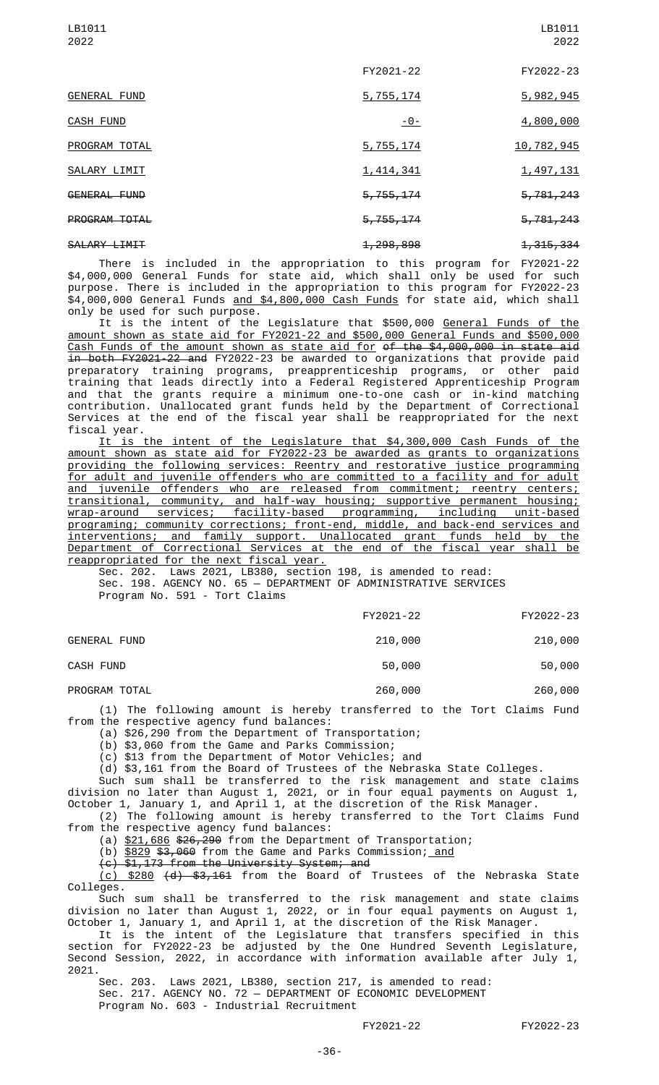| 2022                 |                        | 2022                 |
|----------------------|------------------------|----------------------|
|                      | FY2021-22              | FY2022-23            |
| <b>GENERAL FUND</b>  | 5,755,174              | 5,982,945            |
| <b>CASH FUND</b>     | $-0-$                  | 4,800,000            |
| PROGRAM TOTAL        | 5,755,174              | 10,782,945           |
| SALARY LIMIT         | 1,414,341              | 1,497,131            |
| GENERAL FUND         | 5,755,174              | 5,781,243            |
| <b>PROGRAM TOTAL</b> | <del>5,755,174</del>   | <del>5,781,243</del> |
| SALARY LIMIT         | <del>1, 298, 898</del> | 1, 315, 334          |

There is included in the appropriation to this program for FY2021-22 \$4,000,000 General Funds for state aid, which shall only be used for such purpose. There is included in the appropriation to this program for FY2022-23 \$4,000,000 General Funds and \$4,800,000 Cash Funds for state aid, which shall only be used for such purpose.

It is the intent of the Legislature that \$500,000 <u>General Funds of the</u> amount shown as state aid for FY2021-22 and \$500,000 General Funds and \$500,000 Cash Funds of the amount shown as state aid for of the \$4,000,000 in state aid in both FY2021-22 and FY2022-23 be awarded to organizations that provide paid preparatory training programs, preapprenticeship programs, or other paid training that leads directly into a Federal Registered Apprenticeship Program and that the grants require a minimum one-to-one cash or in-kind matching contribution. Unallocated grant funds held by the Department of Correctional Services at the end of the fiscal year shall be reappropriated for the next fiscal year.

It is the intent of the Legislature that \$4,300,000 Cash Funds of the amount shown as state aid for FY2022-23 be awarded as grants to organizations providing the following services: Reentry and restorative justice programming for adult and juvenile offenders who are committed to a facility and for adult and juvenile offenders who are released from commitment; reentry centers; transitional, community, and half-way housing; supportive permanent housing; wrap-around services; facility-based programming, including unit-based programing; community corrections; front-end, middle, and back-end services and interventions; and family support. Unallocated grant funds held by the Department of Correctional Services at the end of the fiscal year shall be reappropriated for the next fiscal year.

Sec. 202. Laws 2021, LB380, section 198, is amended to read: Sec. 198. AGENCY NO. 65 — DEPARTMENT OF ADMINISTRATIVE SERVICES Program No. 591 - Tort Claims

| FY2021-22 | FY2022-23 |
|-----------|-----------|
|           |           |

LB1011

GENERAL FUND 210,000 210,000

CASH FUND 50,000 50,000 50,000 50,000 50,000 50,000 50,000 50,000 50,000 50,000 50,000 50,000 50,000 50,000 50

LB1011

PROGRAM TOTAL 260,000 260,000 260,000

(1) The following amount is hereby transferred to the Tort Claims Fund from the respective agency fund balances:

(a) \$26,290 from the Department of Transportation;

(b) \$3,060 from the Game and Parks Commission;

(c) \$13 from the Department of Motor Vehicles; and

(d) \$3,161 from the Board of Trustees of the Nebraska State Colleges.

Such sum shall be transferred to the risk management and state claims division no later than August 1, 2021, or in four equal payments on August 1, October 1, January 1, and April 1, at the discretion of the Risk Manager.

(2) The following amount is hereby transferred to the Tort Claims Fund from the respective agency fund balances:

(a) <u>\$21,686</u> \$<del>26,290</del> from the Department of Transportation;

(b) <u>\$829</u> <del>\$3,060</del> from the Game and Parks Commission; <u>and</u>

(c) \$1,173 from the University System; and

(c) \$280 (d) \$3,161 from the Board of Trustees of the Nebraska State Colleges.

Such sum shall be transferred to the risk management and state claims division no later than August 1, 2022, or in four equal payments on August 1, October 1, January 1, and April 1, at the discretion of the Risk Manager.

It is the intent of the Legislature that transfers specified in this section for FY2022-23 be adjusted by the One Hundred Seventh Legislature, Second Session, 2022, in accordance with information available after July 1, 2021.

Sec. 203. Laws 2021, LB380, section 217, is amended to read: Sec. 217. AGENCY NO. 72 — DEPARTMENT OF ECONOMIC DEVELOPMENT

Program No. 603 - Industrial Recruitment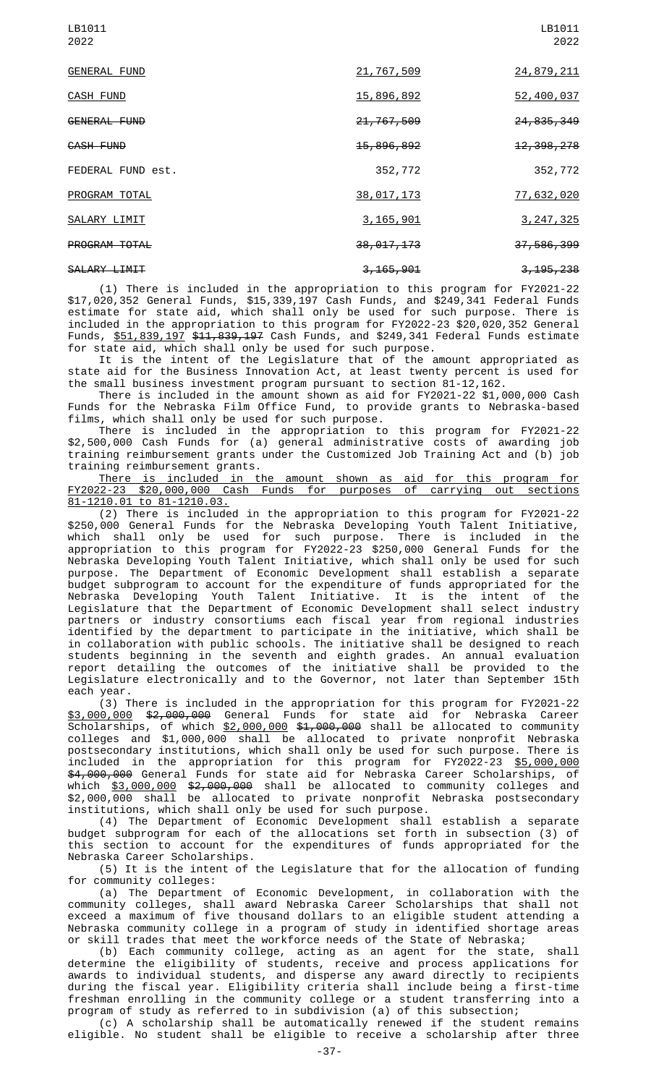| LB1011<br>2022      |                        | LB1011<br>2022          |
|---------------------|------------------------|-------------------------|
| <b>GENERAL FUND</b> | 21,767,509             | 24,879,211              |
| <b>CASH FUND</b>    | 15,896,892             | 52,400,037              |
| <b>GENERAL FUND</b> | 21,767,509             | 24, 835, 349            |
| <b>CASH FUND</b>    | 15,896,892             | 12, 398, 278            |
| FEDERAL FUND est.   | 352,772                | 352,772                 |
| PROGRAM TOTAL       | 38,017,173             | 77,632,020              |
| SALARY LIMIT        | 3, 165, 901            | 3, 247, 325             |
| PROGRAM TOTAL       | 38, 017, 173           | <del>37, 586, 399</del> |
| SALARY LIMIT        | <del>3, 165, 901</del> | <del>3, 195, 238</del>  |

(1) There is included in the appropriation to this program for FY2021-22 \$17,020,352 General Funds, \$15,339,197 Cash Funds, and \$249,341 Federal Funds estimate for state aid, which shall only be used for such purpose. There is included in the appropriation to this program for FY2022-23 \$20,020,352 General Funds, <u>\$51,839,197</u> <del>\$11,839,197</del> Cash Funds, and \$249,341 Federal Funds estimate for state aid, which shall only be used for such purpose.

It is the intent of the Legislature that of the amount appropriated as state aid for the Business Innovation Act, at least twenty percent is used for the small business investment program pursuant to section 81-12,162.

There is included in the amount shown as aid for FY2021-22 \$1,000,000 Cash Funds for the Nebraska Film Office Fund, to provide grants to Nebraska-based films, which shall only be used for such purpose.

There is included in the appropriation to this program for FY2021-22 \$2,500,000 Cash Funds for (a) general administrative costs of awarding job training reimbursement grants under the Customized Job Training Act and (b) job training reimbursement grants.

There is included in the amount shown as aid for this program for FY2022-23 \$20,000,000 Cash Funds for purposes of carrying out sections 81-1210.01 to 81-1210.03.

(2) There is included in the appropriation to this program for FY2021-22 \$250,000 General Funds for the Nebraska Developing Youth Talent Initiative, which shall only be used for such purpose. There is included in the appropriation to this program for FY2022-23 \$250,000 General Funds for the Nebraska Developing Youth Talent Initiative, which shall only be used for such purpose. The Department of Economic Development shall establish a separate budget subprogram to account for the expenditure of funds appropriated for the Nebraska Developing Youth Talent Initiative. It is the intent of the Legislature that the Department of Economic Development shall select industry partners or industry consortiums each fiscal year from regional industries identified by the department to participate in the initiative, which shall be in collaboration with public schools. The initiative shall be designed to reach students beginning in the seventh and eighth grades. An annual evaluation report detailing the outcomes of the initiative shall be provided to the Legislature electronically and to the Governor, not later than September 15th each year.

(3) There is included in the appropriation for this program for FY2021-22 \$3,000,000 \$2,000,000 General Funds for state aid for Nebraska Career Scholarships, of which <u>\$2,000,000</u> <del>\$1,000,000</del> shall be allocated to community colleges and \$1,000,000 shall be allocated to private nonprofit Nebraska postsecondary institutions, which shall only be used for such purpose. There is included in the appropriation for this program for FY2022-23 \$5,000,000 \$4,000,000 General Funds for state aid for Nebraska Career Scholarships, of which \$3,000,000 \$2,000,000 shall be allocated to community colleges and \$2,000,000 shall be allocated to private nonprofit Nebraska postsecondary institutions, which shall only be used for such purpose.

(4) The Department of Economic Development shall establish a separate budget subprogram for each of the allocations set forth in subsection (3) of this section to account for the expenditures of funds appropriated for the Nebraska Career Scholarships.

(5) It is the intent of the Legislature that for the allocation of funding for community colleges:

(a) The Department of Economic Development, in collaboration with the community colleges, shall award Nebraska Career Scholarships that shall not exceed a maximum of five thousand dollars to an eligible student attending a Nebraska community college in a program of study in identified shortage areas or skill trades that meet the workforce needs of the State of Nebraska;

(b) Each community college, acting as an agent for the state, shall determine the eligibility of students, receive and process applications for awards to individual students, and disperse any award directly to recipients during the fiscal year. Eligibility criteria shall include being a first-time freshman enrolling in the community college or a student transferring into a program of study as referred to in subdivision (a) of this subsection;

(c) A scholarship shall be automatically renewed if the student remains eligible. No student shall be eligible to receive a scholarship after three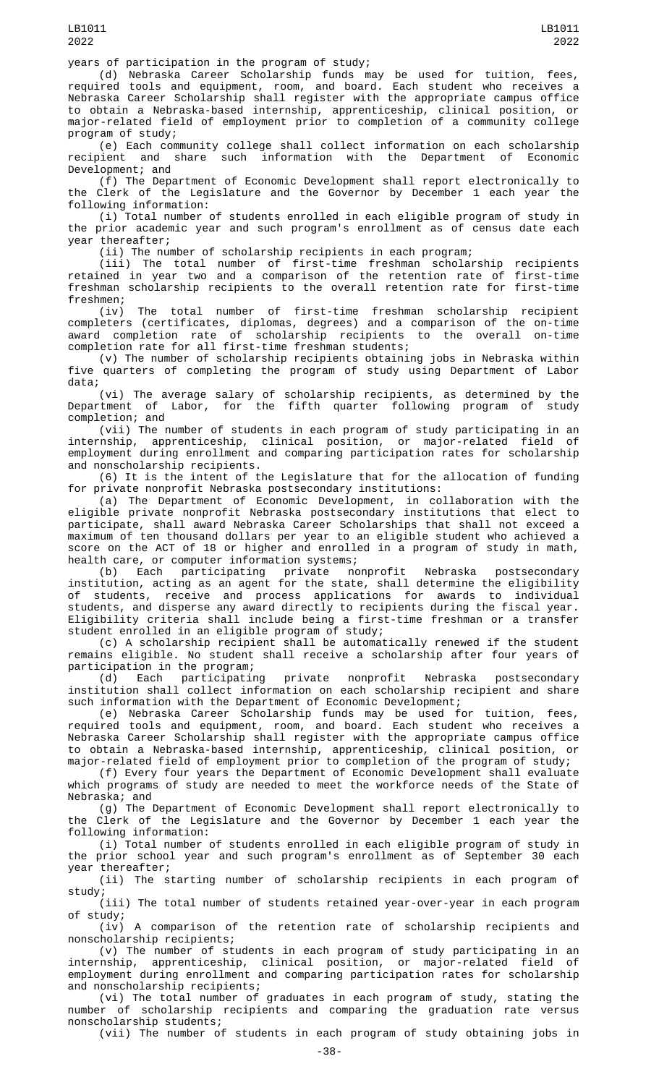(d) Nebraska Career Scholarship funds may be used for tuition, fees, required tools and equipment, room, and board. Each student who receives a Nebraska Career Scholarship shall register with the appropriate campus office to obtain a Nebraska-based internship, apprenticeship, clinical position, or major-related field of employment prior to completion of a community college program of study;

(e) Each community college shall collect information on each scholarship recipient and share such information with the Department of Economic Development; and

(f) The Department of Economic Development shall report electronically to the Clerk of the Legislature and the Governor by December 1 each year the following information:

(i) Total number of students enrolled in each eligible program of study in the prior academic year and such program's enrollment as of census date each year thereafter;

(ii) The number of scholarship recipients in each program;

(iii) The total number of first-time freshman scholarship recipients retained in year two and a comparison of the retention rate of first-time freshman scholarship recipients to the overall retention rate for first-time freshmen;

(iv) The total number of first-time freshman scholarship recipient completers (certificates, diplomas, degrees) and a comparison of the on-time award completion rate of scholarship recipients to the overall on-time completion rate for all first-time freshman students;

(v) The number of scholarship recipients obtaining jobs in Nebraska within five quarters of completing the program of study using Department of Labor data;

(vi) The average salary of scholarship recipients, as determined by the Department of Labor, for the fifth quarter following program of study Department of completion; and

(vii) The number of students in each program of study participating in an internship, apprenticeship, clinical position, or major-related field of employment during enrollment and comparing participation rates for scholarship and nonscholarship recipients.

(6) It is the intent of the Legislature that for the allocation of funding for private nonprofit Nebraska postsecondary institutions:

(a) The Department of Economic Development, in collaboration with the eligible private nonprofit Nebraska postsecondary institutions that elect to participate, shall award Nebraska Career Scholarships that shall not exceed a maximum of ten thousand dollars per year to an eligible student who achieved a score on the ACT of 18 or higher and enrolled in a program of study in math, health care, or computer information systems;

(b) Each participating private nonprofit Nebraska postsecondary institution, acting as an agent for the state, shall determine the eligibility of students, receive and process applications for awards to individual students, and disperse any award directly to recipients during the fiscal year. Eligibility criteria shall include being a first-time freshman or a transfer student enrolled in an eligible program of study;

(c) A scholarship recipient shall be automatically renewed if the student remains eligible. No student shall receive a scholarship after four years of participation in the program;

(d) Each participating private nonprofit Nebraska postsecondary institution shall collect information on each scholarship recipient and share such information with the Department of Economic Development;

(e) Nebraska Career Scholarship funds may be used for tuition, fees, required tools and equipment, room, and board. Each student who receives a Nebraska Career Scholarship shall register with the appropriate campus office to obtain a Nebraska-based internship, apprenticeship, clinical position, or major-related field of employment prior to completion of the program of study;

(f) Every four years the Department of Economic Development shall evaluate which programs of study are needed to meet the workforce needs of the State of Nebraska; and

(g) The Department of Economic Development shall report electronically to the Clerk of the Legislature and the Governor by December 1 each year the following information:

(i) Total number of students enrolled in each eligible program of study in the prior school year and such program's enrollment as of September 30 each year thereafter;

(ii) The starting number of scholarship recipients in each program of study;

(iii) The total number of students retained year-over-year in each program of study;

(iv) A comparison of the retention rate of scholarship recipients and nonscholarship recipients;

(v) The number of students in each program of study participating in an internship, apprenticeship, clinical position, or major-related field of employment during enrollment and comparing participation rates for scholarship and nonscholarship recipients;

(vi) The total number of graduates in each program of study, stating the number of scholarship recipients and comparing the graduation rate versus nonscholarship students;

(vii) The number of students in each program of study obtaining jobs in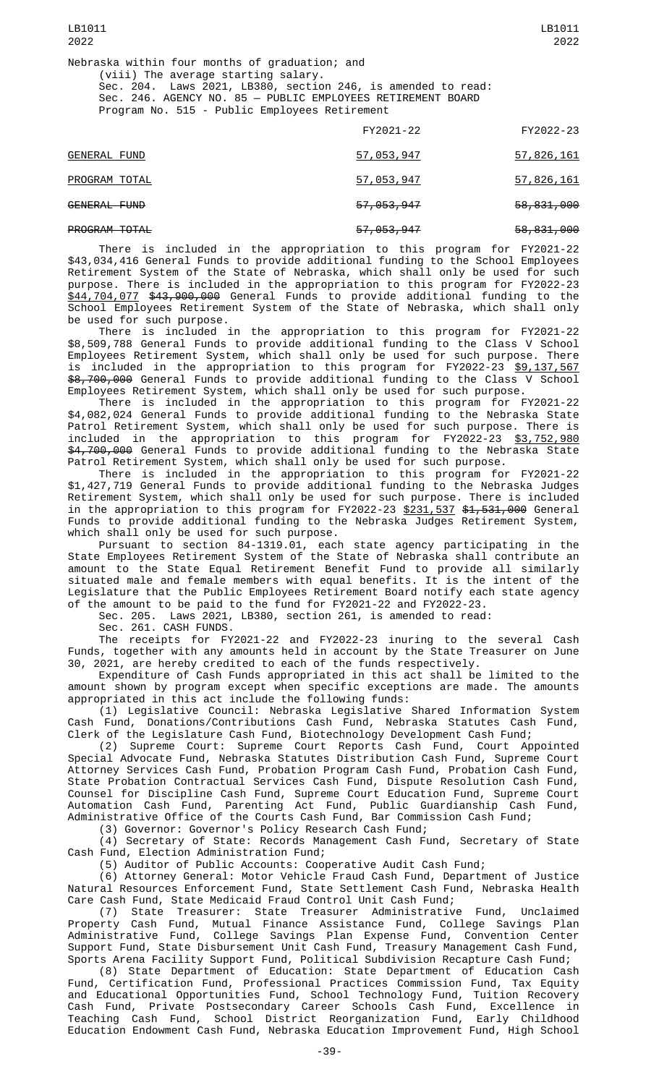|                      | FY2021-22             | FY2022-23  |
|----------------------|-----------------------|------------|
| <b>GENERAL FUND</b>  | 57,053,947            | 57,826,161 |
| PROGRAM TOTAL        | 57,053,947            | 57,826,161 |
| GENERAL FUND         | <del>57,053,947</del> | 58,831,000 |
| <b>PROGRAM TOTAL</b> | 57, 053, 947          | 58,831,000 |

There is included in the appropriation to this program for FY2021-22 \$43,034,416 General Funds to provide additional funding to the School Employees Retirement System of the State of Nebraska, which shall only be used for such purpose. There is included in the appropriation to this program for FY2022-23 \$44,704,077 \$43,900,000 General Funds to provide additional funding to the School Employees Retirement System of the State of Nebraska, which shall only be used for such purpose.

There is included in the appropriation to this program for FY2021-22 \$8,509,788 General Funds to provide additional funding to the Class V School Employees Retirement System, which shall only be used for such purpose. There is included in the appropriation to this program for FY2022-23 <u>\$9,137,567</u> \$8,700,000 General Funds to provide additional funding to the Class V School Employees Retirement System, which shall only be used for such purpose.

There is included in the appropriation to this program for FY2021-22 \$4,082,024 General Funds to provide additional funding to the Nebraska State Patrol Retirement System, which shall only be used for such purpose. There is included in the appropriation to this program for FY2022-23 \$3,752,980 \$4,700,000 General Funds to provide additional funding to the Nebraska State Patrol Retirement System, which shall only be used for such purpose.

There is included in the appropriation to this program for FY2021-22 \$1,427,719 General Funds to provide additional funding to the Nebraska Judges Retirement System, which shall only be used for such purpose. There is included in the appropriation to this program for FY2022-23 <u>\$231,537</u> <del>\$1,531,000</del> General Funds to provide additional funding to the Nebraska Judges Retirement System, which shall only be used for such purpose.

Pursuant to section 84-1319.01, each state agency participating in the State Employees Retirement System of the State of Nebraska shall contribute an amount to the State Equal Retirement Benefit Fund to provide all similarly situated male and female members with equal benefits. It is the intent of the Legislature that the Public Employees Retirement Board notify each state agency of the amount to be paid to the fund for FY2021-22 and FY2022-23.

Sec. 205. Laws 2021, LB380, section 261, is amended to read:

Sec. 261. CASH FUNDS.

The receipts for FY2021-22 and FY2022-23 inuring to the several Cash Funds, together with any amounts held in account by the State Treasurer on June 30, 2021, are hereby credited to each of the funds respectively.

Expenditure of Cash Funds appropriated in this act shall be limited to the amount shown by program except when specific exceptions are made. The amounts appropriated in this act include the following funds:

(1) Legislative Council: Nebraska Legislative Shared Information System Cash Fund, Donations/Contributions Cash Fund, Nebraska Statutes Cash Fund, Clerk of the Legislature Cash Fund, Biotechnology Development Cash Fund;

(2) Supreme Court: Supreme Court Reports Cash Fund, Court Appointed Special Advocate Fund, Nebraska Statutes Distribution Cash Fund, Supreme Court Attorney Services Cash Fund, Probation Program Cash Fund, Probation Cash Fund, State Probation Contractual Services Cash Fund, Dispute Resolution Cash Fund, Counsel for Discipline Cash Fund, Supreme Court Education Fund, Supreme Court Automation Cash Fund, Parenting Act Fund, Public Guardianship Cash Fund, Administrative Office of the Courts Cash Fund, Bar Commission Cash Fund;

(3) Governor: Governor's Policy Research Cash Fund;

(4) Secretary of State: Records Management Cash Fund, Secretary of State Cash Fund, Election Administration Fund;

(5) Auditor of Public Accounts: Cooperative Audit Cash Fund;

(6) Attorney General: Motor Vehicle Fraud Cash Fund, Department of Justice Natural Resources Enforcement Fund, State Settlement Cash Fund, Nebraska Health Care Cash Fund, State Medicaid Fraud Control Unit Cash Fund;

(7) State Treasurer: State Treasurer Administrative Fund, Unclaimed Property Cash Fund, Mutual Finance Assistance Fund, College Savings Plan Administrative Fund, College Savings Plan Expense Fund, Convention Center Support Fund, State Disbursement Unit Cash Fund, Treasury Management Cash Fund, Sports Arena Facility Support Fund, Political Subdivision Recapture Cash Fund;

(8) State Department of Education: State Department of Education Cash Fund, Certification Fund, Professional Practices Commission Fund, Tax Equity and Educational Opportunities Fund, School Technology Fund, Tuition Recovery Cash Fund, Private Postsecondary Career Schools Cash Fund, Excellence in Teaching Cash Fund, School District Reorganization Fund, Early Childhood Education Endowment Cash Fund, Nebraska Education Improvement Fund, High School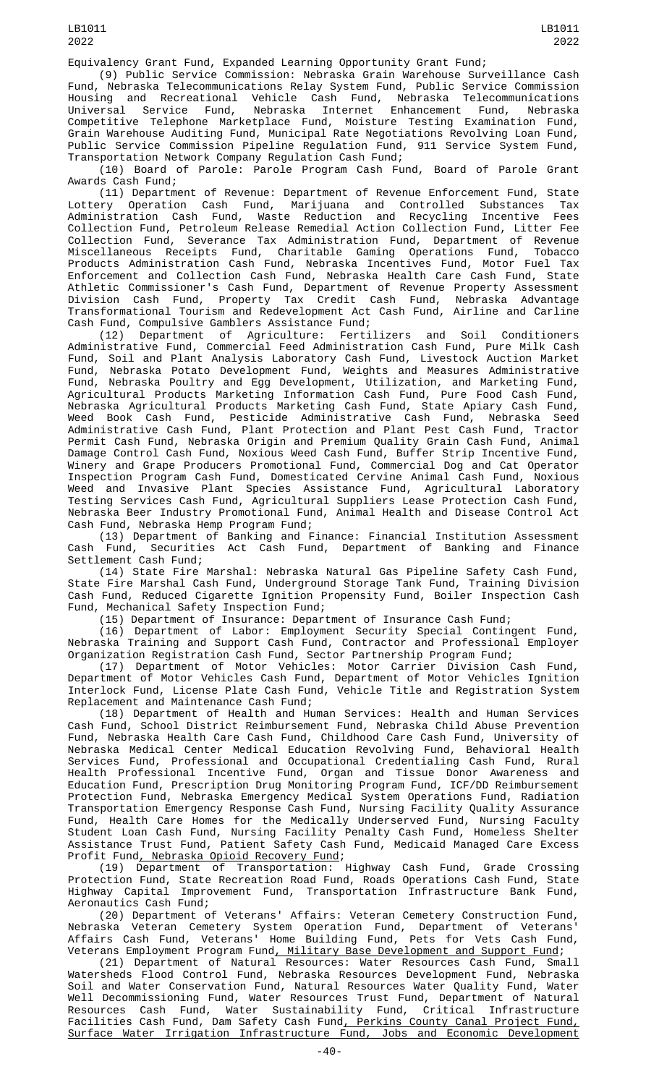Equivalency Grant Fund, Expanded Learning Opportunity Grant Fund;

(9) Public Service Commission: Nebraska Grain Warehouse Surveillance Cash<br>Eund, Nebraska Telecommunications Relay System Fund, Public Service Commission Nebraska Telecommunications Relay System Fund, Public Service Commission Housing and Recreational Vehicle Cash Fund, Nebraska Telecommunications Universal Service Fund, Nebraska Internet Enhancement Fund, Nebraska Competitive Telephone Marketplace Fund, Moisture Testing Examination Fund, Grain Warehouse Auditing Fund, Municipal Rate Negotiations Revolving Loan Fund, Public Service Commission Pipeline Regulation Fund, 911 Service System Fund, Transportation Network Company Regulation Cash Fund;

(10) Board of Parole: Parole Program Cash Fund, Board of Parole Grant Awards Cash Fund;

(11) Department of Revenue: Department of Revenue Enforcement Fund, State Lottery Operation Cash Fund, Marijuana and Controlled Substances Administration Cash Fund, Waste Reduction and Recycling Incentive Fees Collection Fund, Petroleum Release Remedial Action Collection Fund, Litter Fee Collection Fund, Severance Tax Administration Fund, Department of Revenue Miscellaneous Receipts Fund, Charitable Gaming Operations Fund, Tobacco Products Administration Cash Fund, Nebraska Incentives Fund, Motor Fuel Tax Enforcement and Collection Cash Fund, Nebraska Health Care Cash Fund, State Athletic Commissioner's Cash Fund, Department of Revenue Property Assessment Division Cash Fund, Property Tax Credit Cash Fund, Nebraska Advantage Transformational Tourism and Redevelopment Act Cash Fund, Airline and Carline Cash Fund, Compulsive Gamblers Assistance Fund;

Department of Agriculture: Fertilizers and Soil Conditioners Administrative Fund, Commercial Feed Administration Cash Fund, Pure Milk Cash Fund, Soil and Plant Analysis Laboratory Cash Fund, Livestock Auction Market Fund, Nebraska Potato Development Fund, Weights and Measures Administrative Fund, Nebraska Poultry and Egg Development, Utilization, and Marketing Fund, Agricultural Products Marketing Information Cash Fund, Pure Food Cash Fund, Nebraska Agricultural Products Marketing Cash Fund, State Apiary Cash Fund, Weed Book Cash Fund, Pesticide Administrative Cash Fund, Nebraska Seed Administrative Cash Fund, Plant Protection and Plant Pest Cash Fund, Tractor Administrative Cash Fund, Plant Protection and Plant Pest Cash Fund, Tractor<br>Permit Cash Fund, Nebraska Origin and Premium Quality Grain Cash Fund, Animal Damage Control Cash Fund, Noxious Weed Cash Fund, Buffer Strip Incentive Fund, Winery and Grape Producers Promotional Fund, Commercial Dog and Cat Operator Inspection Program Cash Fund, Domesticated Cervine Animal Cash Fund, Noxious Weed and Invasive Plant Species Assistance Fund, Agricultural Laboratory Testing Services Cash Fund, Agricultural Suppliers Lease Protection Cash Fund, Nebraska Beer Industry Promotional Fund, Animal Health and Disease Control Act Cash Fund, Nebraska Hemp Program Fund;

(13) Department of Banking and Finance: Financial Institution Assessment Cash Fund, Securities Act Cash Fund, Department of Banking and Finance Settlement Cash Fund;

(14) State Fire Marshal: Nebraska Natural Gas Pipeline Safety Cash Fund, State Fire Marshal Cash Fund, Underground Storage Tank Fund, Training Division Cash Fund, Reduced Cigarette Ignition Propensity Fund, Boiler Inspection Cash Fund, Mechanical Safety Inspection Fund;

(15) Department of Insurance: Department of Insurance Cash Fund;

(16) Department of Labor: Employment Security Special Contingent Fund, Nebraska Training and Support Cash Fund, Contractor and Professional Employer Organization Registration Cash Fund, Sector Partnership Program Fund;

(17) Department of Motor Vehicles: Motor Carrier Division Cash Fund, Department of Motor Vehicles Cash Fund, Department of Motor Vehicles Ignition Interlock Fund, License Plate Cash Fund, Vehicle Title and Registration System Replacement and Maintenance Cash Fund;

(18) Department of Health and Human Services: Health and Human Services Cash Fund, School District Reimbursement Fund, Nebraska Child Abuse Prevention Fund, Nebraska Health Care Cash Fund, Childhood Care Cash Fund, University of Nebraska Medical Center Medical Education Revolving Fund, Behavioral Health Services Fund, Professional and Occupational Credentialing Cash Fund, Rural Health Professional Incentive Fund, Organ and Tissue Donor Awareness and Education Fund, Prescription Drug Monitoring Program Fund, ICF/DD Reimbursement Protection Fund, Nebraska Emergency Medical System Operations Fund, Radiation Transportation Emergency Response Cash Fund, Nursing Facility Quality Assurance Fund, Health Care Homes for the Medically Underserved Fund, Nursing Faculty Student Loan Cash Fund, Nursing Facility Penalty Cash Fund, Homeless Shelter Assistance Trust Fund, Patient Safety Cash Fund, Medicaid Managed Care Excess Profit Fund, Nebraska Opioid Recovery Fund;

(19) Department of Transportation: Highway Cash Fund, Grade Crossing Protection Fund, State Recreation Road Fund, Roads Operations Cash Fund, State Highway Capital Improvement Fund, Transportation Infrastructure Bank Fund, Aeronautics Cash Fund;

(20) Department of Veterans' Affairs: Veteran Cemetery Construction Fund, Nebraska Veteran Cemetery System Operation Fund, Department of Veterans' Affairs Cash Fund, Veterans' Home Building Fund, Pets for Vets Cash Fund, Veterans Employment Program Fund, Military Base Development and Support Fund;

(21) Department of Natural Resources: Water Resources Cash Fund, Small Watersheds Flood Control Fund, Nebraska Resources Development Fund, Nebraska Soil and Water Conservation Fund, Natural Resources Water Quality Fund, Water Well Decommissioning Fund, Water Resources Trust Fund, Department of Natural Resources Cash Fund, Water Sustainability Fund, Critical Infrastructure Facilities Cash Fund, Dam Safety Cash Fund, Perkins County Canal Project Fund, Surface Water Irrigation Infrastructure Fund, Jobs and Economic Development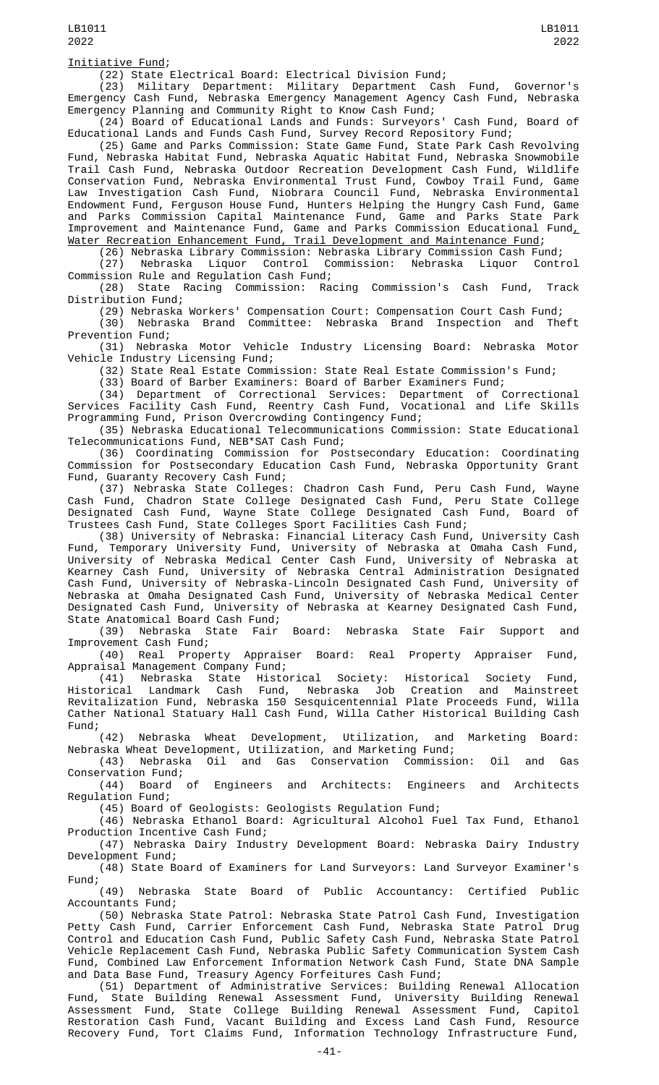## Initiative Fund;

(22) State Electrical Board: Electrical Division Fund;

(23) Military Department: Military Department Cash Fund, Governor's Emergency Cash Fund, Nebraska Emergency Management Agency Cash Fund, Nebraska Emergency Planning and Community Right to Know Cash Fund;

(24) Board of Educational Lands and Funds: Surveyors' Cash Fund, Board of Educational Lands and Funds Cash Fund, Survey Record Repository Fund;

(25) Game and Parks Commission: State Game Fund, State Park Cash Revolving Fund, Nebraska Habitat Fund, Nebraska Aquatic Habitat Fund, Nebraska Snowmobile Trail Cash Fund, Nebraska Outdoor Recreation Development Cash Fund, Wildlife Conservation Fund, Nebraska Environmental Trust Fund, Cowboy Trail Fund, Game Law Investigation Cash Fund, Niobrara Council Fund, Nebraska Environmental Endowment Fund, Ferguson House Fund, Hunters Helping the Hungry Cash Fund, Game and Parks Commission Capital Maintenance Fund, Game and Parks State Park <code>Improvement</code> and Maintenance Fund, Game and Parks Commission Educational Fund $_{\rm {\mathcal L}}$ Water Recreation Enhancement Fund, Trail Development and Maintenance Fund;

(26) Nebraska Library Commission: Nebraska Library Commission Cash Fund;

(27) Nebraska Liquor Control Commission: Nebraska Liquor Control Commission Rule and Regulation Cash Fund;

(28) State Racing Commission: Racing Commission's Cash Fund, Track Distribution Fund;

(29) Nebraska Workers' Compensation Court: Compensation Court Cash Fund; (30) Nebraska Brand Committee: Nebraska Brand Inspection and Theft

Prevention Fund;

(31) Nebraska Motor Vehicle Industry Licensing Board: Nebraska Motor Vehicle Industry Licensing Fund;

(32) State Real Estate Commission: State Real Estate Commission's Fund;

(33) Board of Barber Examiners: Board of Barber Examiners Fund;

(34) Department of Correctional Services: Department of Correctional Services Facility Cash Fund, Reentry Cash Fund, Vocational and Life Skills Programming Fund, Prison Overcrowding Contingency Fund;

(35) Nebraska Educational Telecommunications Commission: State Educational Telecommunications Fund, NEB\*SAT Cash Fund;

(36) Coordinating Commission for Postsecondary Education: Coordinating Commission for Postsecondary Education Cash Fund, Nebraska Opportunity Grant Fund, Guaranty Recovery Cash Fund;

(37) Nebraska State Colleges: Chadron Cash Fund, Peru Cash Fund, Wayne Cash Fund, Chadron State College Designated Cash Fund, Peru State College Designated Cash Fund, Wayne State College Designated Cash Fund, Board of Trustees Cash Fund, State Colleges Sport Facilities Cash Fund;

(38) University of Nebraska: Financial Literacy Cash Fund, University Cash Fund, Temporary University Fund, University of Nebraska at Omaha Cash Fund, University of Nebraska Medical Center Cash Fund, University of Nebraska at Kearney Cash Fund, University of Nebraska Central Administration Designated Cash Fund, University of Nebraska-Lincoln Designated Cash Fund, University of Nebraska at Omaha Designated Cash Fund, University of Nebraska Medical Center Designated Cash Fund, University of Nebraska at Kearney Designated Cash Fund, State Anatomical Board Cash Fund;<br>(39) Nebraska State Fair

Board: Nebraska State Fair Support and

Improvement Cash Fund; (40) Real Property Appraiser Board: Real Property Appraiser Fund, Appraisal Management Company Fund;

(41) Nebraska State Historical Society: Historical Society Fund, Historical Landmark Cash Fund, Nebraska Job Creation and Mainstreet Revitalization Fund, Nebraska 150 Sesquicentennial Plate Proceeds Fund, Willa Cather National Statuary Hall Cash Fund, Willa Cather Historical Building Cash Fund;

(42) Nebraska Wheat Development, Utilization, and Marketing Board: Nebraska Wheat Development, Utilization, and Marketing Fund;

(43) Nebraska Oil and Gas Conservation Commission: Oil and Gas Conservation Fund;<br>(44) Board

of Engineers and Architects: Engineers and Architects Regulation Fund;

(45) Board of Geologists: Geologists Regulation Fund;

(46) Nebraska Ethanol Board: Agricultural Alcohol Fuel Tax Fund, Ethanol Production Incentive Cash Fund;

(47) Nebraska Dairy Industry Development Board: Nebraska Dairy Industry Development Fund;

(48) State Board of Examiners for Land Surveyors: Land Surveyor Examiner's Fund;<br> $(49)$ 

Nebraska State Board of Public Accountancy: Certified Public Accountants Fund;

(50) Nebraska State Patrol: Nebraska State Patrol Cash Fund, Investigation Petty Cash Fund, Carrier Enforcement Cash Fund, Nebraska State Patrol Drug Control and Education Cash Fund, Public Safety Cash Fund, Nebraska State Patrol Vehicle Replacement Cash Fund, Nebraska Public Safety Communication System Cash Fund, Combined Law Enforcement Information Network Cash Fund, State DNA Sample and Data Base Fund, Treasury Agency Forfeitures Cash Fund;

(51) Department of Administrative Services: Building Renewal Allocation Fund, State Building Renewal Assessment Fund, University Building Renewal Assessment Fund, State College Building Renewal Assessment Fund, Capitol Restoration Cash Fund, Vacant Building and Excess Land Cash Fund, Resource Recovery Fund, Tort Claims Fund, Information Technology Infrastructure Fund,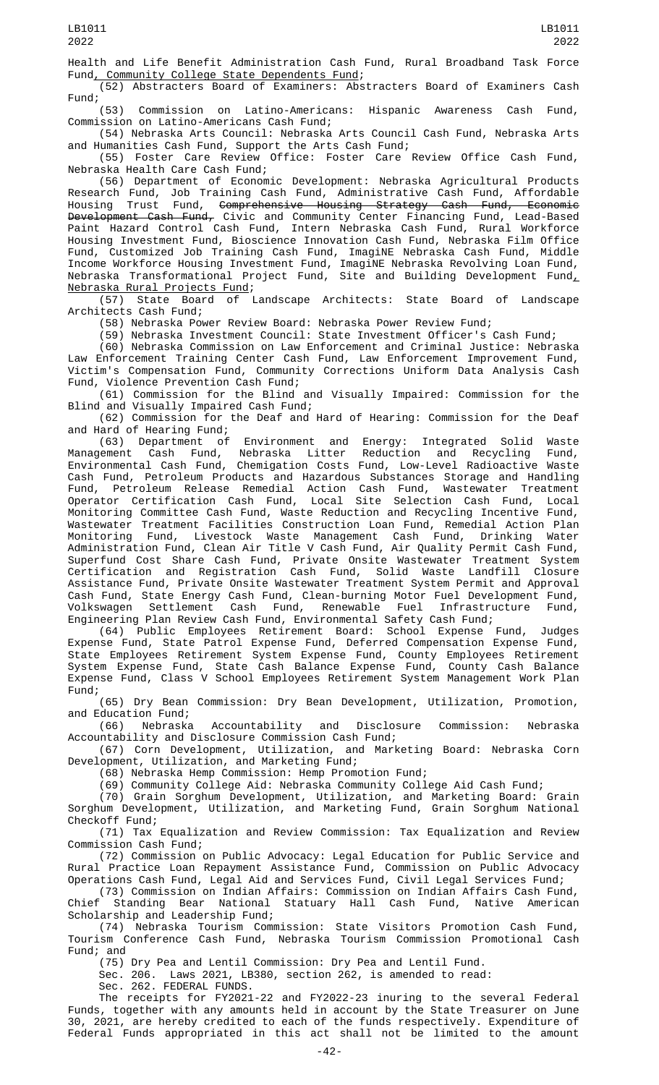Health and Life Benefit Administration Cash Fund, Rural Broadband Task Force Fund, Community College State Dependents Fund;

(52) Abstracters Board of Examiners: Abstracters Board of Examiners Cash Fund;

(53) Commission on Latino-Americans: Hispanic Awareness Cash Fund, Commission on Latino-Americans Cash Fund;

(54) Nebraska Arts Council: Nebraska Arts Council Cash Fund, Nebraska Arts and Humanities Cash Fund, Support the Arts Cash Fund;

(55) Foster Care Review Office: Foster Care Review Office Cash Fund, Nebraska Health Care Cash Fund;

(56) Department of Economic Development: Nebraska Agricultural Products Research Fund, Job Training Cash Fund, Administrative Cash Fund, Affordable Housing Trust Fund, <del>Comprehensive Housing Strategy Cash Fund, Economic</del> <del>Development Cash Fund,</del> Civic and Community Center Financing Fund, Lead-Based Paint Hazard Control Cash Fund, Intern Nebraska Cash Fund, Rural Workforce Housing Investment Fund, Bioscience Innovation Cash Fund, Nebraska Film Office Fund, Customized Job Training Cash Fund, ImagiNE Nebraska Cash Fund, Middle Income Workforce Housing Investment Fund, ImagiNE Nebraska Revolving Loan Fund, Nebraska Transformational Project Fund, Site and Building Development Fund $_{\textit{\tiny{L}}}$ 

Nebraska Rural Projects Fund;<br>(57) State Board of I Landscape Architects: State Board of Landscape Architects Cash Fund;

(58) Nebraska Power Review Board: Nebraska Power Review Fund;

(59) Nebraska Investment Council: State Investment Officer's Cash Fund;

(60) Nebraska Commission on Law Enforcement and Criminal Justice: Nebraska Law Enforcement Training Center Cash Fund, Law Enforcement Improvement Fund, Victim's Compensation Fund, Community Corrections Uniform Data Analysis Cash Fund, Violence Prevention Cash Fund;

(61) Commission for the Blind and Visually Impaired: Commission for the Blind and Visually Impaired Cash Fund;

(62) Commission for the Deaf and Hard of Hearing: Commission for the Deaf and Hard of Hearing Fund;

(63) Department of Environment and Energy: Integrated Solid Waste Management Cash Fund, Nebraska Litter Reduction and Recycling Fund, Environmental Cash Fund, Chemigation Costs Fund, Low-Level Radioactive Waste Cash Fund, Petroleum Products and Hazardous Substances Storage and Handling Fund, Petroleum Release Remedial Action Cash Fund, Wastewater Treatment Operator Certification Cash Fund, Local Site Selection Cash Fund, Local Monitoring Committee Cash Fund, Waste Reduction and Recycling Incentive Fund, Wastewater Treatment Facilities Construction Loan Fund, Remedial Action Plan Monitoring Fund, Livestock Waste Management Cash Fund, Drinking Water Administration Fund, Clean Air Title V Cash Fund, Air Quality Permit Cash Fund, Superfund Cost Share Cash Fund, Private Onsite Wastewater Treatment System Certification and Registration Cash Fund, Solid Waste Landfill Closure Assistance Fund, Private Onsite Wastewater Treatment System Permit and Approval Cash Fund, State Energy Cash Fund, Clean-burning Motor Fuel Development Fund, Volkswagen Settlement Cash Fund, Renewable Fuel Infrastructure Fund, Engineering Plan Review Cash Fund, Environmental Safety Cash Fund;

(64) Public Employees Retirement Board: School Expense Fund, Judges Expense Fund, State Patrol Expense Fund, Deferred Compensation Expense Fund, State Employees Retirement System Expense Fund, County Employees Retirement System Expense Fund, State Cash Balance Expense Fund, County Cash Balance Expense Fund, Class V School Employees Retirement System Management Work Plan Fund;

(65) Dry Bean Commission: Dry Bean Development, Utilization, Promotion, and Education Fund;

(66) Nebraska Accountability and Disclosure Commission: Nebraska Accountability and Disclosure Commission Cash Fund;

(67) Corn Development, Utilization, and Marketing Board: Nebraska Corn Development, Utilization, and Marketing Fund;

(68) Nebraska Hemp Commission: Hemp Promotion Fund;

(69) Community College Aid: Nebraska Community College Aid Cash Fund;

(70) Grain Sorghum Development, Utilization, and Marketing Board: Grain Sorghum Development, Utilization, and Marketing Fund, Grain Sorghum National Checkoff Fund;

(71) Tax Equalization and Review Commission: Tax Equalization and Review Commission Cash Fund;

(72) Commission on Public Advocacy: Legal Education for Public Service and Rural Practice Loan Repayment Assistance Fund, Commission on Public Advocacy Operations Cash Fund, Legal Aid and Services Fund, Civil Legal Services Fund;

(73) Commission on Indian Affairs: Commission on Indian Affairs Cash Fund, Chief Standing Bear National Statuary Hall Cash Fund, Native American Scholarship and Leadership Fund;

(74) Nebraska Tourism Commission: State Visitors Promotion Cash Fund, Tourism Conference Cash Fund, Nebraska Tourism Commission Promotional Cash Fund; and

(75) Dry Pea and Lentil Commission: Dry Pea and Lentil Fund.

Sec. 206. Laws 2021, LB380, section 262, is amended to read:

Sec. 262. FEDERAL FUNDS.

The receipts for FY2021-22 and FY2022-23 inuring to the several Federal Funds, together with any amounts held in account by the State Treasurer on June 30, 2021, are hereby credited to each of the funds respectively. Expenditure of Federal Funds appropriated in this act shall not be limited to the amount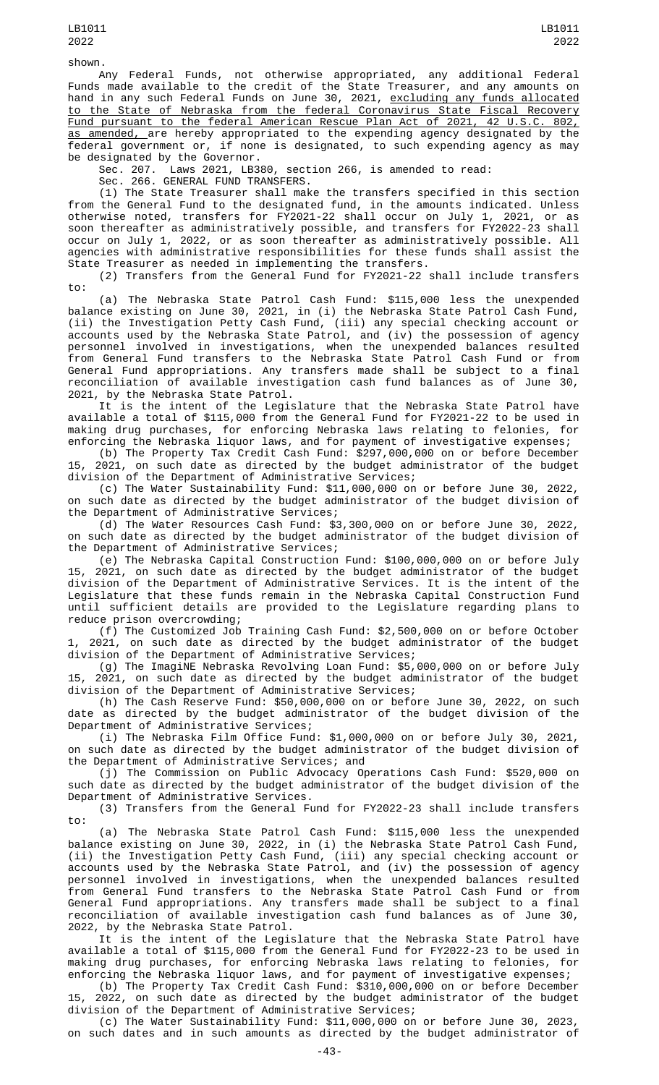shown.

Any Federal Funds, not otherwise appropriated, any additional Federal Funds made available to the credit of the State Treasurer, and any amounts on hand in any such Federal Funds on June 30, 2021, <u>excluding any funds allocated</u> to the State of Nebraska from the federal Coronavirus State Fiscal Recovery

Fund pursuant to the federal American Rescue Plan Act of 2021, 42 U.S.C. 802, as amended, are hereby appropriated to the expending agency designated by the federal government or, if none is designated, to such expending agency as may be designated by the Governor.

Sec. 207. Laws 2021, LB380, section 266, is amended to read:

Sec. 266. GENERAL FUND TRANSFERS.

(1) The State Treasurer shall make the transfers specified in this section from the General Fund to the designated fund, in the amounts indicated. Unless otherwise noted, transfers for FY2021-22 shall occur on July 1, 2021, or as soon thereafter as administratively possible, and transfers for FY2022-23 shall occur on July 1, 2022, or as soon thereafter as administratively possible. All agencies with administrative responsibilities for these funds shall assist the State Treasurer as needed in implementing the transfers.

(2) Transfers from the General Fund for FY2021-22 shall include transfers to:

(a) The Nebraska State Patrol Cash Fund: \$115,000 less the unexpended balance existing on June 30, 2021, in (i) the Nebraska State Patrol Cash Fund, (ii) the Investigation Petty Cash Fund, (iii) any special checking account or accounts used by the Nebraska State Patrol, and (iv) the possession of agency personnel involved in investigations, when the unexpended balances resulted from General Fund transfers to the Nebraska State Patrol Cash Fund or from General Fund appropriations. Any transfers made shall be subject to a final reconciliation of available investigation cash fund balances as of June 30, 2021, by the Nebraska State Patrol.

It is the intent of the Legislature that the Nebraska State Patrol have available a total of \$115,000 from the General Fund for FY2021-22 to be used in making drug purchases, for enforcing Nebraska laws relating to felonies, for enforcing the Nebraska liquor laws, and for payment of investigative expenses;

(b) The Property Tax Credit Cash Fund: \$297,000,000 on or before December 15, 2021, on such date as directed by the budget administrator of the budget division of the Department of Administrative Services;

(c) The Water Sustainability Fund: \$11,000,000 on or before June 30, 2022, on such date as directed by the budget administrator of the budget division of the Department of Administrative Services;

(d) The Water Resources Cash Fund: \$3,300,000 on or before June 30, 2022, on such date as directed by the budget administrator of the budget division of the Department of Administrative Services;

(e) The Nebraska Capital Construction Fund: \$100,000,000 on or before July 15, 2021, on such date as directed by the budget administrator of the budget division of the Department of Administrative Services. It is the intent of the Legislature that these funds remain in the Nebraska Capital Construction Fund until sufficient details are provided to the Legislature regarding plans to reduce prison overcrowding;

(f) The Customized Job Training Cash Fund: \$2,500,000 on or before October 2021, on such date as directed by the budget administrator of the budget division of the Department of Administrative Services;

(g) The ImagiNE Nebraska Revolving Loan Fund: \$5,000,000 on or before July 15, 2021, on such date as directed by the budget administrator of the budget division of the Department of Administrative Services;

(h) The Cash Reserve Fund: \$50,000,000 on or before June 30, 2022, on such date as directed by the budget administrator of the budget division of the Department of Administrative Services;

(i) The Nebraska Film Office Fund: \$1,000,000 on or before July 30, 2021, on such date as directed by the budget administrator of the budget division of the Department of Administrative Services; and

(j) The Commission on Public Advocacy Operations Cash Fund: \$520,000 on such date as directed by the budget administrator of the budget division of the Department of Administrative Services.

(3) Transfers from the General Fund for FY2022-23 shall include transfers to:

(a) The Nebraska State Patrol Cash Fund: \$115,000 less the unexpended balance existing on June 30, 2022, in (i) the Nebraska State Patrol Cash Fund, (ii) the Investigation Petty Cash Fund, (iii) any special checking account or accounts used by the Nebraska State Patrol, and (iv) the possession of agency personnel involved in investigations, when the unexpended balances resulted from General Fund transfers to the Nebraska State Patrol Cash Fund or from General Fund appropriations. Any transfers made shall be subject to a final reconciliation of available investigation cash fund balances as of June 30, 2022, by the Nebraska State Patrol.

It is the intent of the Legislature that the Nebraska State Patrol have available a total of \$115,000 from the General Fund for FY2022-23 to be used in making drug purchases, for enforcing Nebraska laws relating to felonies, for enforcing the Nebraska liquor laws, and for payment of investigative expenses;

(b) The Property Tax Credit Cash Fund: \$310,000,000 on or before December 15, 2022, on such date as directed by the budget administrator of the budget division of the Department of Administrative Services;

(c) The Water Sustainability Fund: \$11,000,000 on or before June 30, 2023, on such dates and in such amounts as directed by the budget administrator of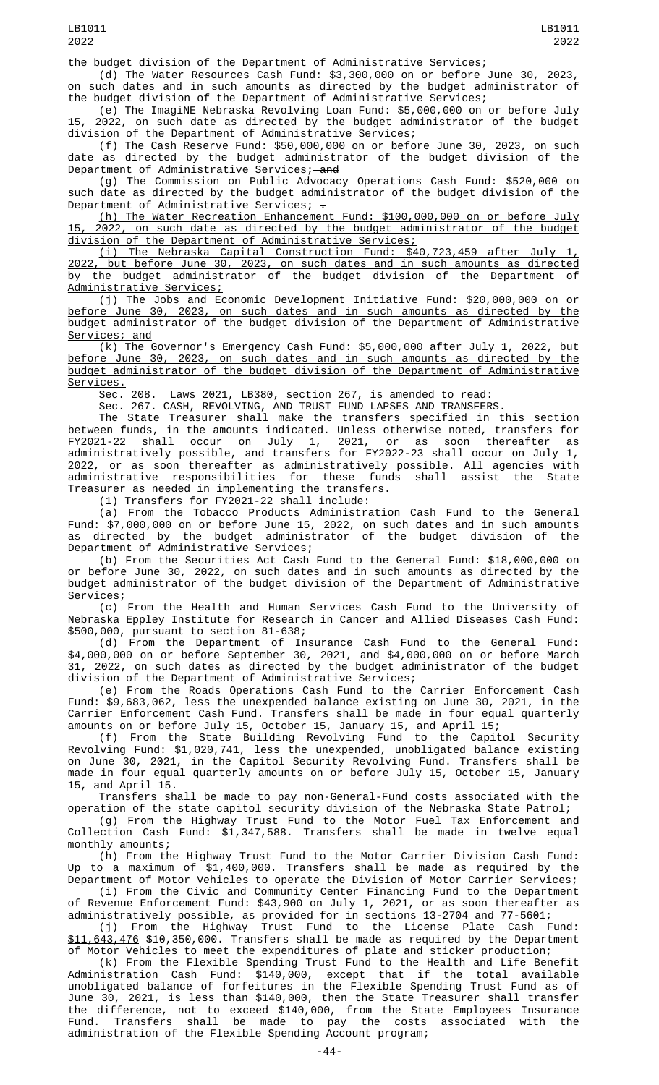the budget division of the Department of Administrative Services;

(d) The Water Resources Cash Fund: \$3,300,000 on or before June 30, 2023, on such dates and in such amounts as directed by the budget administrator of the budget division of the Department of Administrative Services;

(e) The ImagiNE Nebraska Revolving Loan Fund: \$5,000,000 on or before July 15, 2022, on such date as directed by the budget administrator of the budget division of the Department of Administrative Services;

(f) The Cash Reserve Fund: \$50,000,000 on or before June 30, 2023, on such date as directed by the budget administrator of the budget division of the Department of Administrative Services; and

(g) The Commission on Public Advocacy Operations Cash Fund: \$520,000 on such date as directed by the budget administrator of the budget division of the Department of Administrative Services $\frac{1}{L}$  -

(h) The Water Recreation Enhancement Fund: \$100,000,000 on or before July 15, 2022, on such date as directed by the budget administrator of the budget division of the Department of Administrative Services;

(i) The Nebraska Capital Construction Fund: \$40,723,459 after July 1, 2022, but before June 30, 2023, on such dates and in such amounts as directed by the budget administrator of the budget division of the Department of Administrative Services;

(j) The Jobs and Economic Development Initiative Fund: \$20,000,000 on or before June 30, 2023, on such dates and in such amounts as directed by the budget administrator of the budget division of the Department of Administrative Services; and

(k) The Governor's Emergency Cash Fund: \$5,000,000 after July 1, 2022, but before June 30, 2023, on such dates and in such amounts as directed by the budget administrator of the budget division of the Department of Administrative Services.

Sec. 208. Laws 2021, LB380, section 267, is amended to read:

Sec. 267. CASH, REVOLVING, AND TRUST FUND LAPSES AND TRANSFERS.

The State Treasurer shall make the transfers specified in this section between funds, in the amounts indicated. Unless otherwise noted, transfers for FY2021-22 shall occur on July 1, 2021, or as soon thereafter as administratively possible, and transfers for FY2022-23 shall occur on July 1, 2022, or as soon thereafter as administratively possible. All agencies with administrative responsibilities for these funds shall assist the State Treasurer as needed in implementing the transfers.

(1) Transfers for FY2021-22 shall include:

(a) From the Tobacco Products Administration Cash Fund to the General Fund: \$7,000,000 on or before June 15, 2022, on such dates and in such amounts as directed by the budget administrator of the budget division of the Department of Administrative Services;

(b) From the Securities Act Cash Fund to the General Fund: \$18,000,000 on or before June 30, 2022, on such dates and in such amounts as directed by the budget administrator of the budget division of the Department of Administrative Services;

(c) From the Health and Human Services Cash Fund to the University of Nebraska Eppley Institute for Research in Cancer and Allied Diseases Cash Fund: \$500,000, pursuant to section 81-638;

(d) From the Department of Insurance Cash Fund to the General Fund: \$4,000,000 on or before September 30, 2021, and \$4,000,000 on or before March 31, 2022, on such dates as directed by the budget administrator of the budget division of the Department of Administrative Services;

(e) From the Roads Operations Cash Fund to the Carrier Enforcement Cash Fund: \$9,683,062, less the unexpended balance existing on June 30, 2021, in the Carrier Enforcement Cash Fund. Transfers shall be made in four equal quarterly amounts on or before July 15, October 15, January 15, and April 15;

(f) From the State Building Revolving Fund to the Capitol Security Revolving Fund: \$1,020,741, less the unexpended, unobligated balance existing on June 30, 2021, in the Capitol Security Revolving Fund. Transfers shall be made in four equal quarterly amounts on or before July 15, October 15, January 15, and April 15.

Transfers shall be made to pay non-General-Fund costs associated with the operation of the state capitol security division of the Nebraska State Patrol;

(g) From the Highway Trust Fund to the Motor Fuel Tax Enforcement and Collection Cash Fund: \$1,347,588. Transfers shall be made in twelve equal monthly amounts;

(h) From the Highway Trust Fund to the Motor Carrier Division Cash Fund: Up to a maximum of \$1,400,000. Transfers shall be made as required by the Department of Motor Vehicles to operate the Division of Motor Carrier Services;

(i) From the Civic and Community Center Financing Fund to the Department of Revenue Enforcement Fund: \$43,900 on July 1, 2021, or as soon thereafter as administratively possible, as provided for in sections 13-2704 and 77-5601;

(j) From the Highway Trust Fund to the License Plate Cash Fund: \$11,643,476 \$10,350,000. Transfers shall be made as required by the Department of Motor Vehicles to meet the expenditures of plate and sticker production;

(k) From the Flexible Spending Trust Fund to the Health and Life Benefit Administration Cash Fund: \$140,000, except that if the total available unobligated balance of forfeitures in the Flexible Spending Trust Fund as of June 30, 2021, is less than \$140,000, then the State Treasurer shall transfer the difference, not to exceed \$140,000, from the State Employees Insurance Fund. Transfers shall be made to pay the costs associated with the administration of the Flexible Spending Account program;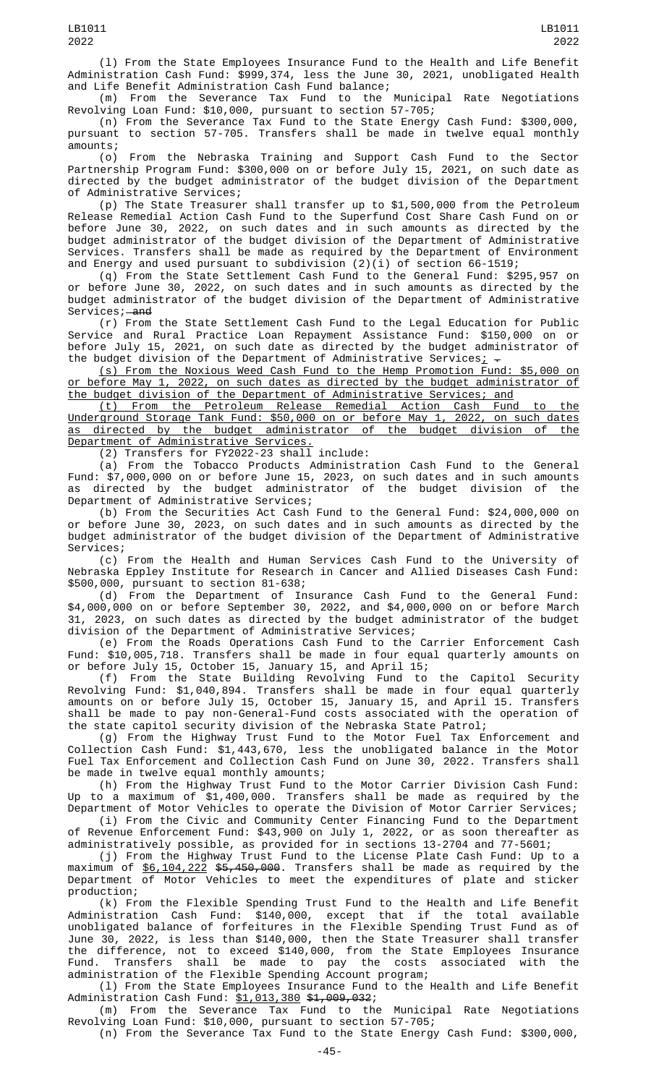(l) From the State Employees Insurance Fund to the Health and Life Benefit Administration Cash Fund: \$999,374, less the June 30, 2021, unobligated Health and Life Benefit Administration Cash Fund balance;

(m) From the Severance Tax Fund to the Municipal Rate Negotiations Revolving Loan Fund: \$10,000, pursuant to section 57-705;

(n) From the Severance Tax Fund to the State Energy Cash Fund: \$300,000, pursuant to section 57-705. Transfers shall be made in twelve equal monthly amounts;

(o) From the Nebraska Training and Support Cash Fund to the Sector Partnership Program Fund: \$300,000 on or before July 15, 2021, on such date as directed by the budget administrator of the budget division of the Department of Administrative Services;

(p) The State Treasurer shall transfer up to \$1,500,000 from the Petroleum Release Remedial Action Cash Fund to the Superfund Cost Share Cash Fund on or before June 30, 2022, on such dates and in such amounts as directed by the budget administrator of the budget division of the Department of Administrative Services. Transfers shall be made as required by the Department of Environment and Energy and used pursuant to subdivision (2)(i) of section 66-1519;

(q) From the State Settlement Cash Fund to the General Fund: \$295,957 on or before June 30, 2022, on such dates and in such amounts as directed by the budget administrator of the budget division of the Department of Administrative Services; and

(r) From the State Settlement Cash Fund to the Legal Education for Public Service and Rural Practice Loan Repayment Assistance Fund: \$150,000 on or before July 15, 2021, on such date as directed by the budget administrator of the budget division of the Department of Administrative Services $_{\rm L}$   $_{\rm -}$ 

(s) From the Noxious Weed Cash Fund to the Hemp Promotion Fund: \$5,000 on or before May 1, 2022, on such dates as directed by the budget administrator of the budget division of the Department of Administrative Services; and

(t) From the Petroleum Release Remedial Action Cash Fund to the Underground Storage Tank Fund: \$50,000 on or before May 1, 2022, on such dates as directed by the budget administrator of the budget division of the Department of Administrative Services.

(2) Transfers for FY2022-23 shall include:

(a) From the Tobacco Products Administration Cash Fund to the General Fund: \$7,000,000 on or before June 15, 2023, on such dates and in such amounts as directed by the budget administrator of the budget division of the Department of Administrative Services;

(b) From the Securities Act Cash Fund to the General Fund: \$24,000,000 on or before June 30, 2023, on such dates and in such amounts as directed by the budget administrator of the budget division of the Department of Administrative Services;

(c) From the Health and Human Services Cash Fund to the University of Nebraska Eppley Institute for Research in Cancer and Allied Diseases Cash Fund: \$500,000, pursuant to section 81-638;

(d) From the Department of Insurance Cash Fund to the General Fund: \$4,000,000 on or before September 30, 2022, and \$4,000,000 on or before March 31, 2023, on such dates as directed by the budget administrator of the budget division of the Department of Administrative Services;

(e) From the Roads Operations Cash Fund to the Carrier Enforcement Cash Fund: \$10,005,718. Transfers shall be made in four equal quarterly amounts on or before July 15, October 15, January 15, and April 15;

(f) From the State Building Revolving Fund to the Capitol Security Revolving Fund: \$1,040,894. Transfers shall be made in four equal quarterly amounts on or before July 15, October 15, January 15, and April 15. Transfers shall be made to pay non-General-Fund costs associated with the operation of the state capitol security division of the Nebraska State Patrol;

(g) From the Highway Trust Fund to the Motor Fuel Tax Enforcement and Collection Cash Fund: \$1,443,670, less the unobligated balance in the Motor Fuel Tax Enforcement and Collection Cash Fund on June 30, 2022. Transfers shall be made in twelve equal monthly amounts;

(h) From the Highway Trust Fund to the Motor Carrier Division Cash Fund: Up to a maximum of \$1,400,000. Transfers shall be made as required by the Department of Motor Vehicles to operate the Division of Motor Carrier Services;

(i) From the Civic and Community Center Financing Fund to the Department of Revenue Enforcement Fund: \$43,900 on July 1, 2022, or as soon thereafter as administratively possible, as provided for in sections 13-2704 and 77-5601;

(j) From the Highway Trust Fund to the License Plate Cash Fund: Up to a maximum of <u>\$6,104,222</u> <del>\$5,450,000</del>. Transfers shall be made as required by the Department of Motor Vehicles to meet the expenditures of plate and sticker production;

(k) From the Flexible Spending Trust Fund to the Health and Life Benefit Administration Cash Fund: \$140,000, except that if the total available unobligated balance of forfeitures in the Flexible Spending Trust Fund as of June 30, 2022, is less than \$140,000, then the State Treasurer shall transfer the difference, not to exceed \$140,000, from the State Employees Insurance Fund. Transfers shall be made to pay the costs associated with the administration of the Flexible Spending Account program;

(l) From the State Employees Insurance Fund to the Health and Life Benefit Administration Cash Fund: \$1,013,380 \$1,009,032;

(m) From the Severance Tax Fund to the Municipal Rate Negotiations Revolving Loan Fund: \$10,000, pursuant to section 57-705; (n) From the Severance Tax Fund to the State Energy Cash Fund: \$300,000,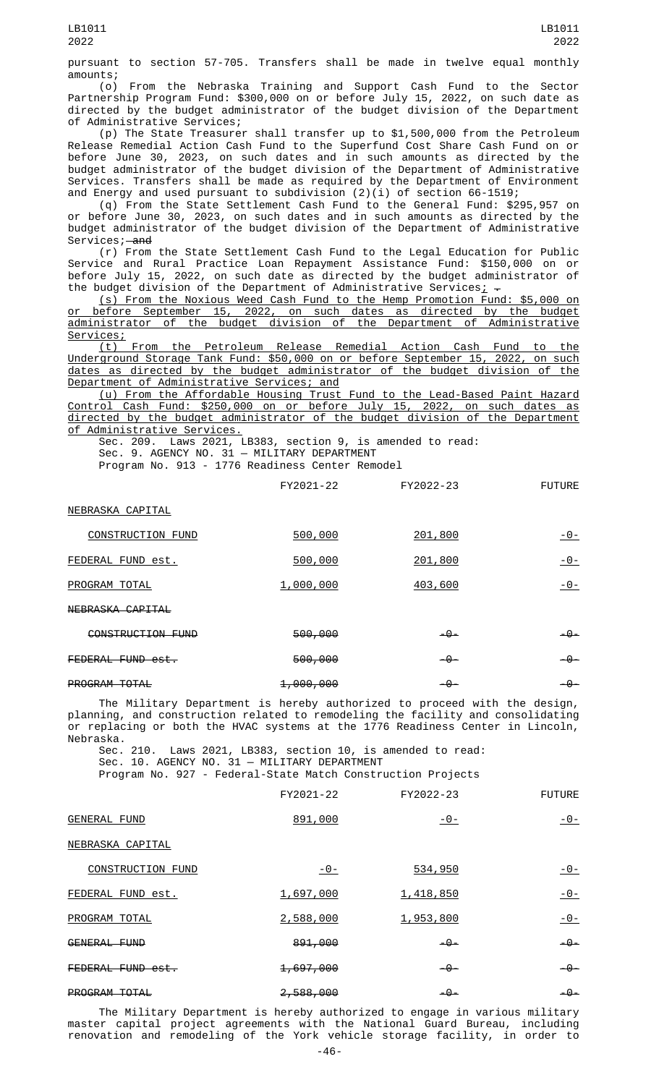pursuant to section 57-705. Transfers shall be made in twelve equal monthly amounts;

(o) From the Nebraska Training and Support Cash Fund to the Sector Partnership Program Fund: \$300,000 on or before July 15, 2022, on such date as directed by the budget administrator of the budget division of the Department of Administrative Services;

(p) The State Treasurer shall transfer up to \$1,500,000 from the Petroleum Release Remedial Action Cash Fund to the Superfund Cost Share Cash Fund on or before June 30, 2023, on such dates and in such amounts as directed by the budget administrator of the budget division of the Department of Administrative Services. Transfers shall be made as required by the Department of Environment and Energy and used pursuant to subdivision (2)(i) of section 66-1519;

(q) From the State Settlement Cash Fund to the General Fund: \$295,957 on or before June 30, 2023, on such dates and in such amounts as directed by the budget administrator of the budget division of the Department of Administrative Services; and

(r) From the State Settlement Cash Fund to the Legal Education for Public Service and Rural Practice Loan Repayment Assistance Fund: \$150,000 on or before July 15, 2022, on such date as directed by the budget administrator of the budget division of the Department of Administrative Services $\downarrow$   $\div$ 

(s) From the Noxious Weed Cash Fund to the Hemp Promotion Fund: \$5,000 on or before September 15, 2022, on such dates as directed by the budget administrator of the budget division of the Department of Administrative Services;

(t) From the Petroleum Release Remedial Action Cash Fund to the Underground Storage Tank Fund: \$50,000 on or before September 15, 2022, on such dates as directed by the budget administrator of the budget division of the Department of Administrative Services; and

(u) From the Affordable Housing Trust Fund to the Lead-Based Paint Hazard Control Cash Fund: \$250,000 on or before July 15, 2022, on such dates as directed by the budget administrator of the budget division of the Department <u>of Administrative Services.</u>

Sec. 209. Laws 2021, LB383, section 9, is amended to read: Sec. 9. AGENCY NO. 31 — MILITARY DEPARTMENT

Program No. 913 - 1776 Readiness Center Remodel

|                          | FY2021-22 | FY2022-23 | <b>FUTURE</b>  |
|--------------------------|-----------|-----------|----------------|
| NEBRASKA CAPITAL         |           |           |                |
| <b>CONSTRUCTION FUND</b> | 500,000   | 201,800   | $-0-$          |
| FEDERAL FUND est.        | 500,000   | 201,800   | -0-            |
| PROGRAM TOTAL            | 1,000,000 | 403,600   | <u> - 0 - </u> |
| NEBRASKA CAPITAL         |           |           |                |
| CONSTRUCTION FUND        | 500,000   | $-9-$     | $-9-$          |
| FEDERAL FUND est.        | 500,000   | -0-       | -0-            |
|                          |           |           |                |

PROGRAM TOTAL 1,000,000 -0- -0- -0-

The Military Department is hereby authorized to proceed with the design, planning, and construction related to remodeling the facility and consolidating or replacing or both the HVAC systems at the 1776 Readiness Center in Lincoln, Nebraska.

Sec. 210. Laws 2021, LB383, section 10, is amended to read: Sec. 10. AGENCY NO. 31 — MILITARY DEPARTMENT

Program No. 927 - Federal-State Match Construction Projects

|                     | FY2021-22            | FY2022-23  | <b>FUTURE</b> |
|---------------------|----------------------|------------|---------------|
| <b>GENERAL FUND</b> | 891,000              | $-0-$      | $-0-$         |
| NEBRASKA CAPITAL    |                      |            |               |
| CONSTRUCTION FUND   | <u>- 0 - </u>        | 534,950    | $-0-$         |
| FEDERAL FUND est.   | 1,697,000            | 1,418,850  | $-0-$         |
| PROGRAM TOTAL       | 2,588,000            | 1,953,800  | $ \Theta$ –   |
| GENERAL FUND        | 891,000              | $-\theta-$ | -0-           |
| FEDERAL FUND est.   | <del>1,697,000</del> | $-9-$      | $-9-$         |
| PROGRAM TOTAL       | 2,588,000            | -0-        | -0-           |

The Military Department is hereby authorized to engage in various military master capital project agreements with the National Guard Bureau, including renovation and remodeling of the York vehicle storage facility, in order to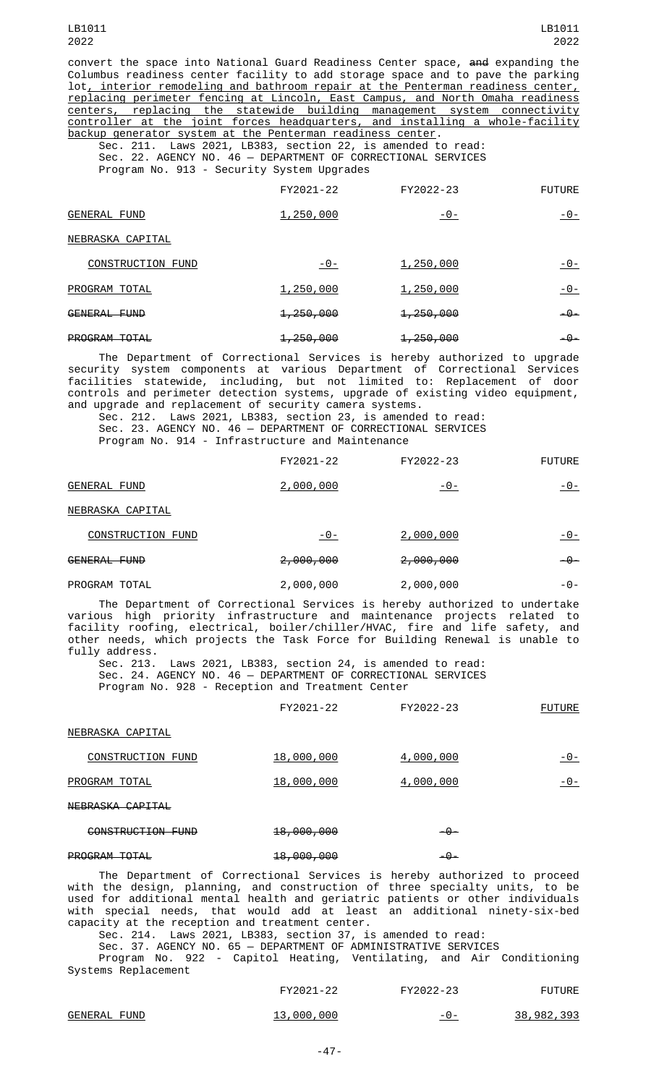convert the space into National Guard Readiness Center space, and expanding the Columbus readiness center facility to add storage space and to pave the parking lot, interior remodeling and bathroom repair at the Penterman readiness center, replacing perimeter fencing at Lincoln, East Campus, and North Omaha readiness centers, replacing the statewide building management system connectivity controller at the joint forces headquarters, and installing a whole-facility backup generator system at the Penterman readiness center.

Sec. 211. Laws 2021, LB383, section 22, is amended to read: Sec. 22. AGENCY NO. 46 — DEPARTMENT OF CORRECTIONAL SERVICES Program No. 913 - Security System Upgrades

|                     | FY2021-22            | FY2022-23            | <b>FUTURE</b> |
|---------------------|----------------------|----------------------|---------------|
| <b>GENERAL FUND</b> | 1,250,000            | <u> - 0 - </u>       | -0-           |
| NEBRASKA CAPITAL    |                      |                      |               |
| CONSTRUCTION FUND   | -0-                  | 1,250,000            | $-0-$         |
| PROGRAM TOTAL       | 1,250,000            | 1,250,000            | - 0 -         |
| GENERAL FUND        | 1,250,000            | <del>1,250,000</del> | -0-           |
| PROGRAM TOTAL       | <del>1,250,000</del> | 1,250,000            | -0-           |

The Department of Correctional Services is hereby authorized to upgrade security system components at various Department of Correctional Services facilities statewide, including, but not limited to: Replacement of door controls and perimeter detection systems, upgrade of existing video equipment, and upgrade and replacement of security camera systems.

Sec. 212. Laws 2021, LB383, section 23, is amended to read: Sec. 23. AGENCY NO. 46 — DEPARTMENT OF CORRECTIONAL SERVICES Program No. 914 - Infrastructure and Maintenance

|                  | FY2021-22 | FY2022-23 | <b>FUTURE</b> |
|------------------|-----------|-----------|---------------|
| GENERAL FUND     | 2,000,000 | -0-       | -0-           |
| NEBRASKA CAPITAL |           |           |               |

| CONSTRUCTION FUND       | -0-                  | 2,000,000            | <u>- 0 -</u> |
|-------------------------|----------------------|----------------------|--------------|
| <del>GENERAL FUND</del> | <del>2,000,000</del> | <del>2,000,000</del> | - -          |

| PROGRAM TOTAL<br>2,000,000<br>2,000,000 | $-(-)$ |
|-----------------------------------------|--------|
|-----------------------------------------|--------|

The Department of Correctional Services is hereby authorized to undertake various high priority infrastructure and maintenance projects related to facility roofing, electrical, boiler/chiller/HVAC, fire and life safety, and other needs, which projects the Task Force for Building Renewal is unable to fully address.

Laws 2021, LB383, section 24, is amended to read: Sec. 24. AGENCY NO. 46 — DEPARTMENT OF CORRECTIONAL SERVICES Program No. 928 - Reception and Treatment Center

|                          | FY2021-22  | FY2022-23 | <b>FUTURE</b> |
|--------------------------|------------|-----------|---------------|
| NEBRASKA CAPITAL         |            |           |               |
| <b>CONSTRUCTION FUND</b> | 18,000,000 | 4,000,000 | -0-           |
| PROGRAM TOTAL            | 18,000,000 | 4,000,000 | -0-           |
| NEBRASKA CAPITAL         |            |           |               |
|                          |            |           |               |

| 18,000,000<br>$-9-$ |
|---------------------|
|                     |

## PROGRAM TOTAL 18,000,000 18,000,000 -0-

The Department of Correctional Services is hereby authorized to proceed with the design, planning, and construction of three specialty units, to be used for additional mental health and geriatric patients or other individuals with special needs, that would add at least an additional ninety-six-bed capacity at the reception and treatment center.

Sec. 214. Laws 2021, LB383, section 37, is amended to read:

Sec. 37. AGENCY NO. 65 — DEPARTMENT OF ADMINISTRATIVE SERVICES Program No. 922 - Capitol Heating, Ventilating, and Air Conditioning Systems Replacement

| FY2021-22 | FY2022-23 | <b>FUTURE</b> |
|-----------|-----------|---------------|
|           |           |               |

| <b>FUND</b><br>GENERAL | 000<br>000.<br>-າ ຕ<br>∵دت⊥ | - 0 - | .,393<br>982<br>38. |
|------------------------|-----------------------------|-------|---------------------|
|------------------------|-----------------------------|-------|---------------------|